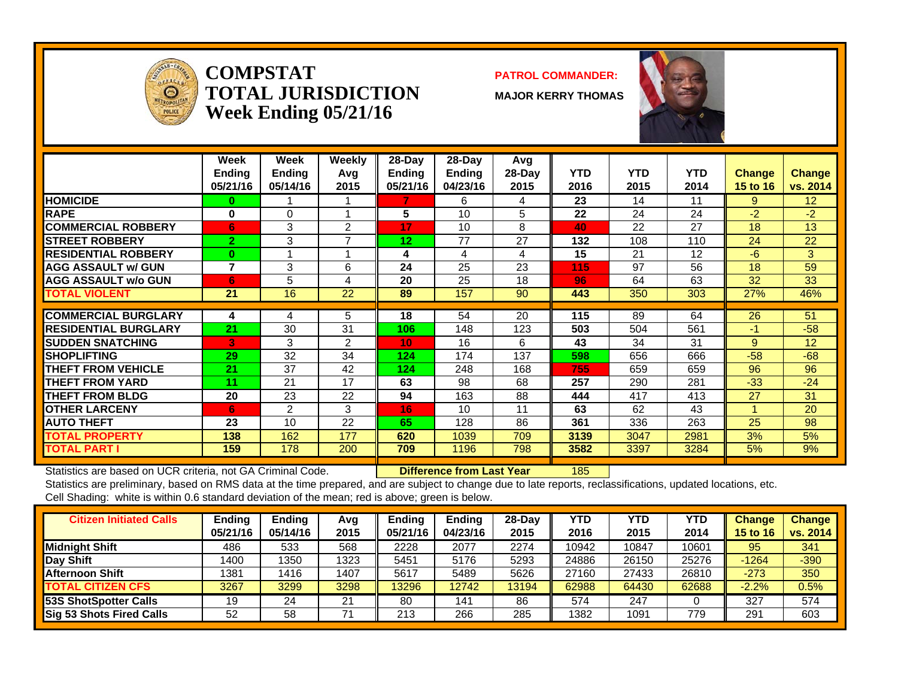

**COMPSTATTOTAL JURISDICTIONWeek Ending 05/21/16**

#### **PATROL COMMANDER:**

**MAJOR KERRY THOMAS**



|                              | Week<br><b>Ending</b><br>05/21/16 | Week<br><b>Ending</b><br>05/14/16 | Weekly<br>Avq<br>2015 | $28-Day$<br><b>Ending</b><br>05/21/16 | $28-Day$<br>Ending<br>04/23/16 | Avg<br>$28-Day$<br>2015 | <b>YTD</b><br>2016 | <b>YTD</b><br>2015 | <b>YTD</b><br>2014 | <b>Change</b><br><b>15 to 16</b> | <b>Change</b><br>vs. 2014 |
|------------------------------|-----------------------------------|-----------------------------------|-----------------------|---------------------------------------|--------------------------------|-------------------------|--------------------|--------------------|--------------------|----------------------------------|---------------------------|
| <b>HOMICIDE</b>              | 0                                 |                                   |                       | 7                                     | 6                              | 4                       | 23                 | 14                 | 11                 | 9                                | 12 <sup>2</sup>           |
| <b>RAPE</b>                  | 0                                 | 0                                 |                       | 5                                     | 10                             | 5                       | 22                 | 24                 | 24                 | $-2$                             | $-2$                      |
| <b>COMMERCIAL ROBBERY</b>    | 6                                 | 3                                 | $\overline{2}$        | 17                                    | 10                             | 8                       | 40                 | 22                 | 27                 | 18                               | 13                        |
| <b>ISTREET ROBBERY</b>       | $\overline{2}$                    | 3                                 | ⇁                     | 12                                    | 77                             | 27                      | 132                | 108                | 110                | 24                               | 22                        |
| <b>RESIDENTIAL ROBBERY</b>   | $\bf{0}$                          |                                   |                       | 4                                     | 4                              | 4                       | 15                 | 21                 | 12                 | $-6$                             | 3                         |
| <b>AGG ASSAULT w/ GUN</b>    | $\overline{7}$                    | 3                                 | 6                     | 24                                    | 25                             | 23                      | 115                | 97                 | 56                 | 18                               | 59                        |
| <b>AGG ASSAULT w/o GUN</b>   | 6                                 | 5                                 | 4                     | 20                                    | 25                             | 18                      | 96                 | 64                 | 63                 | 32                               | 33                        |
| <b>TOTAL VIOLENT</b>         | 21                                | 16                                | 22                    | 89                                    | 157                            | 90                      | 443                | 350                | 303                | 27%                              | 46%                       |
|                              |                                   |                                   |                       |                                       |                                |                         |                    |                    |                    |                                  |                           |
| <b>COMMERCIAL BURGLARY</b>   | 4                                 | 4                                 | 5                     | 18                                    | 54                             | 20                      | 115                | 89                 | 64                 | 26                               | 51                        |
| <b>IRESIDENTIAL BURGLARY</b> | 21                                | 30                                | 31                    | 106                                   | 148                            | 123                     | 503                | 504                | 561                | -1                               | $-58$                     |
| <b>SUDDEN SNATCHING</b>      | B                                 | 3                                 | 2                     | 10                                    | 16                             | 6                       | 43                 | 34                 | 31                 | 9                                | 12                        |
| <b>SHOPLIFTING</b>           | 29                                | 32                                | 34                    | 124                                   | 174                            | 137                     | 598                | 656                | 666                | $-58$                            | $-68$                     |
| <b>THEFT FROM VEHICLE</b>    | 21                                | 37                                | 42                    | 124                                   | 248                            | 168                     | 755                | 659                | 659                | 96                               | 96                        |
| <b>THEFT FROM YARD</b>       | 11                                | 21                                | 17                    | 63                                    | 98                             | 68                      | 257                | 290                | 281                | $-33$                            | $-24$                     |
| <b>THEFT FROM BLDG</b>       | 20                                | 23                                | 22                    | 94                                    | 163                            | 88                      | 444                | 417                | 413                | 27                               | 31                        |
| <b>OTHER LARCENY</b>         | 6                                 | $\overline{2}$                    | 3                     | 16                                    | 10                             | 11                      | 63                 | 62                 | 43                 |                                  | 20                        |
| <b>AUTO THEFT</b>            | 23                                | 10                                | 22                    | 65                                    | 128                            | 86                      | 361                | 336                | 263                | 25                               | 98                        |
| <b>TOTAL PROPERTY</b>        | 138                               | 162                               | 177                   | 620                                   | 1039                           | 709                     | 3139               | 3047               | 2981               | 3%                               | 5%                        |
| <b>TOTAL PART I</b>          | 159                               | 178                               | 200                   | 709                                   | 1196                           | 798                     | 3582               | 3397               | 3284               | 5%                               | 9%                        |

Statistics are based on UCR criteria, not GA Criminal Code. **Difference from Last Year** 185

| <b>Citizen Initiated Calls</b> | Ending   | <b>Ending</b> | Avg  | Endina   | <b>Ending</b> | $28-Dav$ | <b>YTD</b> | YTD   | <b>YTD</b> | <b>Change</b>   | Change   |
|--------------------------------|----------|---------------|------|----------|---------------|----------|------------|-------|------------|-----------------|----------|
|                                | 05/21/16 | 05/14/16      | 2015 | 05/21/16 | 04/23/16      | 2015     | 2016       | 2015  | 2014       | <b>15 to 16</b> | vs. 2014 |
| <b>Midnight Shift</b>          | 486      | 533           | 568  | 2228     | 2077          | 2274     | 10942      | 10847 | 10601      | 95              | 341      |
| <b>Day Shift</b>               | 1400     | 1350          | 1323 | 5451     | 5176          | 5293     | 24886      | 26150 | 25276      | $-1264$         | $-390$   |
| Afternoon Shift                | 1381     | 1416          | 1407 | 5617     | 5489          | 5626     | 27160      | 27433 | 26810      | $-273$          | 350      |
| <b>TOTAL CITIZEN CFS</b>       | 3267     | 3299          | 3298 | 13296    | 12742         | 13194    | 62988      | 64430 | 62688      | $-2.2%$         | 0.5%     |
| 53S ShotSpotter Calls          | 19       | 24            | 21   | 80       | 141           | 86       | 574        | 247   |            | 327             | 574      |
| Sig 53 Shots Fired Calls       | 52       | 58            |      | 213      | 266           | 285      | 1382       | 1091  | 779        | 29'             | 603      |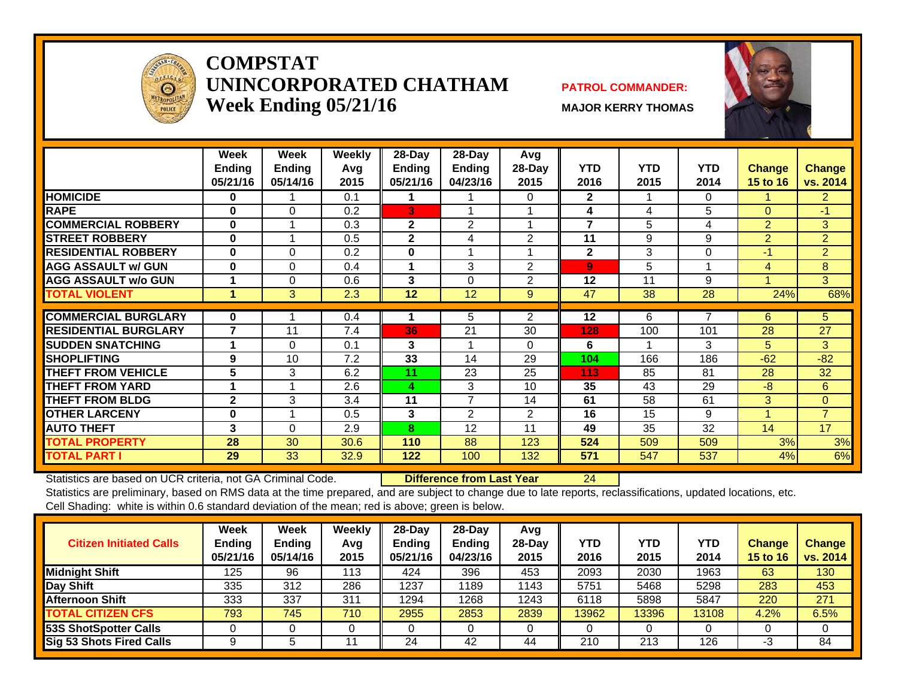

#### **COMPSTAT UNINCORPORATED CHATHAMWeek Ending 05/21/16** MAJOR KERRY THOMAS

#### **PATROL COMMANDER:**





|                             | Week<br><b>Ending</b><br>05/21/16 | Week<br><b>Ending</b><br>05/14/16 | Weekly<br>Avg<br>2015 | 28-Day<br><b>Ending</b><br>05/21/16 | 28-Day<br><b>Ending</b><br>04/23/16 | Avg<br>28-Day<br>2015 | <b>YTD</b><br>2016      | <b>YTD</b><br>2015 | <b>YTD</b><br>2014 | <b>Change</b><br>15 to 16 | <b>Change</b><br>vs. 2014 |
|-----------------------------|-----------------------------------|-----------------------------------|-----------------------|-------------------------------------|-------------------------------------|-----------------------|-------------------------|--------------------|--------------------|---------------------------|---------------------------|
| <b>HOMICIDE</b>             | 0                                 |                                   | 0.1                   |                                     |                                     | 0                     | $\mathbf{2}$            |                    | 0                  |                           | $\overline{2}$            |
| <b>RAPE</b>                 | $\bf{0}$                          | $\Omega$                          | 0.2                   | 3                                   |                                     |                       | 4                       | 4                  | 5                  | $\Omega$                  | $-1$                      |
| <b>COMMERCIAL ROBBERY</b>   | $\bf{0}$                          |                                   | 0.3                   | $\mathbf{2}$                        | $\overline{2}$                      |                       | $\overline{\mathbf{z}}$ | 5                  | 4                  | $\overline{2}$            | 3                         |
| <b>STREET ROBBERY</b>       | $\bf{0}$                          |                                   | 0.5                   | $\mathbf{2}$                        | 4                                   | 2                     | 11                      | 9                  | 9                  | $\overline{2}$            | $\overline{2}$            |
| <b>RESIDENTIAL ROBBERY</b>  | $\bf{0}$                          | $\Omega$                          | 0.2                   | 0                                   |                                     |                       | $\mathbf{2}$            | 3                  | 0                  | $-1$                      | $\overline{2}$            |
| <b>AGG ASSAULT w/ GUN</b>   | $\bf{0}$                          | $\Omega$                          | 0.4                   |                                     | 3                                   | $\overline{2}$        | 9                       | 5                  |                    | 4                         | 8                         |
| <b>AGG ASSAULT w/o GUN</b>  |                                   | 0                                 | 0.6                   | 3                                   | $\Omega$                            | 2                     | 12                      | 11                 | 9                  |                           | 3                         |
| <b>TOTAL VIOLENT</b>        | 4                                 | 3                                 | 2.3                   | 12                                  | 12                                  | 9                     | 47                      | 38                 | 28                 | 24%                       | 68%                       |
|                             |                                   |                                   |                       |                                     |                                     |                       |                         |                    |                    |                           |                           |
| <b>COMMERCIAL BURGLARY</b>  | 0                                 |                                   | 0.4                   |                                     | 5                                   | $\overline{2}$        | 12                      | 6                  | 7                  | 6                         | 5                         |
| <b>RESIDENTIAL BURGLARY</b> | $\overline{7}$                    | 11                                | 7.4                   | 36                                  | 21                                  | 30                    | 128                     | 100                | 101                | 28                        | 27                        |
| <b>SUDDEN SNATCHING</b>     | -1                                | $\Omega$                          | 0.1                   | 3                                   |                                     | $\Omega$              | 6                       |                    | 3                  | 5                         | 3                         |
| <b>SHOPLIFTING</b>          | 9                                 | 10                                | 7.2                   | 33                                  | 14                                  | 29                    | 104                     | 166                | 186                | $-62$                     | $-82$                     |
| <b>THEFT FROM VEHICLE</b>   | 5                                 | 3                                 | 6.2                   | 11                                  | 23                                  | 25                    | 113                     | 85                 | 81                 | 28                        | 32                        |
| <b>THEFT FROM YARD</b>      |                                   |                                   | 2.6                   | 4                                   | 3                                   | 10                    | 35                      | 43                 | 29                 | $-8$                      | 6                         |
| <b>THEFT FROM BLDG</b>      | $\mathbf{2}$                      | 3                                 | 3.4                   | 11                                  | $\overline{7}$                      | 14                    | 61                      | 58                 | 61                 | 3                         | $\overline{0}$            |
| <b>OTHER LARCENY</b>        | $\bf{0}$                          |                                   | 0.5                   | 3                                   | 2                                   | $\overline{2}$        | 16                      | 15                 | 9                  | 1                         | $\overline{7}$            |
| <b>AUTO THEFT</b>           | 3                                 | $\Omega$                          | 2.9                   | 8                                   | 12                                  | 11                    | 49                      | 35                 | 32                 | 14                        | 17                        |
| <b>TOTAL PROPERTY</b>       | 28                                | 30                                | 30.6                  | 110                                 | 88                                  | 123                   | 524                     | 509                | 509                | 3%                        | 3%                        |
| <b>TOTAL PART I</b>         | 29                                | 33                                | 32.9                  | 122                                 | 100                                 | 132                   | 571                     | 547                | 537                | 4%                        | 6%                        |

Statistics are based on UCR criteria, not GA Criminal Code. **Difference from Last Year** 24

| <b>Citizen Initiated Calls</b>  | <b>Week</b><br><b>Ending</b><br>05/21/16 | <b>Week</b><br><b>Ending</b><br>05/14/16 | Weekly<br>Avg<br>2015 | $28$ -Day<br><b>Ending</b><br>05/21/16 | $28-Day$<br><b>Ending</b><br>04/23/16 | Avg<br>$28$ -Day<br>2015 | YTD<br>2016 | <b>YTD</b><br>2015 | YTD<br>2014 | <b>Change</b><br>15 to 16 | Change<br>vs. 2014 |
|---------------------------------|------------------------------------------|------------------------------------------|-----------------------|----------------------------------------|---------------------------------------|--------------------------|-------------|--------------------|-------------|---------------------------|--------------------|
| <b>Midnight Shift</b>           | 125                                      | 96                                       | 113                   | 424                                    | 396                                   | 453                      | 2093        | 2030               | 1963        | 63                        | 130                |
| Day Shift                       | 335                                      | 312                                      | 286                   | 1237                                   | 1189                                  | 1143                     | 5751        | 5468               | 5298        | 283                       | 453                |
| Afternoon Shift                 | 333                                      | 337                                      | 311                   | 1294                                   | 1268                                  | 1243                     | 6118        | 5898               | 5847        | 220                       | 271                |
| <b>TOTAL CITIZEN CFS</b>        | 793                                      | 745                                      | 710                   | 2955                                   | 2853                                  | 2839                     | 13962       | 13396              | 13108       | 4.2%                      | 6.5%               |
| 53S ShotSpotter Calls           |                                          |                                          |                       |                                        |                                       |                          |             |                    |             |                           |                    |
| <b>Sig 53 Shots Fired Calls</b> |                                          |                                          | 11                    | 24                                     | 42                                    | 44                       | 210         | 213                | 126         | -3                        | 84                 |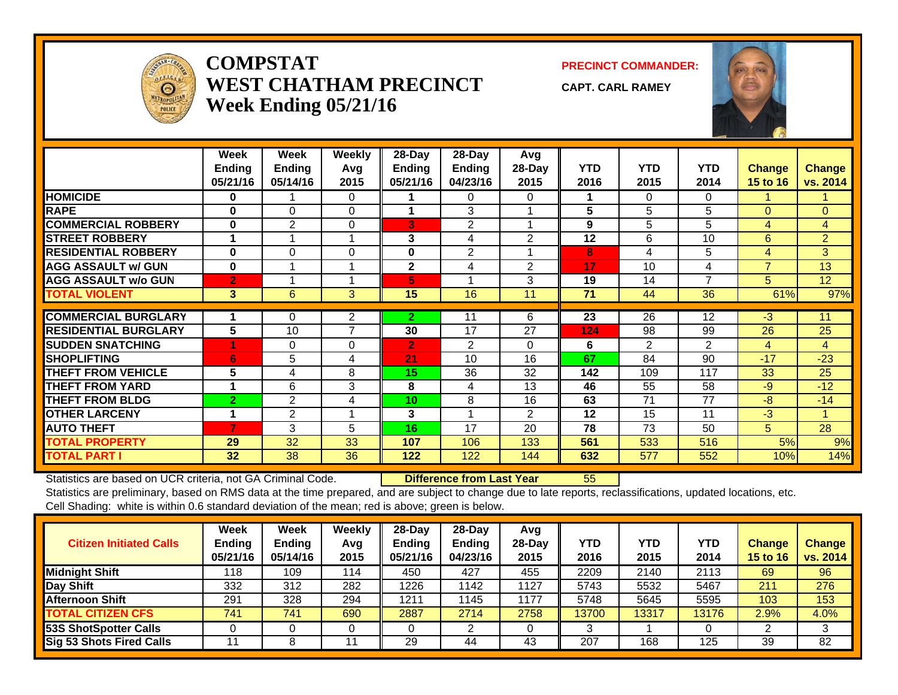

#### **COMPSTATWEST CHATHAM PRECINCTWeek Ending 05/21/16**

**PRECINCT COMMANDER:**

**CAPT. CARL RAMEY**



|                             | Week<br><b>Endina</b><br>05/21/16 | Week<br><b>Ending</b><br>05/14/16 | Weekly<br>Avg<br>2015 | 28-Day<br><b>Ending</b><br>05/21/16 | 28-Day<br>Ending<br>04/23/16 | Avg<br>$28-Dav$<br>2015 | <b>YTD</b><br>2016 | <b>YTD</b><br>2015 | <b>YTD</b><br>2014 | Change<br><b>15 to 16</b> | <b>Change</b><br>vs. 2014 |
|-----------------------------|-----------------------------------|-----------------------------------|-----------------------|-------------------------------------|------------------------------|-------------------------|--------------------|--------------------|--------------------|---------------------------|---------------------------|
| <b>HOMICIDE</b>             | 0                                 |                                   | $\Omega$              |                                     | 0                            | 0                       | 1                  | 0                  | $\Omega$           |                           |                           |
| <b>RAPE</b>                 | $\bf{0}$                          | 0                                 | $\Omega$              |                                     | 3                            |                         | 5                  | 5                  | 5                  | $\Omega$                  | $\Omega$                  |
| <b>COMMERCIAL ROBBERY</b>   | $\bf{0}$                          | 2                                 | $\Omega$              | 3                                   | 2                            |                         | 9                  | 5                  | 5                  | 4                         | 4                         |
| <b>STREET ROBBERY</b>       | 1                                 |                                   |                       | 3                                   | 4                            | $\overline{2}$          | 12                 | 6                  | 10                 | 6                         | $\overline{2}$            |
| <b>RESIDENTIAL ROBBERY</b>  | $\bf{0}$                          | $\Omega$                          | $\Omega$              | 0                                   | 2                            |                         | 8                  | 4                  | 5                  | 4                         | 3                         |
| <b>AGG ASSAULT w/ GUN</b>   | $\bf{0}$                          |                                   |                       | $\mathbf{2}$                        | 4                            | 2                       | 17                 | 10                 | 4                  | $\overline{7}$            | 13                        |
| <b>AGG ASSAULT w/o GUN</b>  | $\overline{2}$                    |                                   |                       | 5                                   |                              | 3                       | 19                 | 14                 | $\overline{7}$     | 5                         | 12                        |
| <b>TOTAL VIOLENT</b>        | 3                                 | 6                                 | 3                     | 15                                  | 16                           | 11                      | 71                 | 44                 | 36                 | 61%                       | 97%                       |
|                             |                                   |                                   |                       |                                     |                              |                         |                    |                    |                    |                           |                           |
| <b>COMMERCIAL BURGLARY</b>  |                                   | $\mathbf 0$                       | $\overline{2}$        | $\mathbf{2}$                        |                              | 6                       | 23                 | 26                 | 12                 | $-3$                      | 11                        |
| <b>RESIDENTIAL BURGLARY</b> | $5\phantom{.0}$                   | 10                                | 7                     | 30                                  | 17                           | 27                      | 124                | 98                 | 99                 | 26                        | 25                        |
| <b>SUDDEN SNATCHING</b>     |                                   | 0                                 | 0                     | $\overline{2}$                      | 2                            | 0                       | 6                  | $\overline{2}$     | $\mathfrak{p}$     | 4                         | 4                         |
| <b>SHOPLIFTING</b>          | 6                                 | 5                                 | 4                     | 21                                  | 10                           | 16                      | 67                 | 84                 | 90                 | $-17$                     | $-23$                     |
| <b>THEFT FROM VEHICLE</b>   | 5                                 | 4                                 | 8                     | 15                                  | 36                           | 32                      | 142                | 109                | 117                | 33                        | 25                        |
| <b>THEFT FROM YARD</b>      | 1                                 | 6                                 | 3                     | 8                                   | 4                            | 13                      | 46                 | 55                 | 58                 | $-9$                      | $-12$                     |
| <b>THEFT FROM BLDG</b>      | $\overline{2}$                    | 2                                 | 4                     | 10                                  | 8                            | 16                      | 63                 | 71                 | 77                 | $-8$                      | $-14$                     |
| <b>OTHER LARCENY</b>        | 1                                 | 2                                 |                       | 3                                   |                              | 2                       | 12                 | 15                 | 11                 | $-3$                      | 1                         |
| <b>AUTO THEFT</b>           | $\overline{7}$                    | 3                                 | 5                     | 16                                  | 17                           | 20                      | 78                 | 73                 | 50                 | 5                         | 28                        |
| <b>TOTAL PROPERTY</b>       | 29                                | 32                                | 33                    | 107                                 | 106                          | 133                     | 561                | 533                | 516                | 5%                        | 9%                        |
| <b>TOTAL PART I</b>         | 32                                | 38                                | 36                    | $122$                               | 122                          | 144                     | 632                | 577                | 552                | 10%                       | 14%                       |

Statistics are based on UCR criteria, not GA Criminal Code. **Difference from Last Year** 55

| <b>Citizen Initiated Calls</b> | <b>Week</b><br><b>Ending</b><br>05/21/16 | <b>Week</b><br><b>Ending</b><br>05/14/16 | Weekly<br>Avg<br>2015 | $28$ -Day<br><b>Ending</b><br>05/21/16 | $28-Dav$<br><b>Ending</b><br>04/23/16 | Avg<br>$28-Day$<br>2015 | YTD<br>2016 | <b>YTD</b><br>2015 | YTD<br>2014 | <b>Change</b><br>15 to 16 | <b>Change</b><br>vs. 2014 |
|--------------------------------|------------------------------------------|------------------------------------------|-----------------------|----------------------------------------|---------------------------------------|-------------------------|-------------|--------------------|-------------|---------------------------|---------------------------|
| <b>Midnight Shift</b>          | 118                                      | 109                                      | 114                   | 450                                    | 427                                   | 455                     | 2209        | 2140               | 2113        | 69                        | 96                        |
| Day Shift                      | 332                                      | 312                                      | 282                   | 1226                                   | 1142                                  | 1127                    | 5743        | 5532               | 5467        | 211                       | 276                       |
| <b>Afternoon Shift</b>         | 291                                      | 328                                      | 294                   | 1211                                   | 1145                                  | 1177                    | 5748        | 5645               | 5595        | 103                       | 153                       |
| <b>TOTAL CITIZEN CFS</b>       | 741                                      | 741                                      | 690                   | 2887                                   | 2714                                  | 2758                    | 13700       | 13317              | 13176       | 2.9%                      | 4.0%                      |
| 53S ShotSpotter Calls          |                                          |                                          |                       |                                        |                                       |                         |             |                    |             |                           | 3                         |
| Sig 53 Shots Fired Calls       |                                          |                                          |                       | 29                                     | 44                                    | 43                      | 207         | 168                | 125         | 39                        | 82                        |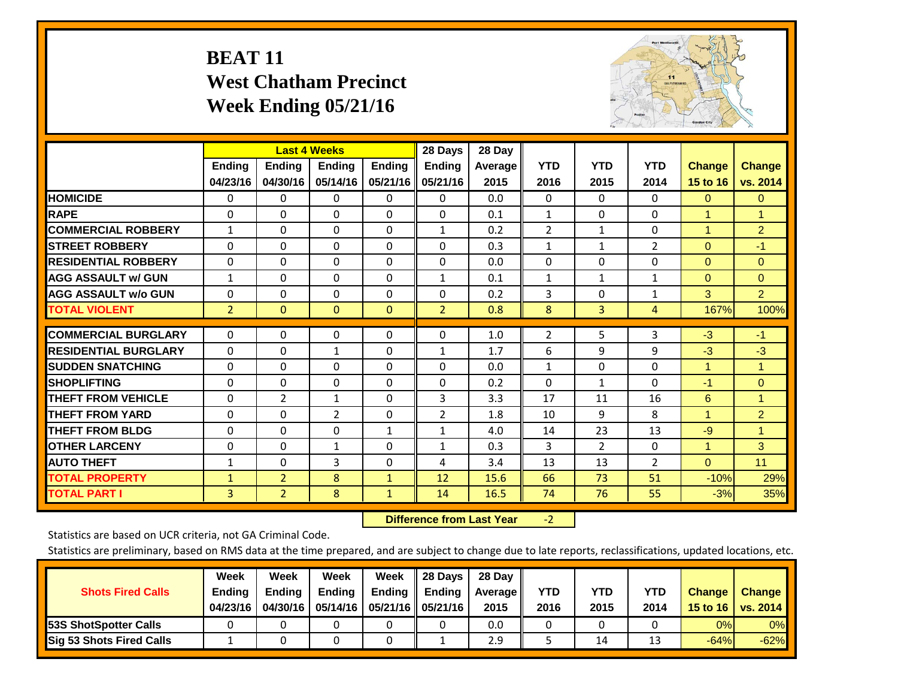## **BEAT 11 West Chatham Precinct Week Ending 05/21/16**



|                             |                | <b>Last 4 Weeks</b> |                |               | 28 Days        | 28 Day    |                |                |                |                      |                      |
|-----------------------------|----------------|---------------------|----------------|---------------|----------------|-----------|----------------|----------------|----------------|----------------------|----------------------|
|                             | <b>Ending</b>  | <b>Ending</b>       | <b>Endina</b>  | <b>Ending</b> | <b>Ending</b>  | Average I | <b>YTD</b>     | <b>YTD</b>     | <b>YTD</b>     | <b>Change</b>        | <b>Change</b>        |
|                             | 04/23/16       | 04/30/16            | 05/14/16       | 05/21/16      | 05/21/16       | 2015      | 2016           | 2015           | 2014           | 15 to 16             | vs. 2014             |
| <b>HOMICIDE</b>             | 0              | 0                   | $\Omega$       | 0             | 0              | 0.0       | $\mathbf{0}$   | 0              | 0              | $\mathbf{0}$         | $\mathbf{0}$         |
| <b>RAPE</b>                 | 0              | $\Omega$            | $\Omega$       | $\Omega$      | $\Omega$       | 0.1       | 1              | $\Omega$       | $\Omega$       | 1                    | $\blacktriangleleft$ |
| <b>COMMERCIAL ROBBERY</b>   | 1              | 0                   | $\Omega$       | 0             | 1              | 0.2       | $\overline{2}$ | $\mathbf{1}$   | 0              | $\overline{1}$       | $\overline{2}$       |
| <b>ISTREET ROBBERY</b>      | $\Omega$       | $\Omega$            | $\Omega$       | $\Omega$      | $\Omega$       | 0.3       | $\mathbf{1}$   | $\mathbf{1}$   | $\overline{2}$ | $\Omega$             | $-1$                 |
| <b>RESIDENTIAL ROBBERY</b>  | $\Omega$       | $\Omega$            | $\Omega$       | $\mathbf{0}$  | $\Omega$       | 0.0       | $\Omega$       | $\Omega$       | 0              | $\mathbf{0}$         | $\Omega$             |
| <b>AGG ASSAULT w/ GUN</b>   | $\mathbf{1}$   | $\Omega$            | $\Omega$       | $\Omega$      | 1              | 0.1       | $\mathbf{1}$   | $\mathbf{1}$   | 1              | $\Omega$             | $\Omega$             |
| <b>AGG ASSAULT w/o GUN</b>  | 0              | 0                   | $\Omega$       | 0             | $\Omega$       | 0.2       | 3              | $\Omega$       | 1              | 3                    | $\overline{2}$       |
| <b>TOTAL VIOLENT</b>        | $\overline{2}$ | $\Omega$            | $\mathbf{0}$   | $\mathbf{0}$  | $\overline{2}$ | 0.8       | 8              | 3              | 4              | 167%                 | 100%                 |
| <b>COMMERCIAL BURGLARY</b>  | $\Omega$       | $\Omega$            |                |               | $\Omega$       |           |                | 5              |                |                      |                      |
|                             |                |                     | $\mathbf 0$    | 0             |                | 1.0       | $\overline{2}$ |                | 3              | $-3$                 | $-1$                 |
| <b>RESIDENTIAL BURGLARY</b> | $\Omega$       | 0                   | $\mathbf{1}$   | $\mathbf{0}$  | 1              | 1.7       | 6              | 9              | 9              | $-3$                 | $-3$                 |
| <b>SUDDEN SNATCHING</b>     | $\Omega$       | 0                   | $\mathbf{0}$   | $\mathbf{0}$  | $\Omega$       | 0.0       | $\mathbf{1}$   | $\Omega$       | 0              | $\overline{1}$       | 1                    |
| <b>SHOPLIFTING</b>          | $\Omega$       | $\Omega$            | $\Omega$       | $\Omega$      | $\Omega$       | 0.2       | $\Omega$       | $\mathbf{1}$   | 0              | $-1$                 | $\Omega$             |
| <b>THEFT FROM VEHICLE</b>   | $\Omega$       | $\overline{2}$      | $\mathbf{1}$   | 0             | 3              | 3.3       | 17             | 11             | 16             | 6                    | 1                    |
| <b>THEFT FROM YARD</b>      | 0              | $\Omega$            | $\overline{2}$ | 0             | $\overline{2}$ | 1.8       | 10             | 9              | 8              | $\blacktriangleleft$ | $\overline{2}$       |
| <b>THEFT FROM BLDG</b>      | $\Omega$       | $\Omega$            | $\Omega$       | $\mathbf{1}$  | $\mathbf{1}$   | 4.0       | 14             | 23             | 13             | -9                   | $\mathbf{1}$         |
| <b>OTHER LARCENY</b>        | $\Omega$       | 0                   | $\mathbf{1}$   | $\Omega$      | 1              | 0.3       | 3              | $\overline{2}$ | 0              | $\blacktriangleleft$ | 3                    |
| <b>AUTO THEFT</b>           | $\mathbf{1}$   | 0                   | 3              | 0             | 4              | 3.4       | 13             | 13             | $\overline{2}$ | $\Omega$             | 11                   |
| <b>TOTAL PROPERTY</b>       | $\mathbf{1}$   | $\overline{2}$      | 8              | $\mathbf{1}$  | 12             | 15.6      | 66             | 73             | 51             | $-10%$               | 29%                  |
| <b>TOTAL PART I</b>         | 3              | $\overline{2}$      | 8              | $\mathbf{1}$  | 14             | 16.5      | 74             | 76             | 55             | $-3%$                | 35%                  |

 **Difference from Last Year**r -2

Statistics are based on UCR criteria, not GA Criminal Code.

| <b>Shots Fired Calls</b>        | Week<br><b>Ending</b><br>04/23/16 | Week<br><b>Endina</b><br>04/30/16 | Week<br><b>Ending</b> | Week<br>Ending | 28 Days<br><b>Ending</b><br>05/14/16   05/21/16   05/21/16 | 28 Day<br>Average II<br>2015 | YTD<br>2016 | YTD<br>2015 | YTD<br>2014 | <b>Change</b><br>15 to 16 $\vert$ | <b>Change</b><br>vs. 2014 |
|---------------------------------|-----------------------------------|-----------------------------------|-----------------------|----------------|------------------------------------------------------------|------------------------------|-------------|-------------|-------------|-----------------------------------|---------------------------|
| <b>153S ShotSpotter Calls</b>   |                                   |                                   |                       |                |                                                            | 0.0                          |             |             |             | 0%                                | 0%                        |
| <b>Sig 53 Shots Fired Calls</b> |                                   |                                   |                       |                |                                                            | 2.9                          |             | 14          | $\sim$      | $-64%$                            | $-62%$                    |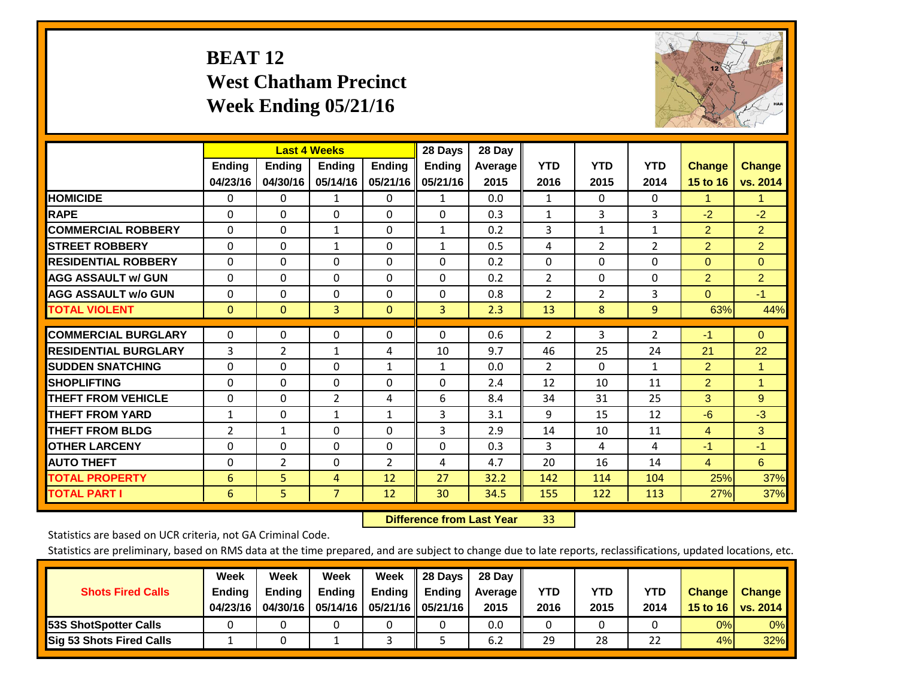## **BEAT 12 West Chatham Precinct Week Ending 05/21/16**



|                             |                           | <b>Last 4 Weeks</b>       |                           |                           | 28 Days                   | 28 Day            |                    |                    |                    |                           |                           |
|-----------------------------|---------------------------|---------------------------|---------------------------|---------------------------|---------------------------|-------------------|--------------------|--------------------|--------------------|---------------------------|---------------------------|
|                             | <b>Ending</b><br>04/23/16 | <b>Ending</b><br>04/30/16 | <b>Endina</b><br>05/14/16 | <b>Ending</b><br>05/21/16 | <b>Ending</b><br>05/21/16 | Average  <br>2015 | <b>YTD</b><br>2016 | <b>YTD</b><br>2015 | <b>YTD</b><br>2014 | <b>Change</b><br>15 to 16 | <b>Change</b><br>vs. 2014 |
| <b>HOMICIDE</b>             | $\mathbf{0}$              | $\mathbf{0}$              | 1                         | 0                         | $\mathbf{1}$              | 0.0               | 1                  | $\Omega$           | 0                  | 1                         | 1.                        |
| <b>RAPE</b>                 | $\Omega$                  | $\Omega$                  | $\Omega$                  | 0                         | 0                         | 0.3               | 1                  | 3                  | 3                  | $-2$                      | $-2$                      |
| <b>COMMERCIAL ROBBERY</b>   | $\Omega$                  | $\Omega$                  | 1                         | $\Omega$                  | $\mathbf{1}$              | 0.2               | 3                  | 1                  | 1                  | $\overline{2}$            | $\overline{2}$            |
| <b>STREET ROBBERY</b>       | $\Omega$                  | $\Omega$                  | $\mathbf{1}$              | $\Omega$                  | $\mathbf{1}$              | 0.5               | 4                  | $\overline{2}$     | $\overline{2}$     | $\overline{2}$            | $\overline{2}$            |
| <b>RESIDENTIAL ROBBERY</b>  | $\Omega$                  | $\Omega$                  | $\Omega$                  | $\Omega$                  | $\Omega$                  | 0.2               | $\mathbf{0}$       | $\Omega$           | 0                  | $\Omega$                  | $\Omega$                  |
| <b>AGG ASSAULT w/ GUN</b>   | $\Omega$                  | $\Omega$                  | $\Omega$                  | $\Omega$                  | $\Omega$                  | 0.2               | 2                  | 0                  | 0                  | $\overline{2}$            | $\overline{2}$            |
| <b>AGG ASSAULT w/o GUN</b>  | $\Omega$                  | $\Omega$                  | $\Omega$                  | $\Omega$                  | $\Omega$                  | 0.8               | 2                  | 2                  | 3                  | $\Omega$                  | $-1$                      |
| <b>TOTAL VIOLENT</b>        | $\mathbf{0}$              | $\Omega$                  | 3                         | $\Omega$                  | 3                         | 2.3               | 13                 | 8                  | 9                  | 63%                       | 44%                       |
| <b>COMMERCIAL BURGLARY</b>  | $\mathbf 0$               | $\mathbf{0}$              | 0                         | 0                         | $\Omega$                  | 0.6               | 2                  | 3                  | 2                  | $-1$                      | $\Omega$                  |
| <b>RESIDENTIAL BURGLARY</b> | 3                         | $\overline{2}$            | 1                         |                           | 10                        | 9.7               | 46                 | 25                 | 24                 | 21                        | 22                        |
| <b>ISUDDEN SNATCHING</b>    | 0                         | $\Omega$                  | $\Omega$                  | 4<br>$\mathbf{1}$         | $\mathbf{1}$              | 0.0               | 2                  | $\Omega$           | $\mathbf{1}$       | 2                         | $\blacktriangleleft$      |
| <b>SHOPLIFTING</b>          | $\Omega$                  | $\Omega$                  | $\Omega$                  | $\Omega$                  | 0                         | 2.4               | 12                 | 10                 | 11                 | $\overline{2}$            | 1                         |
| <b>THEFT FROM VEHICLE</b>   | $\Omega$                  | $\Omega$                  | 2                         | 4                         | 6                         | 8.4               | 34                 | 31                 | 25                 | 3                         | 9                         |
| <b>THEFT FROM YARD</b>      | $\mathbf{1}$              | $\Omega$                  | 1                         | $\mathbf{1}$              | 3                         | 3.1               | 9                  | 15                 | 12                 | $-6$                      | $-3$                      |
| <b>THEFT FROM BLDG</b>      | $\overline{2}$            | 1                         | $\Omega$                  | 0                         | 3                         | 2.9               | 14                 | 10                 | 11                 | 4                         | 3                         |
| <b>OTHER LARCENY</b>        | 0                         | $\Omega$                  | $\Omega$                  | 0                         | $\Omega$                  | 0.3               | $\overline{3}$     | 4                  | 4                  | $-1$                      | $-1$                      |
| <b>AUTO THEFT</b>           |                           |                           |                           |                           |                           | 4.7               | 20                 | 16                 | 14                 |                           | 6                         |
|                             | $\Omega$                  | 2                         | $\Omega$                  | $\overline{2}$            | 4                         |                   |                    |                    |                    | $\overline{4}$            |                           |
| <b>TOTAL PROPERTY</b>       | 6                         | 5                         | 4                         | 12                        | 27                        | 32.2              | 142                | 114                | 104                | 25%                       | 37%                       |
| <b>TOTAL PART I</b>         | 6                         | 5.                        | $\overline{7}$            | 12                        | 30                        | 34.5              | 155                | 122                | 113                | 27%                       | 37%                       |

 **Difference from Last Year**r 33

Statistics are based on UCR criteria, not GA Criminal Code.

| <b>Shots Fired Calls</b>        | Week<br><b>Ending</b><br>04/23/16 | Week<br><b>Endina</b><br>04/30/16 | Week<br><b>Ending</b> | Week<br>Ending | 28 Days<br><b>Ending</b><br>05/14/16   05/21/16   05/21/16 | 28 Day<br>Average II<br>2015 | YTD<br>2016 | YTD<br>2015 | YTD<br>2014 | <b>Change</b><br>15 to 16 $\vert$ | <b>Change</b><br>vs. 2014 |
|---------------------------------|-----------------------------------|-----------------------------------|-----------------------|----------------|------------------------------------------------------------|------------------------------|-------------|-------------|-------------|-----------------------------------|---------------------------|
| <b>153S ShotSpotter Calls</b>   |                                   |                                   |                       |                |                                                            | 0.0                          |             |             |             | 0%                                | 0%                        |
| <b>Sig 53 Shots Fired Calls</b> |                                   |                                   |                       |                |                                                            | 6.2                          | 29          | 28          | 22          | 4%                                | 32%                       |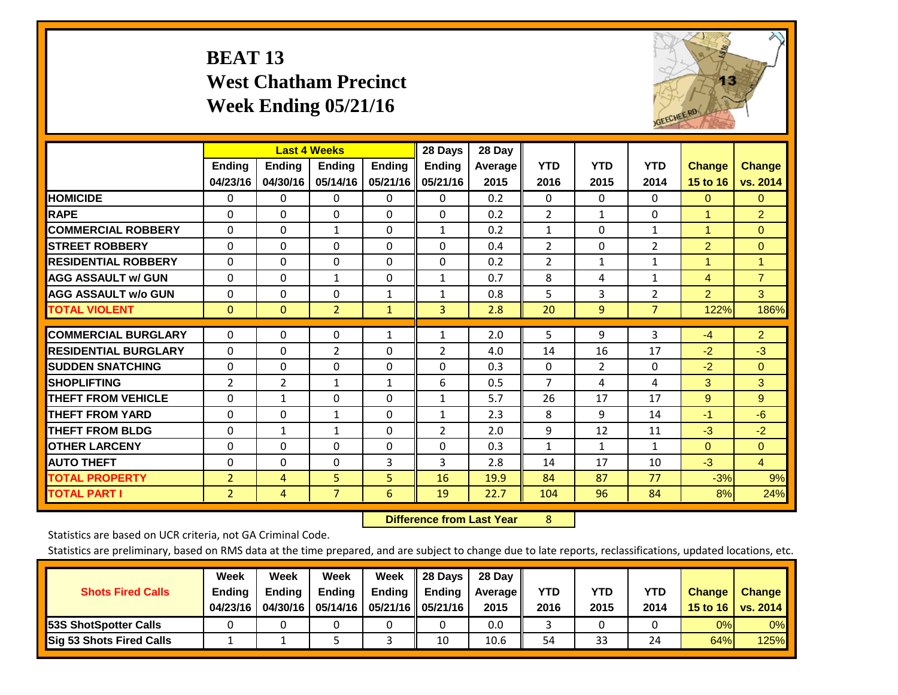# **BEAT 13 West Chatham Precinct Week Ending 05/21/16**



|                             |                | <b>Last 4 Weeks</b> |                |               | 28 Days        | 28 Day  |                |                |                |                |                |
|-----------------------------|----------------|---------------------|----------------|---------------|----------------|---------|----------------|----------------|----------------|----------------|----------------|
|                             | <b>Ending</b>  | <b>Ending</b>       | <b>Endina</b>  | <b>Endina</b> | <b>Endina</b>  | Average | <b>YTD</b>     | <b>YTD</b>     | <b>YTD</b>     | <b>Change</b>  | <b>Change</b>  |
|                             | 04/23/16       | 04/30/16            | 05/14/16       | 05/21/16      | 05/21/16       | 2015    | 2016           | 2015           | 2014           | 15 to 16       | vs. 2014       |
| <b>HOMICIDE</b>             | 0              | 0                   | $\Omega$       | 0             | 0              | 0.2     | $\mathbf{0}$   | $\Omega$       | 0              | $\mathbf{0}$   | $\Omega$       |
| <b>RAPE</b>                 | $\Omega$       | 0                   | $\Omega$       | $\Omega$      | $\Omega$       | 0.2     | $\overline{2}$ | 1              | 0              | $\overline{1}$ | $\overline{2}$ |
| <b>COMMERCIAL ROBBERY</b>   | $\Omega$       | $\Omega$            | $\mathbf{1}$   | $\Omega$      | $\mathbf{1}$   | 0.2     | $\mathbf{1}$   | $\Omega$       | $\mathbf{1}$   | 1              | $\mathbf{0}$   |
| <b>STREET ROBBERY</b>       | $\Omega$       | $\Omega$            | $\Omega$       | $\Omega$      | $\Omega$       | 0.4     | $\overline{2}$ | $\Omega$       | 2              | $\overline{2}$ | $\Omega$       |
| <b>RESIDENTIAL ROBBERY</b>  | 0              | $\Omega$            | $\mathbf{0}$   | $\mathbf{0}$  | $\Omega$       | 0.2     | $\overline{2}$ | $\mathbf{1}$   | $\mathbf{1}$   | 1              | 1              |
| <b>AGG ASSAULT w/ GUN</b>   | $\Omega$       | 0                   | $\mathbf{1}$   | $\mathbf{0}$  | $\mathbf{1}$   | 0.7     | 8              | 4              | 1              | 4              | $\overline{7}$ |
| <b>AGG ASSAULT w/o GUN</b>  | $\Omega$       | $\Omega$            | $\Omega$       | 1             | $\mathbf{1}$   | 0.8     | 5              | 3              | $\overline{2}$ | $\overline{2}$ | 3 <sup>1</sup> |
| <b>TOTAL VIOLENT</b>        | $\Omega$       | $\Omega$            | $\overline{2}$ | $\mathbf{1}$  | 3              | 2.8     | 20             | 9              | $\overline{7}$ | 122%           | 186%           |
| <b>COMMERCIAL BURGLARY</b>  | $\Omega$       | $\Omega$            | $\Omega$       |               | $\mathbf{1}$   | 2.0     | 5              | 9              | 3              | $-4$           | $\overline{2}$ |
|                             |                |                     |                | 1             |                |         |                |                |                |                |                |
| <b>RESIDENTIAL BURGLARY</b> | 0              | $\Omega$            | $\overline{2}$ | $\Omega$      | $\overline{2}$ | 4.0     | 14             | 16             | 17             | $-2$           | $-3$           |
| <b>ISUDDEN SNATCHING</b>    | 0              | 0                   | $\Omega$       | $\Omega$      | $\Omega$       | 0.3     | $\Omega$       | $\overline{2}$ | 0              | $-2$           | $\mathbf{0}$   |
| <b>SHOPLIFTING</b>          | 2              | $\overline{2}$      | 1              | 1             | 6              | 0.5     | $\overline{7}$ | 4              | 4              | 3              | 3              |
| <b>THEFT FROM VEHICLE</b>   | $\Omega$       | 1                   | $\Omega$       | $\mathbf{0}$  | 1              | 5.7     | 26             | 17             | 17             | 9              | 9              |
| <b>THEFT FROM YARD</b>      | $\Omega$       | $\Omega$            | $\mathbf{1}$   | $\Omega$      | $1\,$          | 2.3     | 8              | 9              | 14             | $-1$           | $-6$           |
| <b>THEFT FROM BLDG</b>      | 0              | 1                   | 1              | $\mathbf{0}$  | $\overline{2}$ | 2.0     | 9              | 12             | 11             | $-3$           | $-2$           |
| <b>OTHER LARCENY</b>        | $\Omega$       | $\Omega$            | $\Omega$       | $\Omega$      | $\Omega$       | 0.3     | $\mathbf{1}$   | $\mathbf{1}$   | $\mathbf{1}$   | $\Omega$       | $\Omega$       |
| <b>AUTO THEFT</b>           | $\Omega$       | $\Omega$            | $\Omega$       | 3             | 3              | 2.8     | 14             | 17             | 10             | $-3$           | $\overline{4}$ |
| <b>TOTAL PROPERTY</b>       | $\overline{2}$ | 4                   | 5              | 5             | 16             | 19.9    | 84             | 87             | 77             | $-3%$          | 9%             |
| <b>TOTAL PART I</b>         | $\overline{2}$ | 4                   | $\overline{7}$ | 6             | 19             | 22.7    | 104            | 96             | 84             | 8%             | 24%            |

 **Difference from Last Year**r 8

Statistics are based on UCR criteria, not GA Criminal Code.

| <b>Shots Fired Calls</b>        | Week<br><b>Ending</b><br>04/23/16 | Week<br><b>Endina</b><br>04/30/16 | Week<br>Ending | Week<br>Ending | 28 Days<br><b>Ending</b><br>05/14/16   05/21/16   05/21/16 | 28 Day<br>Average II<br>2015 | YTD<br>2016 | YTD<br>2015 | YTD<br>2014 | <b>Change</b><br>15 to 16 | <b>Change</b><br>vs. 2014 |
|---------------------------------|-----------------------------------|-----------------------------------|----------------|----------------|------------------------------------------------------------|------------------------------|-------------|-------------|-------------|---------------------------|---------------------------|
| <b>153S ShotSpotter Calls</b>   |                                   |                                   |                |                |                                                            | 0.0                          |             |             |             | 0%                        | 0%                        |
| <b>Sig 53 Shots Fired Calls</b> |                                   |                                   |                |                | 10                                                         | 10.6                         | 54          | 33          | 24          | 64%                       | 125%                      |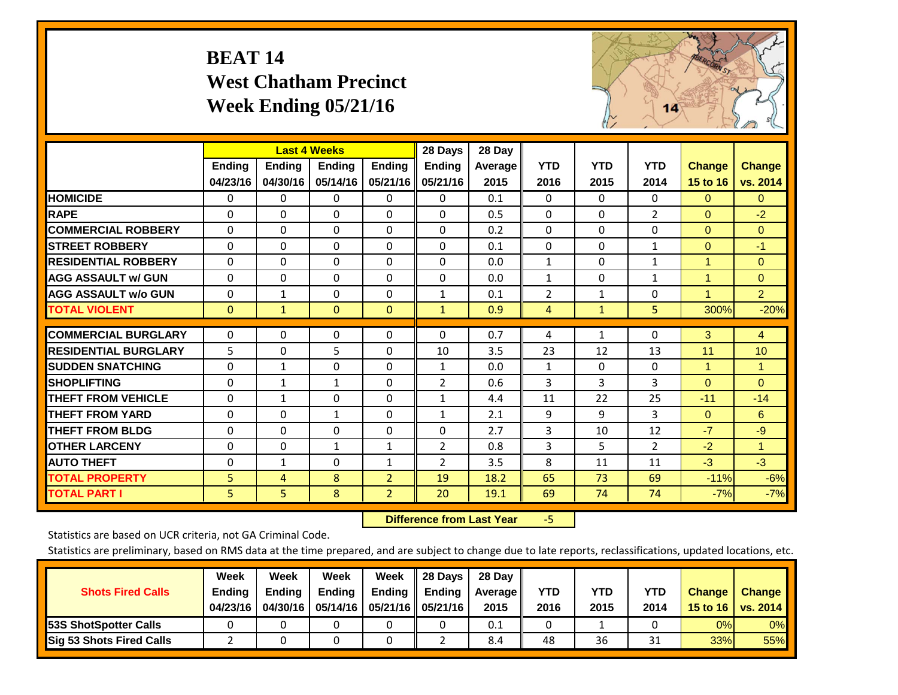## **BEAT 14 West Chatham Precinct Week Ending 05/21/16**



|                             |                | <b>Last 4 Weeks</b> |               |                | 28 Days        | 28 Day         |                |              |              |                |                |
|-----------------------------|----------------|---------------------|---------------|----------------|----------------|----------------|----------------|--------------|--------------|----------------|----------------|
|                             | Ending         | Ending              | <b>Ending</b> | <b>Ending</b>  | <b>Ending</b>  | <b>Average</b> | <b>YTD</b>     | <b>YTD</b>   | <b>YTD</b>   | <b>Change</b>  | <b>Change</b>  |
|                             | 04/23/16       | 04/30/16            | 05/14/16      | 05/21/16       | 05/21/16       | 2015           | 2016           | 2015         | 2014         | 15 to 16       | vs. 2014       |
| <b>HOMICIDE</b>             | 0              | 0                   | $\Omega$      | 0              | $\Omega$       | 0.1            | $\Omega$       | 0            | 0            | $\Omega$       | 0              |
| <b>RAPE</b>                 | $\Omega$       | $\Omega$            | $\Omega$      | 0              | $\Omega$       | 0.5            | $\Omega$       | $\Omega$     | 2            | $\Omega$       | $-2$           |
| <b>COMMERCIAL ROBBERY</b>   | $\Omega$       | $\Omega$            | $\Omega$      | $\Omega$       | $\Omega$       | 0.2            | $\Omega$       | 0            | $\Omega$     | $\Omega$       | $\Omega$       |
| <b>STREET ROBBERY</b>       | $\Omega$       | $\Omega$            | $\Omega$      | $\Omega$       | $\Omega$       | 0.1            | $\mathbf{0}$   | $\Omega$     | $\mathbf{1}$ | $\mathbf{0}$   | $-1$           |
| <b>RESIDENTIAL ROBBERY</b>  | $\Omega$       | $\Omega$            | 0             | $\Omega$       | $\Omega$       | 0.0            | $\mathbf{1}$   | 0            | $\mathbf{1}$ | $\overline{1}$ | $\Omega$       |
| <b>AGG ASSAULT w/ GUN</b>   | $\Omega$       | $\Omega$            | $\mathbf{0}$  | $\Omega$       | $\Omega$       | 0.0            | $\mathbf{1}$   | 0            | $\mathbf{1}$ | 1              | $\Omega$       |
| <b>AGG ASSAULT w/o GUN</b>  | $\Omega$       | $\mathbf{1}$        | 0             | $\Omega$       | $\mathbf{1}$   | 0.1            | $\overline{2}$ | $\mathbf{1}$ | $\Omega$     | $\mathbf{1}$   | $\overline{2}$ |
| <b>TOTAL VIOLENT</b>        | $\mathbf{0}$   | $\mathbf{1}$        | $\mathbf{0}$  | $\mathbf{0}$   | $\mathbf{1}$   | 0.9            | 4              | $\mathbf{1}$ | 5            | 300%           | $-20%$         |
|                             |                |                     |               |                |                |                |                |              |              |                |                |
| <b>COMMERCIAL BURGLARY</b>  | $\Omega$       | $\Omega$            | 0             | 0              | $\Omega$       | 0.7            | 4              | 1            | 0            | 3              | 4              |
| <b>RESIDENTIAL BURGLARY</b> | 5              | $\Omega$            | 5             | $\Omega$       | 10             | 3.5            | 23             | 12           | 13           | 11             | 10             |
| <b>SUDDEN SNATCHING</b>     | $\Omega$       | 1                   | $\Omega$      | $\Omega$       | $\mathbf{1}$   | 0.0            | 1              | 0            | $\Omega$     | 1              | $\mathbf{1}$   |
| <b>SHOPLIFTING</b>          | $\Omega$       | $\mathbf{1}$        | 1             | $\Omega$       | $\overline{2}$ | 0.6            | 3              | 3            | 3            | $\Omega$       | $\Omega$       |
| <b>THEFT FROM VEHICLE</b>   | $\Omega$       | $\mathbf{1}$        | 0             | $\Omega$       | $\mathbf{1}$   | 4.4            | 11             | 22           | 25           | $-11$          | $-14$          |
| <b>THEFT FROM YARD</b>      | $\Omega$       | $\Omega$            | 1             | $\Omega$       | $\mathbf{1}$   | 2.1            | 9              | 9            | 3            | $\Omega$       | 6              |
| <b>THEFT FROM BLDG</b>      | $\Omega$       | 0                   | $\mathbf{0}$  | $\Omega$       | $\Omega$       | 2.7            | 3              | 10           | 12           | $-7$           | $-9$           |
| <b>OTHER LARCENY</b>        | $\Omega$       | $\Omega$            | $\mathbf{1}$  | $\mathbf{1}$   | $\overline{2}$ | 0.8            | 3              | 5            | 2            | $-2$           | $\mathbf{1}$   |
| <b>AUTO THEFT</b>           | $\Omega$       | $\mathbf{1}$        | $\Omega$      | 1              | 2              | 3.5            | 8              | 11           | 11           | $-3$           | $-3$           |
| <b>TOTAL PROPERTY</b>       | 5              | 4                   | 8             | $\overline{2}$ | 19             | 18.2           | 65             | 73           | 69           | $-11%$         | $-6%$          |
| <b>TOTAL PART I</b>         | 5 <sup>1</sup> | 5.                  | 8             | $\overline{2}$ | 20             | 19.1           | 69             | 74           | 74           | $-7%$          | $-7%$          |

 **Difference from Last Year**‐5

Statistics are based on UCR criteria, not GA Criminal Code.

| <b>Shots Fired Calls</b>        | Week<br><b>Ending</b><br>04/23/16 | Week<br><b>Endina</b><br>04/30/16 | Week<br><b>Ending</b> | Week<br>Ending | 28 Days<br><b>Ending</b><br>05/14/16   05/21/16   05/21/16 | 28 Day<br>Average II<br>2015 | YTD<br>2016 | YTD<br>2015 | YTD<br>2014    | <b>Change</b><br>15 to 16 $\vert$ | <b>Change</b><br>vs. 2014 |
|---------------------------------|-----------------------------------|-----------------------------------|-----------------------|----------------|------------------------------------------------------------|------------------------------|-------------|-------------|----------------|-----------------------------------|---------------------------|
| <b>153S ShotSpotter Calls</b>   |                                   |                                   |                       |                |                                                            | 0.1                          |             |             |                | 0%                                | 0%                        |
| <b>Sig 53 Shots Fired Calls</b> |                                   |                                   |                       |                |                                                            | 8.4                          | 48          | 36          | <b>n</b><br>⊥ر | 33%                               | 55%                       |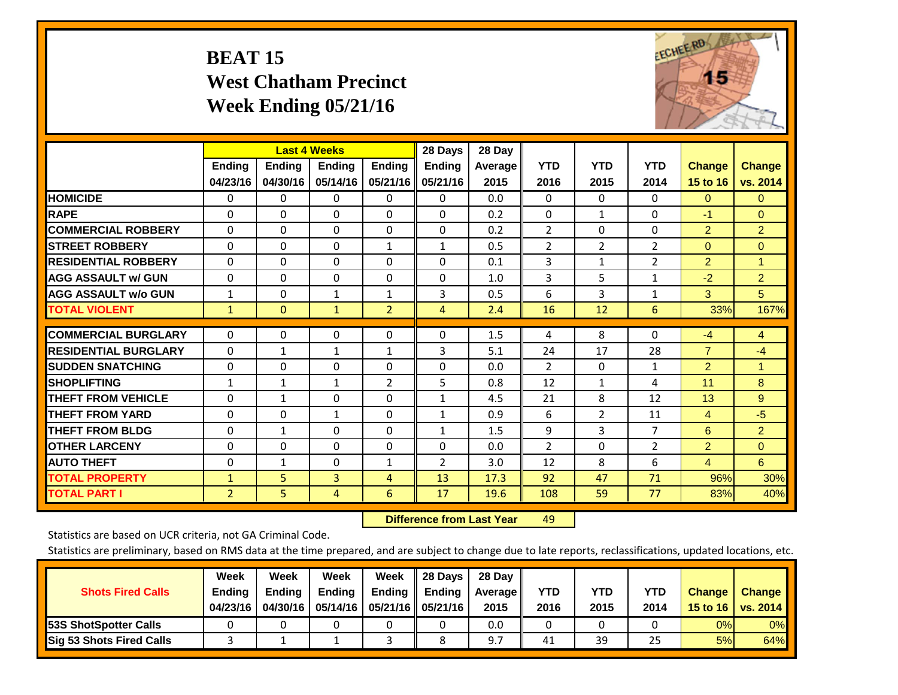# **BEAT 15 West Chatham Precinct Week Ending 05/21/16**



|                             |                           | <b>Last 4 Weeks</b>       |                           |                           | 28 Days                   | 28 Day          |                    |                    |                    |                           |                           |
|-----------------------------|---------------------------|---------------------------|---------------------------|---------------------------|---------------------------|-----------------|--------------------|--------------------|--------------------|---------------------------|---------------------------|
|                             | <b>Ending</b><br>04/23/16 | <b>Ending</b><br>04/30/16 | <b>Endina</b><br>05/14/16 | <b>Ending</b><br>05/21/16 | <b>Endina</b><br>05/21/16 | Average<br>2015 | <b>YTD</b><br>2016 | <b>YTD</b><br>2015 | <b>YTD</b><br>2014 | <b>Change</b><br>15 to 16 | <b>Change</b><br>vs. 2014 |
| <b>HOMICIDE</b>             | 0                         | 0                         | $\Omega$                  | 0                         | 0                         | 0.0             | $\Omega$           | $\Omega$           | 0                  | $\Omega$                  | 0                         |
| <b>RAPE</b>                 | 0                         | $\Omega$                  | $\Omega$                  | $\Omega$                  | 0                         | 0.2             | $\Omega$           | $\mathbf{1}$       | $\Omega$           | $-1$                      | $\Omega$                  |
| <b>COMMERCIAL ROBBERY</b>   | $\Omega$                  | 0                         | $\Omega$                  | 0                         | $\Omega$                  | 0.2             | $\overline{2}$     | $\Omega$           | 0                  | $\overline{2}$            | $\overline{2}$            |
| <b>STREET ROBBERY</b>       | $\Omega$                  | $\Omega$                  | $\Omega$                  | $\mathbf{1}$              | $\mathbf{1}$              | 0.5             | 2                  | $\overline{2}$     | $\overline{2}$     | $\mathbf{0}$              | $\Omega$                  |
| <b>RESIDENTIAL ROBBERY</b>  | $\Omega$                  | $\Omega$                  | $\Omega$                  | $\Omega$                  | $\Omega$                  | 0.1             | 3                  | 1                  | $\overline{2}$     | $\overline{2}$            | $\mathbf{1}$              |
| <b>AGG ASSAULT w/ GUN</b>   | $\Omega$                  | $\Omega$                  | $\Omega$                  | $\Omega$                  | $\Omega$                  | 1.0             | 3                  | 5                  | $\mathbf{1}$       | $-2$                      | $\overline{2}$            |
| <b>AGG ASSAULT w/o GUN</b>  | $\mathbf{1}$              | $\Omega$                  | $\mathbf{1}$              | 1                         | 3                         | 0.5             | 6                  | 3                  | 1                  | 3                         | 5                         |
| <b>TOTAL VIOLENT</b>        | $\mathbf{1}$              | $\mathbf{0}$              | $\mathbf{1}$              | $\overline{2}$            | 4                         | 2.4             | 16                 | 12                 | 6                  | 33%                       | 167%                      |
|                             |                           |                           |                           |                           |                           |                 |                    |                    |                    |                           |                           |
| <b>COMMERCIAL BURGLARY</b>  | $\Omega$                  | 0                         | $\Omega$                  | $\mathbf{0}$              | $\Omega$                  | 1.5             | 4                  | 8                  | 0                  | $-4$                      | $\overline{4}$            |
| <b>RESIDENTIAL BURGLARY</b> | 0                         | 1                         | $\mathbf{1}$              | 1                         | 3                         | 5.1             | 24                 | 17                 | 28                 | $\overline{7}$            | $-4$                      |
| <b>SUDDEN SNATCHING</b>     | $\Omega$                  | $\Omega$                  | $\Omega$                  | $\Omega$                  | $\Omega$                  | 0.0             | $\overline{2}$     | $\Omega$           | 1                  | $\overline{2}$            | 1.                        |
| <b>SHOPLIFTING</b>          | $\mathbf{1}$              | $\mathbf{1}$              | $\mathbf{1}$              | 2                         | 5                         | 0.8             | 12                 | 1                  | 4                  | 11                        | 8                         |
| <b>THEFT FROM VEHICLE</b>   | $\Omega$                  | $\mathbf{1}$              | $\Omega$                  | $\Omega$                  | $\mathbf{1}$              | 4.5             | 21                 | 8                  | 12                 | 13                        | 9                         |
| <b>THEFT FROM YARD</b>      | $\Omega$                  | $\Omega$                  | $\mathbf{1}$              | $\mathbf{0}$              | $\mathbf{1}$              | 0.9             | 6                  | $\overline{2}$     | 11                 | $\overline{4}$            | $-5$                      |
| <b>THEFT FROM BLDG</b>      | $\Omega$                  | $\mathbf{1}$              | $\Omega$                  | $\Omega$                  | $\mathbf{1}$              | 1.5             | 9                  | 3                  | $\overline{7}$     | 6                         | $\overline{2}$            |
| <b>OTHER LARCENY</b>        | $\mathbf{0}$              | $\Omega$                  | $\Omega$                  | $\Omega$                  | $\Omega$                  | 0.0             | 2                  | 0                  | $\overline{2}$     | $\overline{2}$            | $\Omega$                  |
| <b>AUTO THEFT</b>           | $\mathbf 0$               | $\mathbf{1}$              | $\Omega$                  | 1                         | $\overline{2}$            | 3.0             | 12                 | 8                  | 6                  | $\overline{4}$            | 6                         |
| <b>TOTAL PROPERTY</b>       | $\mathbf{1}$              | 5 <sup>5</sup>            | 3                         | $\overline{4}$            | 13                        | 17.3            | 92                 | 47                 | 71                 | 96%                       | 30%                       |
| <b>TOTAL PART I</b>         | $\overline{2}$            | 5                         | 4                         | 6                         | 17                        | 19.6            | 108                | 59                 | 77                 | 83%                       | 40%                       |

 **Difference from Last Yearr** 49

Statistics are based on UCR criteria, not GA Criminal Code.

| <b>Shots Fired Calls</b>        | Week<br><b>Ending</b><br>04/23/16 | Week<br><b>Endina</b><br>04/30/16 | Week<br><b>Ending</b> | Week<br>Ending | 28 Days<br><b>Ending</b><br>05/14/16   05/21/16   05/21/16 | 28 Day<br>Average II<br>2015 | YTD<br>2016 | YTD<br>2015 | YTD<br>2014 | <b>Change</b><br>15 to 16 $\vert$ | <b>Change</b><br>vs. 2014 |
|---------------------------------|-----------------------------------|-----------------------------------|-----------------------|----------------|------------------------------------------------------------|------------------------------|-------------|-------------|-------------|-----------------------------------|---------------------------|
| <b>153S ShotSpotter Calls</b>   |                                   |                                   |                       |                |                                                            | 0.0                          |             |             |             | 0%                                | 0%                        |
| <b>Sig 53 Shots Fired Calls</b> |                                   |                                   |                       |                |                                                            | 9.7                          | 41          | 39          | 25          | 5%                                | 64%                       |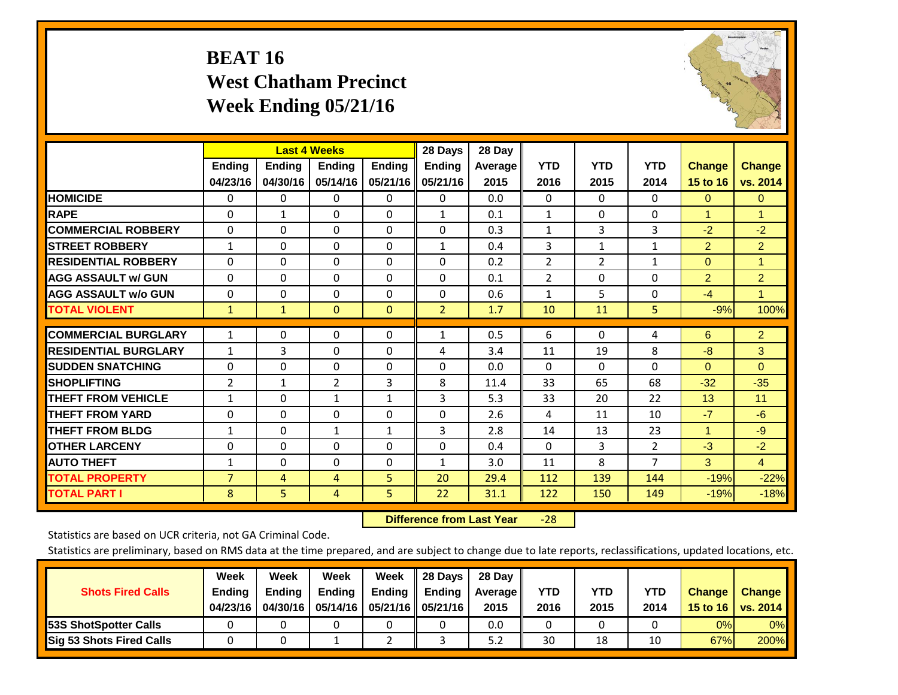# **BEAT 16 West Chatham Precinct Week Ending 05/21/16**



|                             |                | <b>Last 4 Weeks</b> |                |               | 28 Days        | 28 Day     |                    |                    |                    |                           |                |
|-----------------------------|----------------|---------------------|----------------|---------------|----------------|------------|--------------------|--------------------|--------------------|---------------------------|----------------|
|                             | <b>Ending</b>  | <b>Ending</b>       | <b>Endina</b>  | <b>Ending</b> | <b>Endina</b>  | Average II | <b>YTD</b><br>2016 | <b>YTD</b><br>2015 | <b>YTD</b><br>2014 | <b>Change</b><br>15 to 16 | <b>Change</b>  |
|                             | 04/23/16       | 04/30/16            | 05/14/16       | 05/21/16      | 05/21/16       | 2015       |                    |                    |                    |                           | vs. 2014       |
| <b>HOMICIDE</b>             | 0              | 0                   | $\Omega$       | 0             | 0              | 0.0        | $\mathbf{0}$       | $\Omega$           | 0                  | $\mathbf{0}$              | $\Omega$       |
| <b>RAPE</b>                 | 0              | $\mathbf{1}$        | $\Omega$       | $\Omega$      | $\mathbf{1}$   | 0.1        | $\mathbf{1}$       | $\Omega$           | $\Omega$           | 1                         | 1              |
| <b>COMMERCIAL ROBBERY</b>   | $\Omega$       | 0                   | $\Omega$       | $\mathbf{0}$  | $\Omega$       | 0.3        | $\mathbf{1}$       | 3                  | 3                  | $-2$                      | $-2$           |
| <b>ISTREET ROBBERY</b>      | $\mathbf{1}$   | $\Omega$            | $\Omega$       | $\Omega$      | $\mathbf{1}$   | 0.4        | 3                  | $\mathbf{1}$       | 1                  | $\overline{2}$            | $\overline{2}$ |
| <b>RESIDENTIAL ROBBERY</b>  | $\Omega$       | 0                   | $\mathbf{0}$   | $\mathbf{0}$  | $\Omega$       | 0.2        | $\overline{2}$     | 2                  | 1                  | $\mathbf{0}$              | 1              |
| <b>AGG ASSAULT w/ GUN</b>   | $\Omega$       | 0                   | $\Omega$       | $\mathbf{0}$  | $\Omega$       | 0.1        | $\overline{2}$     | $\Omega$           | 0                  | 2                         | $\overline{2}$ |
| <b>AGG ASSAULT w/o GUN</b>  | $\Omega$       | 0                   | $\mathbf{0}$   | $\Omega$      | $\Omega$       | 0.6        | $\mathbf{1}$       | 5                  | 0                  | $-4$                      | $\mathbf{1}$   |
| <b>TOTAL VIOLENT</b>        | $\mathbf{1}$   | $\mathbf{1}$        | $\mathbf{0}$   | $\mathbf{0}$  | $\overline{2}$ | 1.7        | 10                 | 11                 | 5.                 | $-9%$                     | 100%           |
|                             |                |                     |                |               |                |            |                    |                    |                    |                           |                |
| <b>COMMERCIAL BURGLARY</b>  | $\mathbf{1}$   | $\Omega$            | $\Omega$       | $\mathbf{0}$  | $\mathbf{1}$   | 0.5        | 6                  | $\Omega$           | 4                  | 6                         | $\overline{2}$ |
| <b>RESIDENTIAL BURGLARY</b> | $\mathbf{1}$   | 3                   | $\mathbf{0}$   | $\Omega$      | 4              | 3.4        | 11                 | 19                 | 8                  | -8                        | 3              |
| <b>SUDDEN SNATCHING</b>     | 0              | 0                   | $\mathbf{0}$   | $\mathbf{0}$  | $\Omega$       | 0.0        | 0                  | $\Omega$           | $\Omega$           | $\Omega$                  | $\Omega$       |
| <b>SHOPLIFTING</b>          | 2              | 1                   | $\overline{2}$ | 3             | 8              | 11.4       | 33                 | 65                 | 68                 | $-32$                     | $-35$          |
| <b>THEFT FROM VEHICLE</b>   | $\mathbf{1}$   | 0                   | $\mathbf{1}$   | $\mathbf{1}$  | 3              | 5.3        | 33                 | 20                 | 22                 | 13                        | 11             |
| <b>THEFT FROM YARD</b>      | $\Omega$       | $\Omega$            | $\mathbf{0}$   | $\mathbf{0}$  | $\Omega$       | 2.6        | 4                  | 11                 | 10                 | $-7$                      | $-6$           |
| <b>THEFT FROM BLDG</b>      | 1              | $\Omega$            | $\mathbf{1}$   | $\mathbf{1}$  | 3              | 2.8        | 14                 | 13                 | 23                 | 1                         | $-9$           |
| <b>OTHER LARCENY</b>        | $\Omega$       | $\Omega$            | $\Omega$       | $\Omega$      | $\Omega$       | 0.4        | $\Omega$           | 3                  | $\overline{2}$     | $-3$                      | $-2$           |
| <b>AUTO THEFT</b>           | 1              | $\Omega$            | $\Omega$       | $\Omega$      | 1              | 3.0        | 11                 | 8                  | $\overline{7}$     | 3                         | $\overline{4}$ |
| <b>TOTAL PROPERTY</b>       | $\overline{7}$ | 4                   | 4              | 5             | 20             | 29.4       | 112                | 139                | 144                | $-19%$                    | $-22%$         |
| <b>TOTAL PART I</b>         | 8              | 5                   | 4              | 5             | 22             | 31.1       | 122                | 150                | 149                | $-19%$                    | $-18%$         |

 **Difference from Last Year**‐28

Statistics are based on UCR criteria, not GA Criminal Code.

| <b>Shots Fired Calls</b>        | Week<br><b>Ending</b><br>04/23/16 | Week<br><b>Endina</b><br>04/30/16 | Week<br>Ending | Week<br>Ending | 28 Days<br><b>Ending</b><br>05/14/16   05/21/16   05/21/16 | 28 Day<br>Average II<br>2015 | YTD<br>2016 | YTD<br>2015 | YTD<br>2014 | <b>Change</b><br>15 to 16 | <b>Change</b><br>vs. 2014 |
|---------------------------------|-----------------------------------|-----------------------------------|----------------|----------------|------------------------------------------------------------|------------------------------|-------------|-------------|-------------|---------------------------|---------------------------|
| <b>153S ShotSpotter Calls</b>   |                                   |                                   |                |                |                                                            | 0.0                          |             |             |             | 0%                        | 0%                        |
| <b>Sig 53 Shots Fired Calls</b> |                                   |                                   |                |                |                                                            | 5.2                          | 30          | 18          |             | 67%                       | 200%                      |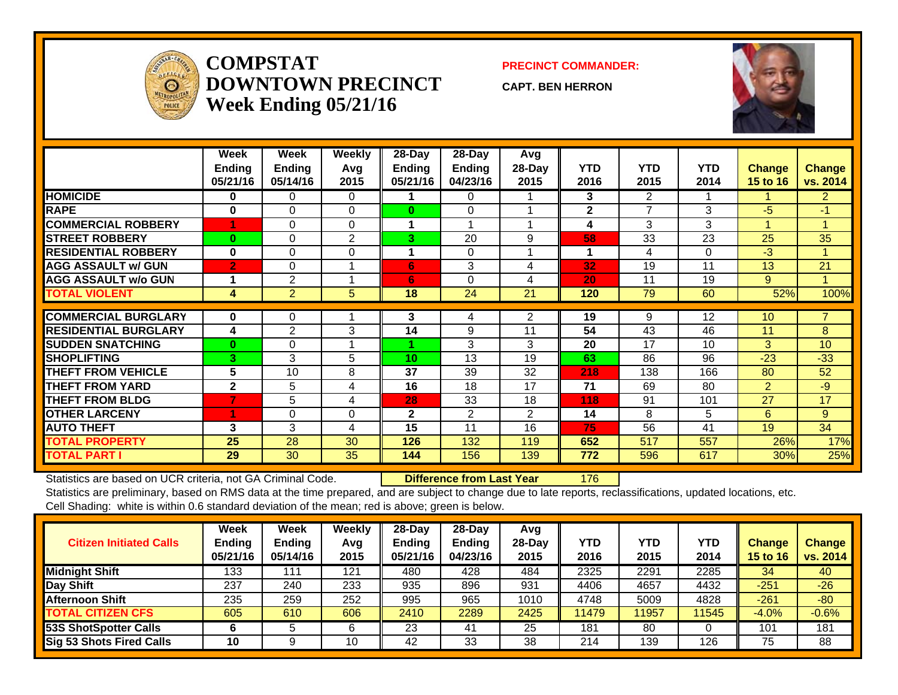

#### **COMPSTATDOWNTOWN PRECINCTWeek Ending 05/21/16**

#### **PRECINCT COMMANDER:**

**CAPT. BEN HERRON**



|                             | Week<br><b>Ending</b><br>05/21/16 | Week<br><b>Ending</b><br>05/14/16 | Weekly<br>Avq<br>2015 | 28-Day<br>Ending<br>05/21/16 | 28-Day<br>Ending<br>04/23/16 | Avg<br>28-Day<br>2015 | <b>YTD</b><br>2016 | <b>YTD</b><br>2015       | <b>YTD</b><br>2014 | <b>Change</b><br><b>15 to 16</b> | <b>Change</b><br>vs. 2014 |
|-----------------------------|-----------------------------------|-----------------------------------|-----------------------|------------------------------|------------------------------|-----------------------|--------------------|--------------------------|--------------------|----------------------------------|---------------------------|
| <b>HOMICIDE</b>             | 0                                 | 0                                 | $\Omega$              |                              | 0                            |                       | 3                  | $\overline{2}$           |                    |                                  | $\overline{2}$            |
| <b>RAPE</b>                 | $\bf{0}$                          | $\Omega$                          | $\Omega$              | $\bf{0}$                     | $\Omega$                     |                       | $\mathbf{2}$       | $\overline{\phantom{a}}$ | 3                  | -5                               | $-1$                      |
| <b>COMMERCIAL ROBBERY</b>   |                                   | $\Omega$                          | $\Omega$              | 1                            | 1                            |                       | 4                  | 3                        | 3                  | -1                               | -4                        |
| <b>STREET ROBBERY</b>       | $\bf{0}$                          | 0                                 | 2                     | 3                            | 20                           | 9                     | 58                 | 33                       | 23                 | 25                               | 35                        |
| <b>RESIDENTIAL ROBBERY</b>  | $\bf{0}$                          | $\Omega$                          | $\Omega$              | 1                            | $\Omega$                     |                       | 1                  | 4                        | $\Omega$           | -3                               |                           |
| <b>AGG ASSAULT w/ GUN</b>   | $\overline{2}$                    | 0                                 |                       | 6                            | 3                            | 4                     | 32                 | 19                       | 11                 | 13                               | 21                        |
| <b>AGG ASSAULT w/o GUN</b>  |                                   | 2                                 |                       | 6                            | $\Omega$                     | 4                     | 20                 | 11                       | 19                 | 9                                |                           |
| <b>TOTAL VIOLENT</b>        | 4                                 | $\overline{2}$                    | 5                     | 18                           | 24                           | 21                    | 120                | 79                       | 60                 | 52%                              | 100%                      |
|                             |                                   |                                   |                       |                              |                              |                       |                    |                          |                    |                                  |                           |
| <b>COMMERCIAL BURGLARY</b>  | $\bf{0}$                          | 0                                 |                       | 3                            | 4                            | 2                     | 19                 | 9                        | 12                 | 10                               |                           |
| <b>RESIDENTIAL BURGLARY</b> | 4                                 | 2                                 | 3                     | 14                           | 9                            | 11                    | 54                 | 43                       | 46                 | 11                               | 8                         |
| <b>SUDDEN SNATCHING</b>     | $\bf{0}$                          | $\Omega$                          |                       |                              | 3                            | 3                     | 20                 | 17                       | 10                 | 3                                | 10                        |
| <b>SHOPLIFTING</b>          | 3                                 | 3                                 | 5                     | 10                           | 13                           | 19                    | 63                 | 86                       | 96                 | $-23$                            | $-33$                     |
| <b>THEFT FROM VEHICLE</b>   | 5                                 | 10                                | 8                     | 37                           | 39                           | 32                    | 218                | 138                      | 166                | 80                               | 52                        |
| <b>THEFT FROM YARD</b>      | $\mathbf{2}$                      | 5                                 | 4                     | 16                           | 18                           | 17                    | 71                 | 69                       | 80                 | $\overline{2}$                   | $-9$                      |
| <b>THEFT FROM BLDG</b>      | 7                                 | 5                                 | 4                     | 28                           | 33                           | 18                    | 118                | 91                       | 101                | 27                               | 17                        |
| <b>OTHER LARCENY</b>        | ۹                                 | $\Omega$                          | $\Omega$              | $\mathbf{2}$                 | 2                            | $\overline{2}$        | 14                 | 8                        | 5                  | 6                                | 9                         |
| <b>AUTO THEFT</b>           | 3                                 | 3                                 | 4                     | 15                           | 11                           | 16                    | 75                 | 56                       | 41                 | 19                               | 34                        |
| <b>TOTAL PROPERTY</b>       | 25                                | 28                                | 30                    | 126                          | 132                          | 119                   | 652                | 517                      | 557                | 26%                              | 17%                       |
| <b>TOTAL PART I</b>         | 29                                | 30                                | 35                    | 144                          | 156                          | 139                   | 772                | 596                      | 617                | 30%                              | 25%                       |

Statistics are based on UCR criteria, not GA Criminal Code. **Difference from Last Year** 176

| <b>Citizen Initiated Calls</b>  | Week<br><b>Ending</b><br>05/21/16 | Week<br><b>Ending</b><br>05/14/16 | Weekly<br>Avg<br>2015 | $28$ -Dav<br><b>Ending</b><br>05/21/16 | $28$ -Dav<br><b>Ending</b><br>04/23/16 | Avg<br>$28$ -Day<br>2015 | <b>YTD</b><br>2016 | <b>YTD</b><br>2015 | <b>YTD</b><br>2014 | <b>Change</b><br>15 to 16 | <b>Change</b><br>vs. 2014 |
|---------------------------------|-----------------------------------|-----------------------------------|-----------------------|----------------------------------------|----------------------------------------|--------------------------|--------------------|--------------------|--------------------|---------------------------|---------------------------|
| <b>Midnight Shift</b>           | 133                               | 11                                | 121                   | 480                                    | 428                                    | 484                      | 2325               | 2291               | 2285               | 34                        | 40                        |
| Day Shift                       | 237                               | 240                               | 233                   | 935                                    | 896                                    | 931                      | 4406               | 4657               | 4432               | $-251$                    | $-26$                     |
| <b>Afternoon Shift</b>          | 235                               | 259                               | 252                   | 995                                    | 965                                    | 1010                     | 4748               | 5009               | 4828               | $-261$                    | $-80$                     |
| <b>TOTAL CITIZEN CFS</b>        | 605                               | 610                               | 606                   | 2410                                   | 2289                                   | 2425                     | 11479              | 11957              | 11545              | $-4.0%$                   | $-0.6%$                   |
| 53S ShotSpotter Calls           |                                   |                                   | 6                     | 23                                     | 41                                     | 25                       | 181                | 80                 |                    | 101                       | 181                       |
| <b>Sig 53 Shots Fired Calls</b> | 10                                |                                   | 10                    | 42                                     | 33                                     | 38                       | 214                | 139                | 126                | 75                        | 88                        |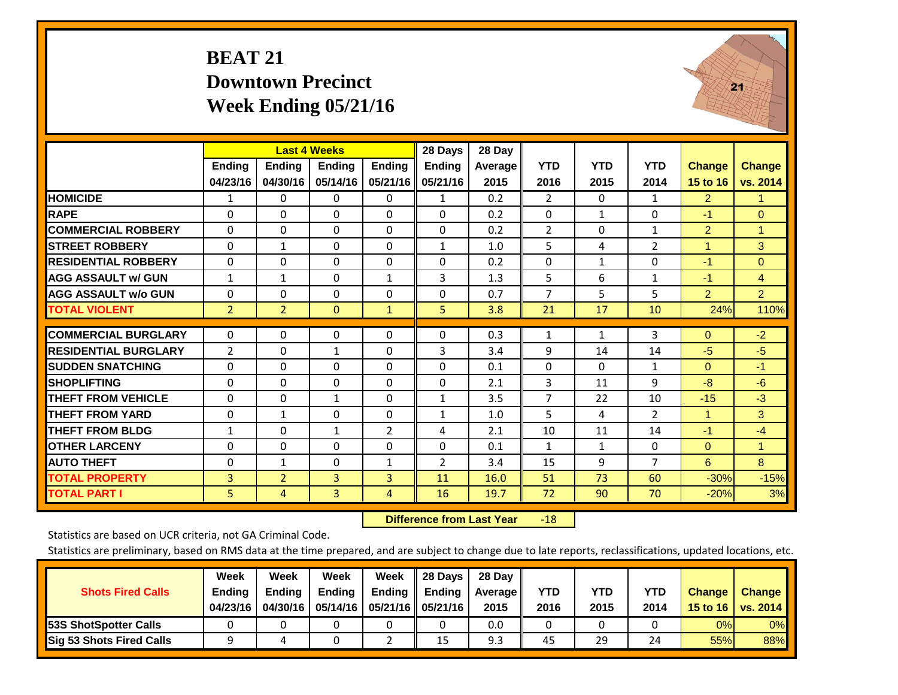#### **BEAT 21 Downtown Precinct Week Ending 05/21/16**



|                             |                | <b>Last 4 Weeks</b> |                |                | 28 Days       | 28 Day  |                |              |                |                      |                |
|-----------------------------|----------------|---------------------|----------------|----------------|---------------|---------|----------------|--------------|----------------|----------------------|----------------|
|                             | <b>Ending</b>  | <b>Ending</b>       | <b>Ending</b>  | <b>Ending</b>  | <b>Ending</b> | Average | <b>YTD</b>     | <b>YTD</b>   | <b>YTD</b>     | <b>Change</b>        | <b>Change</b>  |
|                             | 04/23/16       | 04/30/16            | 05/14/16       | 05/21/16       | 05/21/16      | 2015    | 2016           | 2015         | 2014           | 15 to 16             | vs. 2014       |
| <b>HOMICIDE</b>             | 1              | $\mathbf{0}$        | 0              | 0              | 1             | 0.2     | $\overline{2}$ | $\Omega$     | 1              | $\overline{2}$       | 1.             |
| <b>RAPE</b>                 | $\Omega$       | 0                   | $\Omega$       | $\Omega$       | 0             | 0.2     | $\Omega$       | 1            | 0              | $-1$                 | $\Omega$       |
| <b>COMMERCIAL ROBBERY</b>   | $\Omega$       | $\Omega$            | $\Omega$       | $\Omega$       | $\Omega$      | 0.2     | $\overline{2}$ | $\Omega$     | $\mathbf{1}$   | $\overline{2}$       | 1              |
| <b>STREET ROBBERY</b>       | $\Omega$       | $\mathbf{1}$        | $\Omega$       | $\Omega$       | $\mathbf{1}$  | 1.0     | 5              | 4            | $\overline{2}$ | 1                    | 3              |
| <b>RESIDENTIAL ROBBERY</b>  | $\Omega$       | $\Omega$            | $\Omega$       | $\Omega$       | 0             | 0.2     | $\mathbf{0}$   | $\mathbf{1}$ | $\Omega$       | $-1$                 | $\mathbf{0}$   |
| <b>AGG ASSAULT w/ GUN</b>   | $\mathbf{1}$   | $\mathbf{1}$        | $\Omega$       | $\mathbf{1}$   | 3             | 1.3     | 5              | 6            | $\mathbf{1}$   | -1                   | $\overline{4}$ |
| <b>AGG ASSAULT w/o GUN</b>  | $\Omega$       | $\Omega$            | $\Omega$       | $\Omega$       | 0             | 0.7     | 7              | 5            | 5              | $\overline{2}$       | $\overline{2}$ |
| <b>TOTAL VIOLENT</b>        | $\overline{2}$ | $\overline{2}$      | $\mathbf{0}$   | $\mathbf{1}$   | 5             | 3.8     | 21             | 17           | 10             | 24%                  | 110%           |
|                             |                |                     |                |                |               |         |                |              |                |                      |                |
| <b>COMMERCIAL BURGLARY</b>  | $\mathbf 0$    | $\Omega$            | 0              | $\Omega$       | $\Omega$      | 0.3     | $\mathbf{1}$   | $\mathbf{1}$ | 3              | $\Omega$             | $-2$           |
| <b>RESIDENTIAL BURGLARY</b> | 2              | $\Omega$            | $\mathbf{1}$   | 0              | 3             | 3.4     | 9              | 14           | 14             | $-5$                 | $-5$           |
| <b>ISUDDEN SNATCHING</b>    | $\Omega$       | $\Omega$            | $\Omega$       | $\Omega$       | 0             | 0.1     | $\Omega$       | $\Omega$     | $\mathbf{1}$   | $\Omega$             | $-1$           |
| <b>SHOPLIFTING</b>          | $\Omega$       | $\Omega$            | $\Omega$       | $\Omega$       | 0             | 2.1     | 3              | 11           | 9              | -8                   | $-6$           |
| <b>THEFT FROM VEHICLE</b>   | $\Omega$       | $\Omega$            | $\mathbf{1}$   | $\Omega$       | $\mathbf{1}$  | 3.5     | $\overline{7}$ | 22           | 10             | $-15$                | $-3$           |
| <b>THEFT FROM YARD</b>      | $\Omega$       | $\mathbf{1}$        | $\Omega$       | $\Omega$       | $\mathbf{1}$  | 1.0     | 5              | 4            | $\overline{2}$ | $\blacktriangleleft$ | 3              |
| <b>THEFT FROM BLDG</b>      | $\mathbf{1}$   | $\Omega$            | 1              | $\overline{2}$ | 4             | 2.1     | 10             | 11           | 14             | $-1$                 | $-4$           |
| <b>OTHER LARCENY</b>        | $\Omega$       | $\Omega$            | $\Omega$       | $\Omega$       | 0             | 0.1     | $\mathbf{1}$   | $\mathbf{1}$ | 0              | $\mathbf{0}$         | 1              |
| <b>AUTO THEFT</b>           | $\mathbf 0$    | $\mathbf{1}$        | $\Omega$       | $\mathbf{1}$   | 2             | 3.4     | 15             | 9            | $\overline{7}$ | 6                    | 8              |
| <b>TOTAL PROPERTY</b>       | 3              | $\overline{2}$      | 3              | 3              | 11            | 16.0    | 51             | 73           | 60             | $-30%$               | $-15%$         |
| <b>TOTAL PART I</b>         | 5              | 4                   | $\overline{3}$ | 4              | 16            | 19.7    | 72             | 90           | 70             | $-20%$               | 3%             |

 **Difference from Last Year**r -18

Statistics are based on UCR criteria, not GA Criminal Code.

| <b>Shots Fired Calls</b>        | Week<br><b>Ending</b><br>04/23/16 | Week<br><b>Endina</b><br>04/30/16 | Week<br>Ending | Week<br>Ending | 28 Days<br><b>Ending</b><br>05/14/16   05/21/16   05/21/16 | 28 Day<br>Average II<br>2015 | YTD<br>2016 | YTD<br>2015 | YTD<br>2014 | <b>Change</b><br>15 to 16 | <b>Change</b><br>vs. 2014 |
|---------------------------------|-----------------------------------|-----------------------------------|----------------|----------------|------------------------------------------------------------|------------------------------|-------------|-------------|-------------|---------------------------|---------------------------|
| <b>153S ShotSpotter Calls</b>   |                                   |                                   |                |                |                                                            | 0.0                          |             |             |             | 0%                        | 0%                        |
| <b>Sig 53 Shots Fired Calls</b> |                                   |                                   |                |                | 15                                                         | 9.3                          | 45          | 29          | 24          | 55%                       | 88%                       |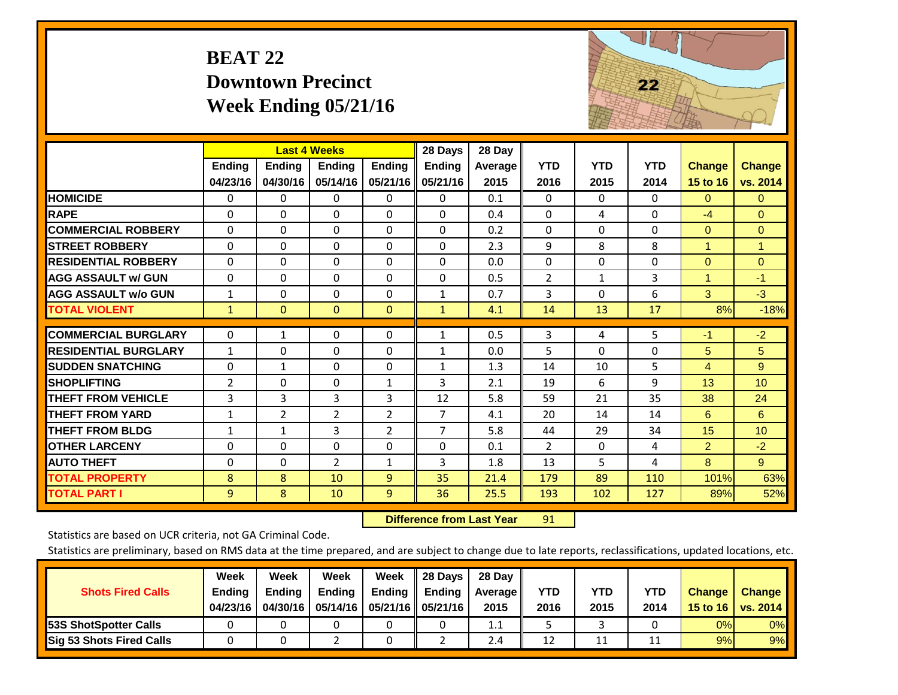## **BEAT 22 Downtown Precinct Week Ending 05/21/16**



|                             |                | <b>Last 4 Weeks</b> |                |                | 28 Days        | 28 Day         |                |            |            |                      |                 |
|-----------------------------|----------------|---------------------|----------------|----------------|----------------|----------------|----------------|------------|------------|----------------------|-----------------|
|                             | Ending         | <b>Ending</b>       | <b>Endina</b>  | <b>Ending</b>  | <b>Ending</b>  | <b>Average</b> | <b>YTD</b>     | <b>YTD</b> | <b>YTD</b> | <b>Change</b>        | <b>Change</b>   |
|                             | 04/23/16       | 04/30/16            | 05/14/16       | 05/21/16       | 05/21/16       | 2015           | 2016           | 2015       | 2014       | 15 to 16             | vs. 2014        |
| <b>HOMICIDE</b>             | 0              | 0                   | 0              | $\Omega$       | 0              | 0.1            | $\Omega$       | $\Omega$   | $\Omega$   | $\mathbf{0}$         | $\mathbf{0}$    |
| <b>RAPE</b>                 | $\Omega$       | 0                   | $\Omega$       | $\Omega$       | $\Omega$       | 0.4            | $\mathbf{0}$   | 4          | 0          | $-4$                 | $\overline{0}$  |
| <b>COMMERCIAL ROBBERY</b>   | $\Omega$       | $\Omega$            | $\Omega$       | $\Omega$       | $\Omega$       | 0.2            | $\Omega$       | $\Omega$   | $\Omega$   | $\Omega$             | $\Omega$        |
| <b>STREET ROBBERY</b>       | $\Omega$       | 0                   | $\Omega$       | $\Omega$       | $\Omega$       | 2.3            | 9              | 8          | 8          | $\overline{1}$       | 1               |
| <b>RESIDENTIAL ROBBERY</b>  | $\Omega$       | 0                   | $\mathbf{0}$   | $\Omega$       | $\Omega$       | 0.0            | $\mathbf{0}$   | $\Omega$   | 0          | $\Omega$             | $\mathbf{0}$    |
| <b>AGG ASSAULT W/ GUN</b>   | $\Omega$       | 0                   | $\Omega$       | $\Omega$       | $\Omega$       | 0.5            | $\overline{2}$ | 1          | 3          | $\blacktriangleleft$ | $-1$            |
| <b>AGG ASSAULT w/o GUN</b>  | $\mathbf{1}$   | 0                   | $\Omega$       | $\Omega$       | $\mathbf{1}$   | 0.7            | 3              | 0          | 6          | 3                    | $-3$            |
| <b>TOTAL VIOLENT</b>        | $\mathbf{1}$   | $\overline{0}$      | $\mathbf{0}$   | $\mathbf{0}$   | $\mathbf{1}$   | 4.1            | 14             | 13         | 17         | 8%                   | $-18%$          |
|                             |                |                     |                |                |                |                |                |            |            |                      |                 |
| <b>COMMERCIAL BURGLARY</b>  | 0              | 1                   | $\mathbf 0$    | 0              | 1              | 0.5            | 3              | 4          | 5          | $-1$                 | $-2$            |
| <b>RESIDENTIAL BURGLARY</b> | $\mathbf{1}$   | 0                   | $\Omega$       | $\Omega$       | $\mathbf{1}$   | 0.0            | 5              | $\Omega$   | $\Omega$   | 5                    | 5               |
| <b>SUDDEN SNATCHING</b>     | $\Omega$       | $\mathbf{1}$        | $\Omega$       | $\Omega$       | $\mathbf{1}$   | 1.3            | 14             | 10         | 5          | 4                    | 9               |
| <b>SHOPLIFTING</b>          | $\overline{2}$ | 0                   | $\Omega$       | $\mathbf{1}$   | 3              | 2.1            | 19             | 6          | 9          | 13                   | 10              |
| <b>THEFT FROM VEHICLE</b>   | $\overline{3}$ | 3                   | 3              | 3              | 12             | 5.8            | 59             | 21         | 35         | 38                   | 24              |
| <b>THEFT FROM YARD</b>      | $\mathbf{1}$   | $\overline{2}$      | $\overline{2}$ | $\overline{2}$ | $\overline{7}$ | 4.1            | 20             | 14         | 14         | 6                    | 6               |
| <b>THEFT FROM BLDG</b>      | $\mathbf{1}$   | 1                   | 3              | $\overline{2}$ | $\overline{7}$ | 5.8            | 44             | 29         | 34         | 15                   | 10 <sup>1</sup> |
| <b>OTHER LARCENY</b>        | $\Omega$       | $\Omega$            | $\Omega$       | $\Omega$       | $\Omega$       | 0.1            | $\overline{2}$ | $\Omega$   | 4          | $\overline{2}$       | $-2$            |
| <b>AUTO THEFT</b>           | $\Omega$       | 0                   | $\overline{2}$ | $\mathbf{1}$   | 3              | 1.8            | 13             | 5          | 4          | 8                    | 9 <sup>°</sup>  |
| <b>TOTAL PROPERTY</b>       | 8              | 8                   | 10             | $\overline{9}$ | 35             | 21.4           | 179            | 89         | 110        | 101%                 | 63%             |
| <b>TOTAL PART I</b>         | 9              | 8                   | 10             | $\overline{9}$ | 36             | 25.5           | 193            | 102        | 127        | 89%                  | 52%             |

 **Difference from Last Year**r 91

Statistics are based on UCR criteria, not GA Criminal Code.

|                                 | Week          | Week          | <b>Week</b> | Week   | 28 Days       | 28 Day     |      |      |      |                  |                 |
|---------------------------------|---------------|---------------|-------------|--------|---------------|------------|------|------|------|------------------|-----------------|
| <b>Shots Fired Calls</b>        | <b>Ending</b> | <b>Ending</b> | Ending      | Ending | <b>Ending</b> | Average II | YTD  | YTD  | YTD  | <b>Change</b>    | <b>Change</b>   |
|                                 | 04/23/16      | 04/30/16      | 05/14/16    |        |               | 2015       | 2016 | 2015 | 2014 | 15 to 16 $\vert$ | <b>VS. 2014</b> |
| <b>153S ShotSpotter Calls</b>   |               |               |             |        |               | 1.1        |      |      |      | 0%               | 0%              |
| <b>Sig 53 Shots Fired Calls</b> |               |               |             |        |               | 2.4        | 12   | 11   |      | 9%               | 9%              |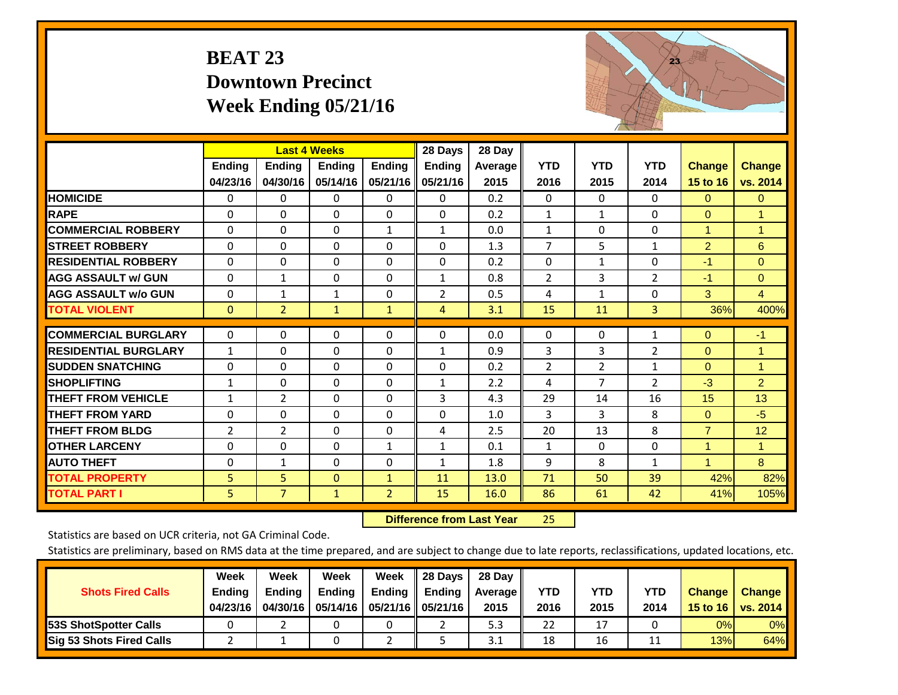## **BEAT 23 Downtown Precinct Week Ending 05/21/16**



|                             |               |                | <b>Last 4 Weeks</b> |                | 28 Days       | 28 Day  |                |                |                |                |                |
|-----------------------------|---------------|----------------|---------------------|----------------|---------------|---------|----------------|----------------|----------------|----------------|----------------|
|                             | <b>Ending</b> | <b>Ending</b>  | <b>Ending</b>       | <b>Endina</b>  | <b>Ending</b> | Average | <b>YTD</b>     | <b>YTD</b>     | <b>YTD</b>     | <b>Change</b>  | <b>Change</b>  |
|                             | 04/23/16      | 04/30/16       | 05/14/16            | 05/21/16       | 05/21/16      | 2015    | 2016           | 2015           | 2014           | 15 to 16       | vs. 2014       |
| <b>HOMICIDE</b>             | 0             | $\mathbf{0}$   | 0                   | 0              | $\Omega$      | 0.2     | $\mathbf{0}$   | $\mathbf{0}$   | 0              | $\Omega$       | $\overline{0}$ |
| <b>RAPE</b>                 | $\Omega$      | $\Omega$       | $\Omega$            | $\Omega$       | $\Omega$      | 0.2     | $\mathbf{1}$   | $\mathbf{1}$   | $\Omega$       | $\Omega$       | 1              |
| <b>COMMERCIAL ROBBERY</b>   | $\Omega$      | $\Omega$       | 0                   | $\mathbf{1}$   | $\mathbf{1}$  | 0.0     | 1              | 0              | 0              | $\mathbf{1}$   | 1              |
| <b>STREET ROBBERY</b>       | $\Omega$      | $\Omega$       | $\Omega$            | $\Omega$       | 0             | 1.3     | $\overline{7}$ | 5              | $\mathbf{1}$   | $\overline{2}$ | 6              |
| <b>RESIDENTIAL ROBBERY</b>  | $\Omega$      | $\Omega$       | $\Omega$            | $\Omega$       | $\Omega$      | 0.2     | $\Omega$       | 1              | 0              | $-1$           | $\Omega$       |
| <b>AGG ASSAULT w/ GUN</b>   | $\Omega$      | $\mathbf{1}$   | $\Omega$            | $\Omega$       | $\mathbf{1}$  | 0.8     | $\overline{2}$ | 3              | $\overline{2}$ | $-1$           | $\Omega$       |
| <b>AGG ASSAULT w/o GUN</b>  | $\Omega$      | $\mathbf{1}$   | $\mathbf{1}$        | 0              | 2             | 0.5     | 4              | $\mathbf{1}$   | $\Omega$       | 3              | $\overline{4}$ |
| <b>TOTAL VIOLENT</b>        | $\mathbf{0}$  | $\overline{2}$ | $\mathbf{1}$        | $\mathbf{1}$   | 4             | 3.1     | 15             | 11             | 3              | 36%            | 400%           |
|                             |               |                |                     |                |               |         |                |                |                |                |                |
| <b>COMMERCIAL BURGLARY</b>  | $\Omega$      | $\Omega$       | $\Omega$            | $\Omega$       | 0             | 0.0     | 0              | $\Omega$       | 1              | $\mathbf{0}$   | $-1$           |
| <b>RESIDENTIAL BURGLARY</b> | $\mathbf{1}$  | $\Omega$       | $\Omega$            | 0              | $\mathbf{1}$  | 0.9     | 3              | 3              | $\overline{2}$ | $\Omega$       | $\mathbf{1}$   |
| <b>SUDDEN SNATCHING</b>     | $\Omega$      | 0              | $\Omega$            | $\Omega$       | 0             | 0.2     | $\overline{2}$ | $\overline{2}$ | $\mathbf{1}$   | $\mathbf{0}$   | 1              |
| <b>SHOPLIFTING</b>          | $\mathbf{1}$  | $\Omega$       | $\Omega$            | 0              | $\mathbf{1}$  | 2.2     | 4              | 7              | $\overline{2}$ | $-3$           | $\overline{2}$ |
| <b>THEFT FROM VEHICLE</b>   | $\mathbf{1}$  | $\overline{2}$ | $\Omega$            | $\Omega$       | 3             | 4.3     | 29             | 14             | 16             | 15             | 13             |
| <b>THEFT FROM YARD</b>      | $\Omega$      | $\Omega$       | $\Omega$            | $\Omega$       | $\Omega$      | 1.0     | $\overline{3}$ | 3              | 8              | $\Omega$       | $-5$           |
| <b>THEFT FROM BLDG</b>      | 2             | 2              | $\Omega$            | $\Omega$       | 4             | 2.5     | 20             | 13             | 8              | $\overline{7}$ | 12             |
| <b>OTHER LARCENY</b>        | 0             | $\Omega$       | $\Omega$            | $\mathbf{1}$   | $\mathbf{1}$  | 0.1     | 1              | $\Omega$       | 0              | 1              | 1              |
| <b>AUTO THEFT</b>           | $\mathbf 0$   | $\mathbf{1}$   | $\Omega$            | 0              | $\mathbf{1}$  | 1.8     | 9              | 8              | $\mathbf{1}$   | $\overline{1}$ | 8              |
| <b>TOTAL PROPERTY</b>       | 5             | 5              | $\mathbf{0}$        | $\mathbf{1}$   | 11            | 13.0    | 71             | 50             | 39             | 42%            | 82%            |
| <b>TOTAL PART I</b>         | 5             | $\overline{7}$ | $\mathbf{1}$        | $\overline{2}$ | 15            | 16.0    | 86             | 61             | 42             | 41%            | 105%           |

 **Difference from Last Year**25

Statistics are based on UCR criteria, not GA Criminal Code.

| <b>Shots Fired Calls</b>        | Week<br><b>Ending</b><br>04/23/16 | Week<br><b>Endina</b><br>04/30/16 | Week<br>Ending | Week<br>Ending | 28 Days<br><b>Ending</b><br>05/14/16   05/21/16   05/21/16 | 28 Day<br>Average II<br>2015 | YTD<br>2016 | YTD<br>2015 | YTD<br>2014 | <b>Change</b><br>15 to 16 | <b>Change</b><br>vs. 2014 |
|---------------------------------|-----------------------------------|-----------------------------------|----------------|----------------|------------------------------------------------------------|------------------------------|-------------|-------------|-------------|---------------------------|---------------------------|
| <b>153S ShotSpotter Calls</b>   |                                   |                                   |                |                |                                                            | 5.3                          | 22          | 17          |             | 0%                        | 0%                        |
| <b>Sig 53 Shots Fired Calls</b> |                                   |                                   |                |                |                                                            | 3.1                          | 18          | 16          |             | 13%                       | 64%                       |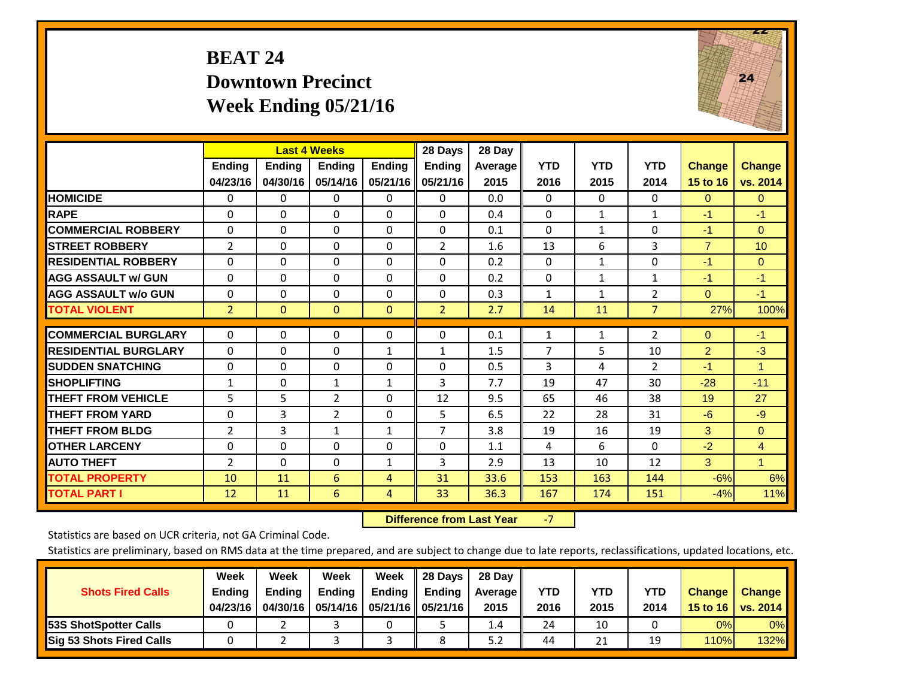#### **BEAT 24 Downtown Precinct Week Ending 05/21/16**



|                             |                           | <b>Last 4 Weeks</b> |                    |                           | 28 Days                   | 28 Day            |                    |                    |                    |                           |                           |
|-----------------------------|---------------------------|---------------------|--------------------|---------------------------|---------------------------|-------------------|--------------------|--------------------|--------------------|---------------------------|---------------------------|
|                             | <b>Ending</b><br>04/23/16 | Ending<br>04/30/16  | Ending<br>05/14/16 | <b>Ending</b><br>05/21/16 | <b>Endina</b><br>05/21/16 | Average  <br>2015 | <b>YTD</b><br>2016 | <b>YTD</b><br>2015 | <b>YTD</b><br>2014 | <b>Change</b><br>15 to 16 | <b>Change</b><br>vs. 2014 |
| <b>HOMICIDE</b>             | 0                         | 0                   | $\Omega$           | $\mathbf{0}$              | 0                         | 0.0               | $\Omega$           | 0                  | 0                  | $\Omega$                  | $\mathbf{0}$              |
| <b>RAPE</b>                 | $\Omega$                  | $\Omega$            | $\Omega$           | $\Omega$                  | $\Omega$                  | 0.4               | $\mathbf{0}$       | $\mathbf{1}$       | $\mathbf{1}$       | $-1$                      | $-1$                      |
| <b>COMMERCIAL ROBBERY</b>   | $\Omega$                  | $\Omega$            | $\Omega$           | $\Omega$                  | $\Omega$                  | 0.1               | $\Omega$           | $\mathbf{1}$       | $\Omega$           | $-1$                      | $\Omega$                  |
| <b>ISTREET ROBBERY</b>      | $\overline{2}$            | 0                   | $\mathbf{0}$       | $\mathbf{0}$              | $\overline{2}$            | 1.6               | 13                 | 6                  | 3                  | $\overline{7}$            | 10                        |
| <b>RESIDENTIAL ROBBERY</b>  | $\Omega$                  | 0                   | $\mathbf{0}$       | $\Omega$                  | 0                         | 0.2               | $\mathbf{0}$       | $\mathbf{1}$       | 0                  | $-1$                      | $\mathbf{0}$              |
| <b>AGG ASSAULT w/ GUN</b>   | $\Omega$                  | 0                   | $\mathbf{0}$       | $\Omega$                  | $\Omega$                  | 0.2               | $\mathbf{0}$       | $\mathbf{1}$       | $\mathbf{1}$       | $-1$                      | $-1$                      |
| <b>AGG ASSAULT w/o GUN</b>  | 0                         | $\Omega$            | $\Omega$           | 0                         | $\Omega$                  | 0.3               | 1                  | $\mathbf{1}$       | $\overline{2}$     | $\Omega$                  | $-1$                      |
| <b>TOTAL VIOLENT</b>        | $\overline{2}$            | $\Omega$            | $\mathbf{0}$       | $\mathbf{0}$              | $\overline{2}$            | 2.7               | 14                 | 11                 | $\overline{7}$     | 27%                       | 100%                      |
| <b>COMMERCIAL BURGLARY</b>  | $\Omega$                  | $\Omega$            | $\mathbf{0}$       | 0                         | $\Omega$                  | 0.1               | $\mathbf{1}$       | $\mathbf{1}$       | $\overline{2}$     | $\Omega$                  | $-1$                      |
| <b>RESIDENTIAL BURGLARY</b> | $\Omega$                  | 0                   | $\mathbf{0}$       | 1                         | $\mathbf{1}$              | 1.5               | $\overline{7}$     | 5                  | 10                 | $\overline{2}$            | $-3$                      |
| <b>ISUDDEN SNATCHING</b>    | 0                         | 0                   | $\mathbf{0}$       | 0                         | $\Omega$                  | 0.5               | 3                  | 4                  | $\overline{2}$     | $-1$                      | $\mathbf{1}$              |
| <b>SHOPLIFTING</b>          | 1                         | 0                   | 1                  | 1                         | 3                         | 7.7               | 19                 | 47                 | 30                 | $-28$                     | $-11$                     |
| <b>THEFT FROM VEHICLE</b>   | 5                         | 5                   | 2                  | $\Omega$                  | 12                        | 9.5               | 65                 | 46                 | 38                 | 19                        | 27                        |
| <b>THEFT FROM YARD</b>      | $\Omega$                  | 3                   | 2                  | $\Omega$                  | 5                         | 6.5               | 22                 | 28                 | 31                 | $-6$                      | $-9$                      |
| <b>THEFT FROM BLDG</b>      | 2                         | 3                   | $\mathbf{1}$       | $\mathbf{1}$              | $\overline{7}$            | 3.8               | 19                 | 16                 | 19                 | 3                         | $\mathbf{0}$              |
| <b>OTHER LARCENY</b>        | $\Omega$                  | 0                   | $\Omega$           | $\Omega$                  | $\Omega$                  | 1.1               | 4                  | 6                  | 0                  | $-2$                      | 4                         |
| <b>AUTO THEFT</b>           | 2                         | $\Omega$            | $\Omega$           | $\mathbf{1}$              | 3                         | 2.9               | 13                 | 10                 | 12                 | 3                         | $\mathbf{1}$              |
| <b>TOTAL PROPERTY</b>       | 10                        | 11                  | 6                  | 4                         | 31                        | 33.6              | 153                | 163                | 144                | $-6%$                     | 6%                        |
| <b>TOTAL PART I</b>         | 12                        | 11                  | 6                  | 4                         | 33                        | 36.3              | 167                | 174                | 151                | $-4%$                     | 11%                       |

 **Difference from Last Year**‐7

Statistics are based on UCR criteria, not GA Criminal Code.

| <b>Shots Fired Calls</b>        | Week<br><b>Ending</b><br>04/23/16 | Week<br><b>Endina</b><br>04/30/16 | Week<br>Ending | Week<br>Ending<br>05/14/16   05/21/16   05/21/16 | 28 Days<br><b>Ending</b> | 28 Day<br>Average II<br>2015 | YTD<br>2016 | YTD<br>2015 | YTD<br>2014 | <b>Change</b><br>15 to 16 | <b>Change</b><br>vs. 2014 |
|---------------------------------|-----------------------------------|-----------------------------------|----------------|--------------------------------------------------|--------------------------|------------------------------|-------------|-------------|-------------|---------------------------|---------------------------|
| <b>153S ShotSpotter Calls</b>   |                                   |                                   |                |                                                  |                          | 1.4                          | 24          | 10          |             | 0%                        | 0%                        |
| <b>Sig 53 Shots Fired Calls</b> |                                   |                                   |                |                                                  |                          | 5.2                          | 44          | 21          | 19          | 110%                      | 132%                      |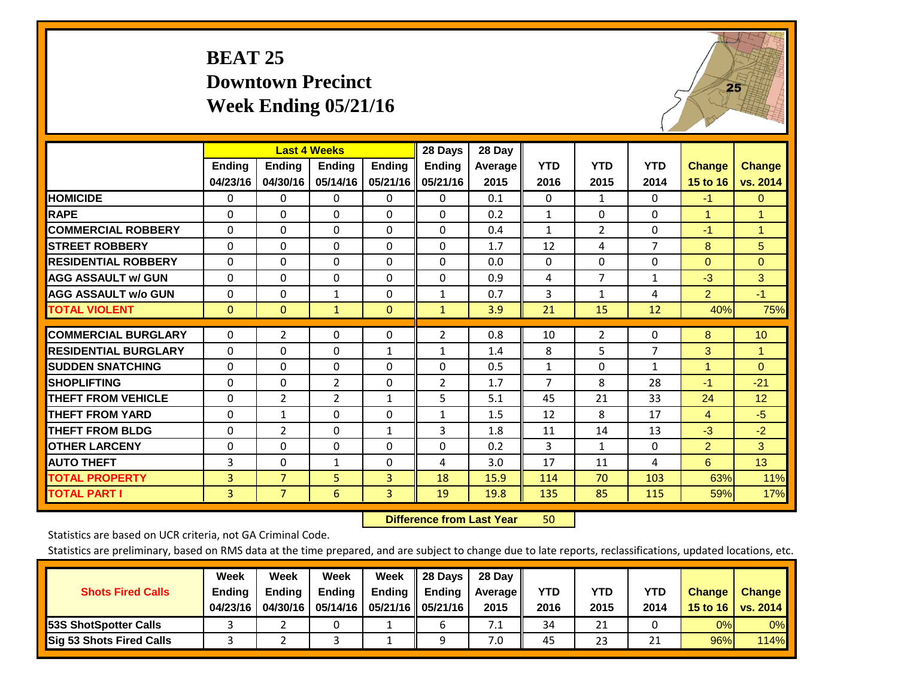### **BEAT 25 Downtown Precinct Week Ending 05/21/16**



|                             |               | <b>Last 4 Weeks</b> |                |               | 28 Days        | 28 Day  |                |                |                |                |               |
|-----------------------------|---------------|---------------------|----------------|---------------|----------------|---------|----------------|----------------|----------------|----------------|---------------|
|                             | <b>Ending</b> | Ending              | <b>Ending</b>  | <b>Ending</b> | <b>Ending</b>  | Average | <b>YTD</b>     | <b>YTD</b>     | <b>YTD</b>     | <b>Change</b>  | <b>Change</b> |
|                             | 04/23/16      | 04/30/16            | 05/14/16       | 05/21/16      | 05/21/16       | 2015    | 2016           | 2015           | 2014           | 15 to 16       | vs. 2014      |
| <b>HOMICIDE</b>             | 0             | 0                   | 0              | 0             | $\Omega$       | 0.1     | $\mathbf{0}$   | $\mathbf{1}$   | 0              | $-1$           | $\mathbf{0}$  |
| <b>RAPE</b>                 | $\Omega$      | 0                   | $\Omega$       | 0             | 0              | 0.2     | $\mathbf{1}$   | 0              | 0              | 1              | $\mathbf{1}$  |
| <b>COMMERCIAL ROBBERY</b>   | $\Omega$      | $\Omega$            | $\mathbf{0}$   | $\Omega$      | $\Omega$       | 0.4     | 1              | $\overline{2}$ | $\Omega$       | $-1$           | $\mathbf{1}$  |
| <b>STREET ROBBERY</b>       | $\Omega$      | $\Omega$            | $\Omega$       | $\Omega$      | 0              | 1.7     | 12             | 4              | $\overline{7}$ | 8              | 5             |
| <b>RESIDENTIAL ROBBERY</b>  | $\Omega$      | $\Omega$            | $\Omega$       | $\Omega$      | $\Omega$       | 0.0     | $\mathbf{0}$   | 0              | 0              | $\mathbf{0}$   | $\Omega$      |
| <b>AGG ASSAULT w/ GUN</b>   | $\Omega$      | 0                   | $\Omega$       | $\Omega$      | 0              | 0.9     | 4              | $\overline{7}$ | 1              | $-3$           | 3             |
| <b>AGG ASSAULT w/o GUN</b>  | 0             | $\Omega$            | $\mathbf{1}$   | 0             | $\mathbf{1}$   | 0.7     | 3              | 1              | 4              | $\overline{2}$ | $-1$          |
| <b>TOTAL VIOLENT</b>        | $\mathbf{0}$  | $\mathbf{0}$        | $\mathbf{1}$   | $\mathbf{0}$  | $\mathbf{1}$   | 3.9     | 21             | 15             | 12             | 40%            | 75%           |
|                             |               |                     |                |               |                |         |                |                |                |                |               |
| <b>COMMERCIAL BURGLARY</b>  | $\Omega$      | 2                   | $\mathbf{0}$   | 0             | 2              | 0.8     | 10             | $\overline{2}$ | 0              | 8              | 10            |
| <b>RESIDENTIAL BURGLARY</b> | $\Omega$      | 0                   | $\Omega$       | 1             | 1              | 1.4     | 8              | 5              | 7              | 3              | 1             |
| <b>SUDDEN SNATCHING</b>     | $\Omega$      | 0                   | $\Omega$       | 0             | 0              | 0.5     | 1              | 0              | 1              | 1              | $\Omega$      |
| <b>SHOPLIFTING</b>          | $\Omega$      | $\Omega$            | $\overline{2}$ | 0             | $\overline{2}$ | 1.7     | $\overline{7}$ | 8              | 28             | $-1$           | $-21$         |
| <b>THEFT FROM VEHICLE</b>   | $\Omega$      | $\overline{2}$      | $\overline{2}$ | $\mathbf{1}$  | 5              | 5.1     | 45             | 21             | 33             | 24             | 12            |
| <b>THEFT FROM YARD</b>      | $\Omega$      | 1                   | $\Omega$       | $\Omega$      | $\mathbf{1}$   | 1.5     | 12             | 8              | 17             | $\overline{4}$ | $-5$          |
| <b>THEFT FROM BLDG</b>      | 0             | 2                   | $\Omega$       | $\mathbf{1}$  | 3              | 1.8     | 11             | 14             | 13             | $-3$           | $-2$          |
| <b>OTHER LARCENY</b>        | $\Omega$      | $\Omega$            | $\Omega$       | 0             | 0              | 0.2     | 3              | $\mathbf{1}$   | 0              | $\overline{2}$ | 3             |
| <b>AUTO THEFT</b>           | 3             | $\Omega$            | 1              | $\Omega$      | 4              | 3.0     | 17             | 11             | 4              | 6              | 13            |
| <b>TOTAL PROPERTY</b>       | 3             | $\overline{7}$      | 5              | 3             | 18             | 15.9    | 114            | 70             | 103            | 63%            | 11%           |
| <b>TOTAL PART I</b>         | 3             | $\overline{7}$      | 6              | 3             | 19             | 19.8    | 135            | 85             | 115            | 59%            | 17%           |

 **Difference from Last Year**r 50

Statistics are based on UCR criteria, not GA Criminal Code.

| <b>Shots Fired Calls</b>        | Week<br><b>Ending</b><br>04/23/16 | Week<br><b>Endina</b><br>04/30/16 | Week<br>Ending | Week<br>Ending<br>05/14/16   05/21/16   05/21/16 | 28 Days<br><b>Ending</b> | 28 Day<br>Average II<br>2015 | YTD<br>2016 | YTD<br>2015 | YTD<br>2014 | <b>Change</b><br>15 to 16 | <b>Change</b><br>vs. 2014 |
|---------------------------------|-----------------------------------|-----------------------------------|----------------|--------------------------------------------------|--------------------------|------------------------------|-------------|-------------|-------------|---------------------------|---------------------------|
| <b>153S ShotSpotter Calls</b>   |                                   |                                   |                |                                                  | b                        | 7.1                          | 34          | 21          |             | 0%                        | 0%                        |
| <b>Sig 53 Shots Fired Calls</b> |                                   |                                   |                |                                                  | Ω                        | 7.0                          | 45          | 23          | าง          | 96%                       | 114%                      |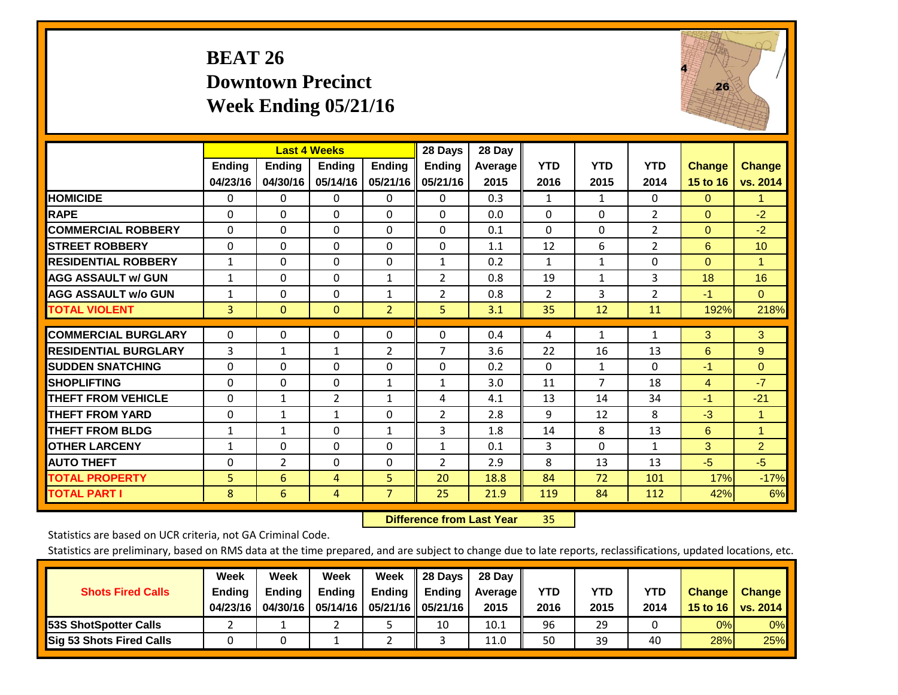## **BEAT 26 Downtown Precinct Week Ending 05/21/16**



|                             |               | <b>Last 4 Weeks</b> |                |                | 28 Days        | 28 Day     |                |              |                |                |                      |
|-----------------------------|---------------|---------------------|----------------|----------------|----------------|------------|----------------|--------------|----------------|----------------|----------------------|
|                             | <b>Ending</b> | <b>Ending</b>       | <b>Endina</b>  | <b>Ending</b>  | <b>Endina</b>  | Average II | <b>YTD</b>     | <b>YTD</b>   | <b>YTD</b>     | <b>Change</b>  | <b>Change</b>        |
|                             | 04/23/16      | 04/30/16            | 05/14/16       | 05/21/16       | 05/21/16       | 2015       | 2016           | 2015         | 2014           | 15 to 16       | vs. 2014             |
| <b>HOMICIDE</b>             | 0             | 0                   | $\Omega$       | $\Omega$       | 0              | 0.3        | 1              | 1            | 0              | $\mathbf{0}$   | -1                   |
| <b>RAPE</b>                 | $\Omega$      | $\Omega$            | $\Omega$       | $\Omega$       | $\Omega$       | 0.0        | $\Omega$       | $\Omega$     | $\overline{2}$ | $\Omega$       | $-2$                 |
| <b>COMMERCIAL ROBBERY</b>   | $\Omega$      | 0                   | $\Omega$       | $\Omega$       | $\Omega$       | 0.1        | $\Omega$       | $\mathbf{0}$ | 2              | $\mathbf{0}$   | $-2$                 |
| <b>ISTREET ROBBERY</b>      | $\Omega$      | $\Omega$            | $\Omega$       | $\Omega$       | $\Omega$       | 1.1        | 12             | 6            | $\overline{2}$ | 6              | 10 <sup>1</sup>      |
| <b>RESIDENTIAL ROBBERY</b>  | 1             | $\Omega$            | $\mathbf{0}$   | $\mathbf{0}$   | 1              | 0.2        | $\mathbf{1}$   | 1            | 0              | $\Omega$       | 1                    |
| <b>AGG ASSAULT w/ GUN</b>   | $\mathbf{1}$  | 0                   | $\Omega$       | 1              | $\overline{2}$ | 0.8        | 19             | 1            | 3              | 18             | 16                   |
| <b>AGG ASSAULT w/o GUN</b>  | 1             | 0                   | $\Omega$       | 1              | $\overline{2}$ | 0.8        | $\overline{2}$ | 3            | $\overline{2}$ | $-1$           | $\Omega$             |
| <b>TOTAL VIOLENT</b>        | 3             | $\mathbf{0}$        | $\mathbf{0}$   | $\overline{2}$ | 5              | 3.1        | 35             | 12           | 11             | 192%           | 218%                 |
|                             |               |                     |                |                |                |            |                |              |                |                |                      |
| <b>COMMERCIAL BURGLARY</b>  | $\Omega$      | 0                   | $\mathbf 0$    | 0              | $\Omega$       | 0.4        | 4              | 1            | 1              | 3              | 3                    |
| <b>RESIDENTIAL BURGLARY</b> | 3             | 1                   | $\mathbf{1}$   | 2              | 7              | 3.6        | 22             | 16           | 13             | 6              | 9                    |
| <b>SUDDEN SNATCHING</b>     | 0             | 0                   | $\mathbf{0}$   | $\mathbf{0}$   | $\Omega$       | 0.2        | $\Omega$       | 1            | $\Omega$       | $-1$           | $\mathbf{0}$         |
| <b>SHOPLIFTING</b>          | $\Omega$      | 0                   | $\Omega$       | 1              | 1              | 3.0        | 11             | 7            | 18             | $\overline{4}$ | $-7$                 |
| <b>THEFT FROM VEHICLE</b>   | $\Omega$      | $\mathbf{1}$        | $\overline{2}$ | $\mathbf{1}$   | 4              | 4.1        | 13             | 14           | 34             | $-1$           | $-21$                |
| <b>THEFT FROM YARD</b>      | $\Omega$      | $\mathbf{1}$        | $\mathbf{1}$   | $\Omega$       | $\overline{2}$ | 2.8        | 9              | 12           | 8              | $-3$           | $\blacktriangleleft$ |
| <b>THEFT FROM BLDG</b>      | 1             | $\mathbf{1}$        | $\mathbf{0}$   | 1              | 3              | 1.8        | 14             | 8            | 13             | 6              | $\blacktriangleleft$ |
| <b>OTHER LARCENY</b>        | 1             | $\Omega$            | $\Omega$       | $\mathbf{0}$   | $\mathbf{1}$   | 0.1        | 3              | $\Omega$     | $\mathbf{1}$   | 3              | $\overline{2}$       |
| <b>AUTO THEFT</b>           | $\Omega$      | $\overline{2}$      | $\Omega$       | $\Omega$       | $\overline{2}$ | 2.9        | 8              | 13           | 13             | $-5$           | $-5$                 |
| <b>TOTAL PROPERTY</b>       | 5             | 6                   | 4              | 5              | 20             | 18.8       | 84             | 72           | 101            | 17%            | $-17%$               |
| <b>TOTAL PART I</b>         | 8             | 6                   | 4              | $\overline{7}$ | 25             | 21.9       | 119            | 84           | 112            | 42%            | 6%                   |

 **Difference from Last Year**r 35

Statistics are based on UCR criteria, not GA Criminal Code.

| <b>Shots Fired Calls</b>        | Week<br><b>Ending</b><br>04/23/16 | Week<br><b>Endina</b><br>04/30/16 | <b>Week</b><br>Ending | Week<br>Ending<br>05/14/16   05/21/16   05/21/16 | 28 Days<br><b>Ending</b> | 28 Day<br>Average II<br>2015 | YTD<br>2016 | YTD<br>2015 | YTD<br>2014 | <b>Change</b><br>15 to 16 | <b>Change</b><br>vs. 2014 |
|---------------------------------|-----------------------------------|-----------------------------------|-----------------------|--------------------------------------------------|--------------------------|------------------------------|-------------|-------------|-------------|---------------------------|---------------------------|
| <b>153S ShotSpotter Calls</b>   |                                   |                                   |                       |                                                  | 10                       | 10.1                         | 96          | 29          |             | 0%                        | 0%                        |
| <b>Sig 53 Shots Fired Calls</b> |                                   |                                   |                       |                                                  |                          | 11.0                         | 50          | 39          | 40          | 28%                       | 25%                       |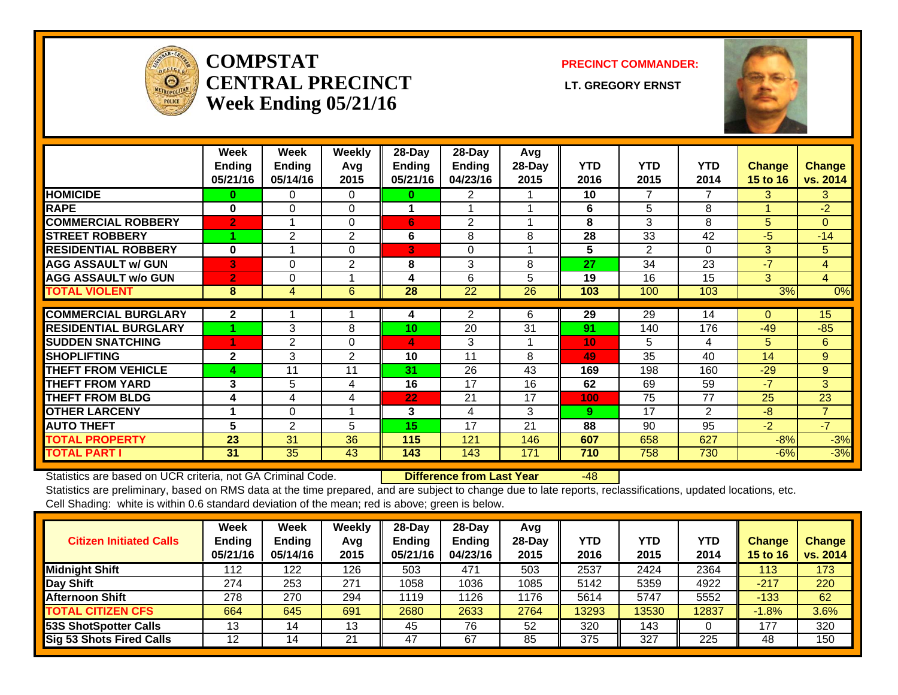

#### **COMPSTATCENTRAL PRECINCT** LT. GREGORY ERNST **Week Ending 05/21/16**

**PRECINCT COMMANDER:**



|                             | Week<br><b>Ending</b> | Week<br><b>Ending</b> | Weekly<br>Avq | 28-Day<br>Ending | 28-Day<br>Ending | Avg<br>28-Day | <b>YTD</b> | <b>YTD</b>     | <b>YTD</b>     |                                  | <b>Change</b>  |
|-----------------------------|-----------------------|-----------------------|---------------|------------------|------------------|---------------|------------|----------------|----------------|----------------------------------|----------------|
|                             | 05/21/16              | 05/14/16              | 2015          | 05/21/16         | 04/23/16         | 2015          | 2016       | 2015           | 2014           | <b>Change</b><br><b>15 to 16</b> | vs. 2014       |
| <b>HOMICIDE</b>             | 0                     | 0                     | $\Omega$      | 0                | 2                |               | 10         | 7              | 7              | 3.                               | 3              |
| <b>RAPE</b>                 | $\bf{0}$              | $\Omega$              | $\Omega$      |                  |                  |               | 6          | 5              | 8              |                                  | $-2$           |
| <b>COMMERCIAL ROBBERY</b>   | $\overline{2}$        |                       | $\Omega$      | 6                | $\overline{2}$   |               | 8          | 3              | 8              | 5                                | $\Omega$       |
| <b>STREET ROBBERY</b>       |                       | 2                     | 2             | 6                | 8                | 8             | 28         | 33             | 42             | -5                               | $-14$          |
| <b>RESIDENTIAL ROBBERY</b>  | $\bf{0}$              |                       | $\Omega$      | 3                | $\Omega$         |               | 5          | $\overline{2}$ | $\Omega$       | 3                                | 5              |
| <b>AGG ASSAULT w/ GUN</b>   | 3                     | $\Omega$              | 2             | 8                | 3                | 8             | 27         | 34             | 23             | $-7$                             | 4              |
| <b>AGG ASSAULT w/o GUN</b>  | $\overline{2}$        | 0                     |               | 4                | 6                | 5             | 19         | 16             | 15             | 3                                | $\overline{4}$ |
| <b>TOTAL VIOLENT</b>        | 8                     | 4                     | 6             | 28               | 22               | 26            | 103        | 100            | 103            | 3%                               | 0%             |
| <b>COMMERCIAL BURGLARY</b>  | $\mathbf{2}$          |                       |               | 4                | 2                | 6             | 29         | 29             | 14             | 0                                | 15             |
| <b>RESIDENTIAL BURGLARY</b> |                       | 3                     | 8             | 10               | 20               | 31            | 91         | 140            | 176            | $-49$                            | $-85$          |
| <b>SUDDEN SNATCHING</b>     | 4                     | 2                     | $\Omega$      | 4                | 3                |               | 10         | 5              | 4              | 5                                | 6              |
| <b>SHOPLIFTING</b>          | $\mathbf{2}$          | 3                     | 2             | 10               | 11               | 8             | 49         | 35             | 40             | 14                               | 9              |
| <b>THEFT FROM VEHICLE</b>   | 4                     | 11                    | 11            | 31               | 26               | 43            | 169        | 198            | 160            | $-29$                            | 9              |
| <b>THEFT FROM YARD</b>      | 3                     | 5                     | 4             | 16               | 17               | 16            | 62         | 69             | 59             | $-7$                             | 3              |
| <b>THEFT FROM BLDG</b>      | 4                     | 4                     | 4             | 22               | 21               | 17            | 100        | 75             | 77             | 25                               | 23             |
| <b>OTHER LARCENY</b>        |                       | $\Omega$              |               | 3                | 4                | 3             | 9          | 17             | $\overline{2}$ | -8                               | $\overline{7}$ |
| <b>AUTO THEFT</b>           | 5                     | $\overline{2}$        | 5             | 15               | 17               | 21            | 88         | 90             | 95             | $-2$                             | $-7$           |
| <b>TOTAL PROPERTY</b>       | 23                    | 31                    | 36            | 115              | 121              | 146           | 607        | 658            | 627            | $-8%$                            | $-3%$          |
| <b>TOTAL PART I</b>         | 31                    | 35                    | 43            | 143              | 143              | 171           | 710        | 758            | 730            | $-6%$                            | $-3%$          |

Statistics are based on UCR criteria, not GA Criminal Code. **Difference from Last Year** -48

| <b>Citizen Initiated Calls</b> | Week<br><b>Ending</b><br>05/21/16 | <b>Week</b><br><b>Ending</b><br>05/14/16 | Weekly<br>Avq<br>2015 | $28$ -Day<br><b>Ending</b><br>05/21/16 | 28-Dav<br><b>Ending</b><br>04/23/16 | Avg<br>$28-Dav$<br>2015 | YTD<br>2016 | <b>YTD</b><br>2015 | YTD<br>2014 | Change<br><b>15 to 16</b> | <b>Change</b><br>vs. 2014 |
|--------------------------------|-----------------------------------|------------------------------------------|-----------------------|----------------------------------------|-------------------------------------|-------------------------|-------------|--------------------|-------------|---------------------------|---------------------------|
| <b>Midnight Shift</b>          | 112                               | 122                                      | 126                   | 503                                    | 471                                 | 503                     | 2537        | 2424               | 2364        | 113                       | 173                       |
| Day Shift                      | 274                               | 253                                      | 271                   | 1058                                   | 1036                                | 1085                    | 5142        | 5359               | 4922        | $-217$                    | 220                       |
| <b>Afternoon Shift</b>         | 278                               | 270                                      | 294                   | 1119                                   | '126                                | 1176                    | 5614        | 5747               | 5552        | $-133$                    | 62                        |
| <b>TOTAL CITIZEN CFS</b>       | 664                               | 645                                      | 691                   | 2680                                   | 2633                                | 2764                    | 13293       | 13530              | 12837       | $-1.8%$                   | 3.6%                      |
| 53S ShotSpotter Calls          | 13                                | 14                                       | 13                    | 45                                     | 76                                  | 52                      | 320         | 143                |             | 177                       | 320                       |
| Sig 53 Shots Fired Calls       | 12                                | 14                                       | 21                    | 47                                     | 67                                  | 85                      | 375         | 327                | 225         | 48                        | 150                       |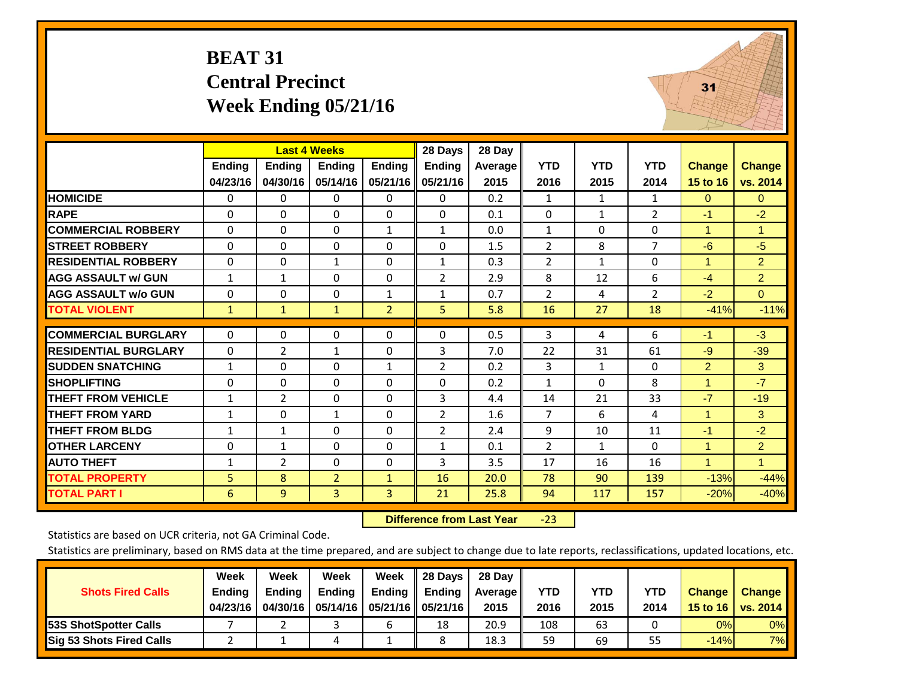#### **BEAT 31 Central Precinct Week Ending 05/21/16**



|                             |                           | <b>Last 4 Weeks</b>       |                           |                           | 28 Days                   | 28 Day          |                    |                    |                    |                           |                      |
|-----------------------------|---------------------------|---------------------------|---------------------------|---------------------------|---------------------------|-----------------|--------------------|--------------------|--------------------|---------------------------|----------------------|
|                             | <b>Ending</b><br>04/23/16 | <b>Endina</b><br>04/30/16 | <b>Endina</b><br>05/14/16 | <b>Endina</b><br>05/21/16 | <b>Ending</b><br>05/21/16 | Average<br>2015 | <b>YTD</b><br>2016 | <b>YTD</b><br>2015 | <b>YTD</b><br>2014 | <b>Change</b><br>15 to 16 | Change<br>vs. 2014   |
| <b>HOMICIDE</b>             | $\Omega$                  | $\Omega$                  | 0                         | 0                         | $\Omega$                  | 0.2             | 1                  | $\mathbf{1}$       | 1                  | $\mathbf{0}$              | $\overline{0}$       |
| <b>RAPE</b>                 | $\Omega$                  | $\Omega$                  | 0                         | $\Omega$                  | 0                         | 0.1             | $\Omega$           | $\mathbf{1}$       | $\overline{2}$     | $-1$                      | $-2$                 |
| <b>COMMERCIAL ROBBERY</b>   | $\mathbf{0}$              | $\Omega$                  | 0                         | $\mathbf{1}$              | $\mathbf{1}$              | 0.0             | $\mathbf{1}$       | $\Omega$           | 0                  | 1                         | $\blacktriangleleft$ |
| <b>STREET ROBBERY</b>       | $\mathbf{0}$              | $\Omega$                  | 0                         | $\Omega$                  | $\Omega$                  | 1.5             | $\overline{2}$     | 8                  | $\overline{7}$     | $-6$                      | $-5$                 |
| <b>RESIDENTIAL ROBBERY</b>  | 0                         | $\Omega$                  | 1                         | $\Omega$                  | $\mathbf{1}$              | 0.3             | $\overline{2}$     | $\mathbf{1}$       | $\Omega$           | 1                         | $\overline{2}$       |
| <b>AGG ASSAULT w/ GUN</b>   | $\mathbf{1}$              | $\mathbf{1}$              | 0                         | $\Omega$                  | $\overline{2}$            | 2.9             | 8                  | 12                 | 6                  | $-4$                      | $\overline{2}$       |
| <b>AGG ASSAULT w/o GUN</b>  | 0                         | $\mathbf{0}$              | 0                         | $\mathbf{1}$              | $\mathbf{1}$              | 0.7             | $\overline{2}$     | 4                  | $\overline{2}$     | $-2$                      | $\mathbf{0}$         |
| <b>TOTAL VIOLENT</b>        | $\mathbf{1}$              | $\mathbf{1}$              | $\mathbf{1}$              | $\overline{2}$            | 5                         | 5.8             | 16                 | 27                 | 18                 | $-41%$                    | $-11%$               |
|                             |                           |                           |                           |                           |                           |                 |                    |                    |                    |                           |                      |
| <b>COMMERCIAL BURGLARY</b>  | $\mathbf{0}$              | $\Omega$                  | 0                         | $\Omega$                  | $\Omega$                  | 0.5             | 3                  | 4                  | 6                  | $-1$                      | $-3$                 |
| <b>RESIDENTIAL BURGLARY</b> | $\mathbf{0}$              | 2                         | 1                         | 0                         | 3                         | 7.0             | 22                 | 31                 | 61                 | -9                        | $-39$                |
| <b>SUDDEN SNATCHING</b>     | $\mathbf{1}$              | $\Omega$                  | 0                         | $\mathbf{1}$              | $\overline{2}$            | 0.2             | 3                  | 1                  | 0                  | $\overline{2}$            | $\mathbf{3}$         |
| <b>SHOPLIFTING</b>          | 0                         | $\Omega$                  | 0                         | $\Omega$                  | $\Omega$                  | 0.2             | $\mathbf{1}$       | $\Omega$           | 8                  | 1                         | $-7$                 |
| <b>THEFT FROM VEHICLE</b>   | $\mathbf{1}$              | 2                         | 0                         | $\Omega$                  | 3                         | 4.4             | 14                 | 21                 | 33                 | $-7$                      | $-19$                |
| <b>THEFT FROM YARD</b>      | $\mathbf{1}$              | $\mathbf{0}$              | 1                         | $\Omega$                  | 2                         | 1.6             | $\overline{7}$     | 6                  | 4                  | 1                         | $\mathbf{3}$         |
| <b>THEFT FROM BLDG</b>      | 1                         | $\mathbf{1}$              | 0                         | $\Omega$                  | 2                         | 2.4             | 9                  | 10                 | 11                 | $-1$                      | $-2$                 |
| <b>OTHER LARCENY</b>        | $\Omega$                  | $\mathbf{1}$              | 0                         | $\Omega$                  | $\mathbf{1}$              | 0.1             | $\overline{2}$     | $\mathbf{1}$       | 0                  | 1                         | $\overline{2}$       |
| <b>AUTO THEFT</b>           | $\mathbf{1}$              | $\overline{2}$            | 0                         | 0                         | 3                         | 3.5             | 17                 | 16                 | 16                 | $\overline{1}$            | $\blacktriangleleft$ |
| <b>TOTAL PROPERTY</b>       | 5                         | 8                         | $\overline{2}$            | $\mathbf{1}$              | 16                        | 20.0            | 78                 | 90                 | 139                | $-13%$                    | $-44%$               |
| <b>TOTAL PART I</b>         | 6                         | 9                         | 3                         | 3                         | 21                        | 25.8            | 94                 | 117                | 157                | $-20%$                    | $-40%$               |

 **Difference from Last Year**‐23

Statistics are based on UCR criteria, not GA Criminal Code.

|                                 | Week          | Week          | Week          | Week                 | 28 Days       | 28 Dav     |            |      |            |               |                                    |
|---------------------------------|---------------|---------------|---------------|----------------------|---------------|------------|------------|------|------------|---------------|------------------------------------|
| <b>Shots Fired Calls</b>        | <b>Ending</b> | <b>Endina</b> | <b>Ending</b> | <b>Ending</b>        | <b>Ending</b> | Average II | <b>YTD</b> | YTD  | <b>YTD</b> | <b>Change</b> | <b>Change</b>                      |
|                                 | 04/23/16      | 04/30/16      | 05/14/16      | 05/21/16    05/21/16 |               | 2015       | 2016       | 2015 | 2014       |               | 15 to 16   vs. 2014 $\blacksquare$ |
| <b>153S ShotSpotter Calls</b>   |               |               |               |                      | 18            | 20.9       | 108        | 63   |            | 0%            | 0%                                 |
| <b>Sig 53 Shots Fired Calls</b> |               |               | 4             |                      |               | 18.3       | 59         | 69   | 55         | $-14%$        | 7%                                 |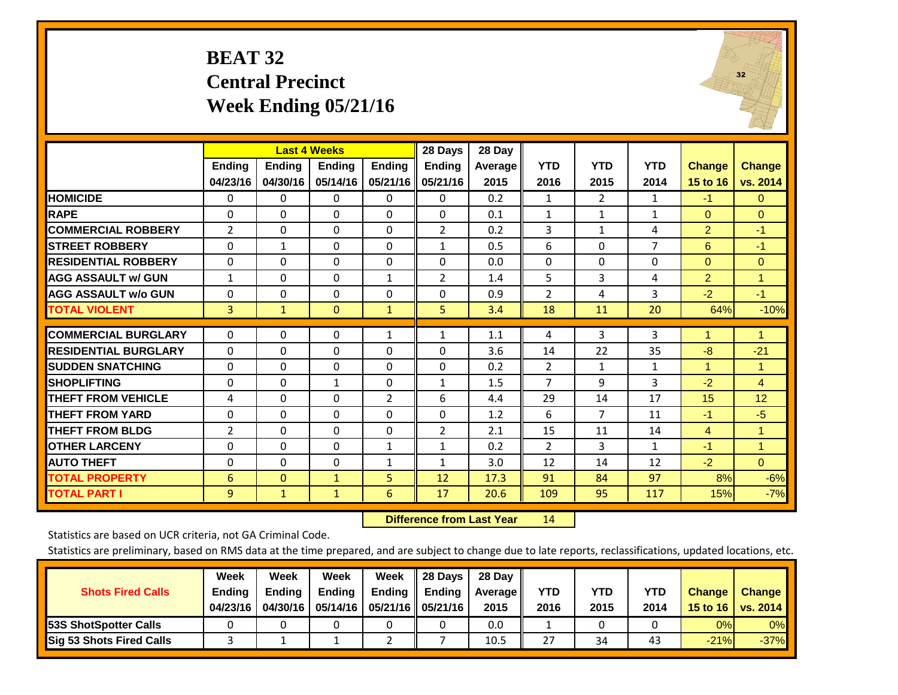#### **BEAT 32 Central Precinct Week Ending 05/21/16**



|                             |               |               | <b>Last 4 Weeks</b> |               | 28 Days        | 28 Day  |                |              |              |                |                      |
|-----------------------------|---------------|---------------|---------------------|---------------|----------------|---------|----------------|--------------|--------------|----------------|----------------------|
|                             | <b>Ending</b> | <b>Ending</b> | Ending              | <b>Endina</b> | <b>Ending</b>  | Average | <b>YTD</b>     | <b>YTD</b>   | <b>YTD</b>   | <b>Change</b>  | <b>Change</b>        |
|                             | 04/23/16      | 04/30/16      | 05/14/16            | 05/21/16      | 05/21/16       | 2015    | 2016           | 2015         | 2014         | 15 to 16       | vs. 2014             |
| <b>HOMICIDE</b>             | $\mathbf{0}$  | $\Omega$      | $\Omega$            | $\Omega$      | $\Omega$       | 0.2     | 1              | 2            | $\mathbf{1}$ | $-1$           | $\overline{0}$       |
| <b>RAPE</b>                 | $\Omega$      | $\Omega$      | $\Omega$            | $\Omega$      | $\Omega$       | 0.1     | $\mathbf{1}$   | $\mathbf{1}$ | 1            | $\Omega$       | $\Omega$             |
| <b>COMMERCIAL ROBBERY</b>   | 2             | $\Omega$      | $\Omega$            | $\mathbf{0}$  | $\overline{2}$ | 0.2     | 3              | $\mathbf{1}$ | 4            | $\overline{2}$ | $-1$                 |
| <b>STREET ROBBERY</b>       | 0             | 1             | 0                   | $\mathbf{0}$  | 1              | 0.5     | 6              | $\Omega$     | 7            | 6              | $-1$                 |
| <b>RESIDENTIAL ROBBERY</b>  | $\Omega$      | 0             | 0                   | $\mathbf{0}$  | $\Omega$       | 0.0     | $\Omega$       | $\Omega$     | 0            | $\Omega$       | $\mathbf{0}$         |
| <b>AGG ASSAULT w/ GUN</b>   | 1             | 0             | $\Omega$            | $\mathbf{1}$  | $\overline{2}$ | 1.4     | 5              | 3            | 4            | $\overline{2}$ | $\blacktriangleleft$ |
| <b>AGG ASSAULT w/o GUN</b>  | $\mathbf 0$   | $\Omega$      | 0                   | 0             | $\Omega$       | 0.9     | $\overline{2}$ | 4            | 3            | $-2$           | $-1$                 |
| <b>TOTAL VIOLENT</b>        | 3             | $\mathbf{1}$  | $\mathbf{0}$        | $\mathbf{1}$  | 5              | 3.4     | 18             | 11           | 20           | 64%            | $-10%$               |
| <b>COMMERCIAL BURGLARY</b>  | $\mathbf 0$   | 0             | 0                   | 1             | 1              | 1.1     | 4              | 3            | 3            | 1              | $\blacktriangledown$ |
| <b>RESIDENTIAL BURGLARY</b> | $\Omega$      | $\Omega$      | $\Omega$            | $\Omega$      | $\Omega$       | 3.6     | 14             | 22           | 35           | -8             | $-21$                |
| <b>SUDDEN SNATCHING</b>     | $\Omega$      | $\Omega$      | $\Omega$            | $\mathbf{0}$  | $\Omega$       | 0.2     | 2              | $\mathbf{1}$ | $\mathbf{1}$ | 1              | 1                    |
| <b>SHOPLIFTING</b>          | $\Omega$      | 0             | $\mathbf{1}$        | $\mathbf{0}$  | $\mathbf{1}$   | 1.5     | $\overline{7}$ | 9            | 3            | $-2$           | $\overline{4}$       |
| <b>THEFT FROM VEHICLE</b>   | 4             | $\Omega$      | $\Omega$            | 2             | 6              | 4.4     | 29             | 14           | 17           | 15             | 12                   |
| <b>THEFT FROM YARD</b>      | $\Omega$      | 0             | 0                   | $\mathbf{0}$  | $\Omega$       | 1.2     | 6              | 7            | 11           | $-1$           | $-5$                 |
| <b>THEFT FROM BLDG</b>      | 2             | 0             | $\Omega$            | $\Omega$      | $\overline{2}$ | 2.1     | 15             | 11           | 14           | 4              | -1                   |
| <b>OTHER LARCENY</b>        | 0             | $\Omega$      | 0                   |               |                | 0.2     | 2              | 3            | $\mathbf{1}$ | $-1$           | $\blacktriangleleft$ |
|                             |               |               |                     | $\mathbf{1}$  | $\mathbf{1}$   |         |                |              |              |                |                      |
| <b>AUTO THEFT</b>           | $\mathbf 0$   | $\Omega$      | 0                   | $\mathbf{1}$  | $\mathbf{1}$   | 3.0     | 12             | 14           | 12           | $-2$           | $\overline{0}$       |
| <b>TOTAL PROPERTY</b>       | 6             | $\Omega$      | $\mathbf{1}$        | 5             | 12             | 17.3    | 91             | 84           | 97           | 8%             | $-6%$                |
| <b>TOTAL PART I</b>         | 9             | $\mathbf{1}$  | $\mathbf{1}$        | 6             | 17             | 20.6    | 109            | 95           | 117          | 15%            | $-7%$                |

 **Difference from Last Year**r 14

Statistics are based on UCR criteria, not GA Criminal Code.

|                                 | Week          | Week          | Week          | Week                 | 28 Days       | 28 Day         |      |      |      |               |               |
|---------------------------------|---------------|---------------|---------------|----------------------|---------------|----------------|------|------|------|---------------|---------------|
| <b>Shots Fired Calls</b>        | <b>Ending</b> | <b>Endina</b> | <b>Ending</b> | <b>Ending</b>        | <b>Ending</b> | <b>Average</b> | YTD  | YTD  | YTD  | <b>Change</b> | <b>Change</b> |
|                                 | 04/23/16      | 04/30/16      | 05/14/16      | 05/21/16    05/21/16 |               | 2015           | 2016 | 2015 | 2014 | 15 to 16      | vs. 2014      |
| <b>153S ShotSpotter Calls</b>   |               |               |               |                      |               | 0.0            |      |      |      | 0%            | $0\%$         |
| <b>Sig 53 Shots Fired Calls</b> |               |               |               |                      |               | 10.5           | 27   | 34   | 43   | $-21%$        | $-37%$        |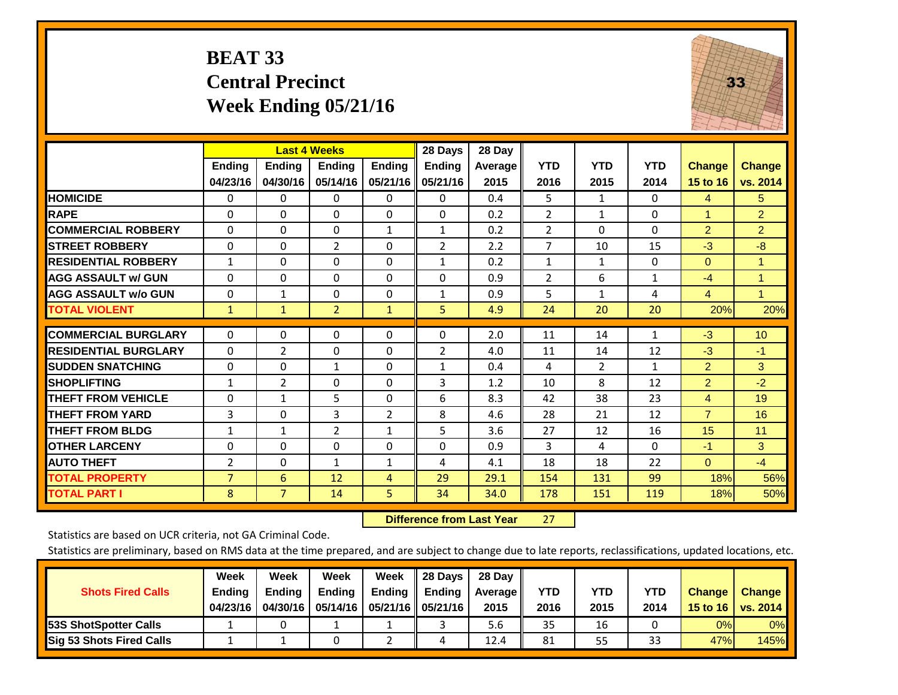#### **BEAT 33 Central Precinct Week Ending 05/21/16**



|                             |              | <b>Last 4 Weeks</b> |                |               | 28 Days        | 28 Day  |                |                |              |                      |                 |
|-----------------------------|--------------|---------------------|----------------|---------------|----------------|---------|----------------|----------------|--------------|----------------------|-----------------|
|                             | Ending       | <b>Endina</b>       | <b>Endina</b>  | <b>Endina</b> | <b>Ending</b>  | Average | <b>YTD</b>     | <b>YTD</b>     | <b>YTD</b>   | <b>Change</b>        | <b>Change</b>   |
|                             | 04/23/16     | 04/30/16            | 05/14/16       | 05/21/16      | 05/21/16       | 2015    | 2016           | 2015           | 2014         | 15 to 16             | vs. 2014        |
| <b>HOMICIDE</b>             | $\Omega$     | $\mathbf{0}$        | 0              | $\Omega$      | 0              | 0.4     | 5              | $\mathbf{1}$   | 0            | 4                    | 5               |
| <b>RAPE</b>                 | 0            | $\Omega$            | $\Omega$       | $\mathbf{0}$  | $\Omega$       | 0.2     | 2              | $\mathbf{1}$   | 0            | $\blacktriangleleft$ | $\overline{2}$  |
| <b>COMMERCIAL ROBBERY</b>   | $\Omega$     | $\Omega$            | $\Omega$       | $\mathbf{1}$  | 1              | 0.2     | $\overline{2}$ | $\Omega$       | 0            | $\overline{2}$       | $\overline{2}$  |
| <b>STREET ROBBERY</b>       | $\Omega$     | $\Omega$            | $\overline{2}$ | $\Omega$      | $\overline{2}$ | 2.2     | $\overline{7}$ | 10             | 15           | $-3$                 | $-8$            |
| <b>RESIDENTIAL ROBBERY</b>  | $\mathbf{1}$ | $\Omega$            | $\Omega$       | $\mathbf{0}$  | 1              | 0.2     | 1              | 1              | 0            | $\Omega$             | 1               |
| <b>AGG ASSAULT w/ GUN</b>   | $\Omega$     | $\Omega$            | $\Omega$       | $\Omega$      | $\Omega$       | 0.9     | $\overline{2}$ | 6              | $\mathbf{1}$ | $-4$                 | 1               |
| <b>AGG ASSAULT w/o GUN</b>  | 0            | $\mathbf{1}$        | $\Omega$       | 0             | $\mathbf{1}$   | 0.9     | 5              | $\mathbf{1}$   | 4            | 4                    | $\mathbf{1}$    |
| <b>TOTAL VIOLENT</b>        | $\mathbf{1}$ | $\mathbf{1}$        | $\overline{2}$ | $\mathbf{1}$  | 5              | 4.9     | 24             | 20             | 20           | 20%                  | 20%             |
|                             |              |                     |                |               |                |         |                |                |              |                      |                 |
| <b>COMMERCIAL BURGLARY</b>  | $\Omega$     | $\Omega$            | $\Omega$       | $\Omega$      | $\Omega$       | 2.0     | 11             | 14             | 1            | $-3$                 | 10 <sup>°</sup> |
| <b>RESIDENTIAL BURGLARY</b> | $\Omega$     | $\overline{2}$      | $\Omega$       | $\mathbf{0}$  | 2              | 4.0     | 11             | 14             | 12           | $-3$                 | $-1$            |
| <b>ISUDDEN SNATCHING</b>    | $\Omega$     | $\Omega$            | $\mathbf{1}$   | $\Omega$      | $\mathbf{1}$   | 0.4     | 4              | $\overline{2}$ | $\mathbf{1}$ | $\overline{2}$       | 3               |
| <b>SHOPLIFTING</b>          | $\mathbf{1}$ | $\overline{2}$      | $\Omega$       | 0             | 3              | 1.2     | 10             | 8              | 12           | $\overline{2}$       | $-2$            |
| <b>THEFT FROM VEHICLE</b>   | $\Omega$     | $\mathbf{1}$        | 5              | 0             | 6              | 8.3     | 42             | 38             | 23           | 4                    | 19              |
| <b>THEFT FROM YARD</b>      | 3            | 0                   | 3              | 2             | 8              | 4.6     | 28             | 21             | 12           | $\overline{7}$       | 16              |
| <b>THEFT FROM BLDG</b>      | $\mathbf{1}$ | $\mathbf{1}$        | $\overline{2}$ | 1             | 5              | 3.6     | 27             | 12             | 16           | 15                   | 11              |
| <b>IOTHER LARCENY</b>       | $\mathbf 0$  | $\Omega$            | $\Omega$       | $\mathbf 0$   | $\Omega$       | 0.9     | 3              | 4              | 0            | $-1$                 | 3               |
| <b>AUTO THEFT</b>           | 2            | $\Omega$            | $\mathbf{1}$   | $\mathbf{1}$  | 4              | 4.1     | 18             | 18             | 22           | $\Omega$             | $-4$            |
| <b>TOTAL PROPERTY</b>       | 7            | 6                   | 12             | 4             | 29             | 29.1    | 154            | 131            | 99           | 18%                  | 56%             |
| <b>TOTAL PART I</b>         | 8            | $\overline{7}$      | 14             | 5             | 34             | 34.0    | 178            | 151            | 119          | 18%                  | 50%             |

 **Difference from Last Year**r 27

Statistics are based on UCR criteria, not GA Criminal Code.

|                                 | Week          | Week          | Week          | Week | 28 Days                   | 28 Dav     |            |            |            |               |               |
|---------------------------------|---------------|---------------|---------------|------|---------------------------|------------|------------|------------|------------|---------------|---------------|
| <b>Shots Fired Calls</b>        | <b>Ending</b> | <b>Endina</b> | <b>Ending</b> |      | Ending $\parallel$ Ending | Average II | <b>YTD</b> | <b>YTD</b> | <b>YTD</b> | <b>Change</b> | <b>Change</b> |
|                                 | 04/23/16      | 04/30/16      | 05/14/16      |      | 05/21/16    05/21/16      | 2015       | 2016       | 2015       | 2014       | 15 to 16      | vs. 2014      |
| <b>153S ShotSpotter Calls</b>   |               |               |               |      |                           | 5.6        | 35         | 16         |            | 0%            | $0\%$         |
| <b>Sig 53 Shots Fired Calls</b> |               |               |               |      |                           | 12.4       | 81         | 55         | ົາ<br>33   | 47%           | <b>145%</b>   |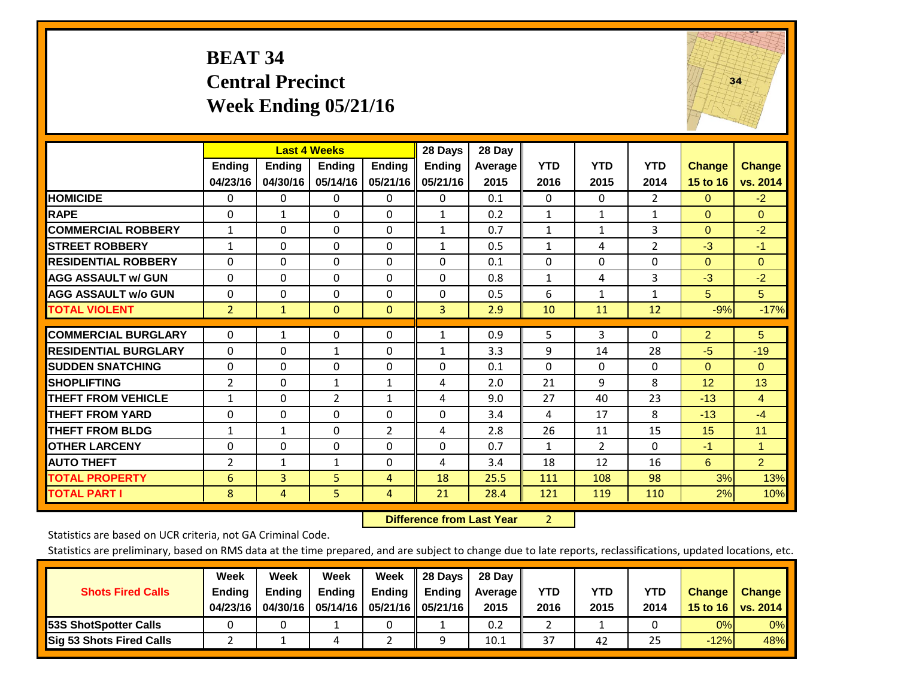#### **BEAT 34 Central Precinct Week Ending 05/21/16**



|                             |                | <b>Last 4 Weeks</b> |                |                | 28 Days       | 28 Day  |              |                |                |                |                      |
|-----------------------------|----------------|---------------------|----------------|----------------|---------------|---------|--------------|----------------|----------------|----------------|----------------------|
|                             | Ending         | <b>Ending</b>       | <b>Ending</b>  | <b>Ending</b>  | <b>Ending</b> | Average | <b>YTD</b>   | <b>YTD</b>     | <b>YTD</b>     | <b>Change</b>  | <b>Change</b>        |
|                             | 04/23/16       | 04/30/16            | 05/14/16       | 05/21/16       | 05/21/16      | 2015    | 2016         | 2015           | 2014           | 15 to 16       | vs. 2014             |
| <b>HOMICIDE</b>             | 0              | 0                   | 0              | 0              | $\Omega$      | 0.1     | $\Omega$     | $\Omega$       | $\overline{2}$ | $\Omega$       | $-2$                 |
| <b>RAPE</b>                 | 0              | $\mathbf{1}$        | $\Omega$       | 0              | $\mathbf{1}$  | 0.2     | 1            | $\mathbf{1}$   | $\mathbf{1}$   | $\Omega$       | $\mathbf{0}$         |
| <b>COMMERCIAL ROBBERY</b>   | $\mathbf{1}$   | $\Omega$            | $\mathbf{0}$   | $\Omega$       | $\mathbf{1}$  | 0.7     | $\mathbf{1}$ | 1              | 3              | $\Omega$       | $-2$                 |
| <b>STREET ROBBERY</b>       | $\mathbf{1}$   | $\Omega$            | $\Omega$       | $\Omega$       | $\mathbf{1}$  | 0.5     | $\mathbf{1}$ | 4              | 2              | $-3$           | $-1$                 |
| <b>RESIDENTIAL ROBBERY</b>  | $\Omega$       | $\Omega$            | $\Omega$       | $\Omega$       | $\Omega$      | 0.1     | $\mathbf{0}$ | $\Omega$       | 0              | $\Omega$       | $\Omega$             |
| <b>AGG ASSAULT w/ GUN</b>   | $\Omega$       | $\Omega$            | $\Omega$       | $\Omega$       | 0             | 0.8     | $\mathbf{1}$ | 4              | 3              | $-3$           | $-2$                 |
| <b>AGG ASSAULT w/o GUN</b>  | $\mathbf 0$    | $\Omega$            | $\mathbf{0}$   | $\Omega$       | $\Omega$      | 0.5     | 6            | $\mathbf{1}$   | $\mathbf{1}$   | 5 <sup>5</sup> | 5 <sup>5</sup>       |
| <b>TOTAL VIOLENT</b>        | $\overline{2}$ | $\mathbf{1}$        | $\mathbf{0}$   | $\mathbf{0}$   | 3             | 2.9     | 10           | 11             | 12             | $-9%$          | $-17%$               |
| <b>COMMERCIAL BURGLARY</b>  |                |                     |                |                |               | 0.9     |              | 3              |                |                |                      |
|                             | $\Omega$       | $\mathbf{1}$        | $\Omega$       | $\Omega$       | $\mathbf{1}$  |         | 5            |                | 0              | $\overline{2}$ | $5^{\circ}$          |
| <b>RESIDENTIAL BURGLARY</b> | $\Omega$       | $\Omega$            | 1              | 0              | $\mathbf{1}$  | 3.3     | 9            | 14             | 28             | $-5$           | $-19$                |
| <b>SUDDEN SNATCHING</b>     | $\Omega$       | $\Omega$            | $\Omega$       | $\Omega$       | 0             | 0.1     | $\Omega$     | $\Omega$       | 0              | $\Omega$       | $\Omega$             |
| <b>SHOPLIFTING</b>          | $\overline{2}$ | $\Omega$            | $\mathbf{1}$   | 1              | 4             | 2.0     | 21           | 9              | 8              | 12             | 13                   |
| <b>THEFT FROM VEHICLE</b>   | $\mathbf{1}$   | $\Omega$            | $\overline{2}$ | $\mathbf{1}$   | 4             | 9.0     | 27           | 40             | 23             | $-13$          | $\overline{4}$       |
| <b>THEFT FROM YARD</b>      | $\Omega$       | $\Omega$            | $\Omega$       | $\Omega$       | $\Omega$      | 3.4     | 4            | 17             | 8              | $-13$          | $-4$                 |
| <b>THEFT FROM BLDG</b>      | $\mathbf{1}$   | 1                   | $\Omega$       | $\overline{2}$ | 4             | 2.8     | 26           | 11             | 15             | 15             | 11                   |
| <b>OTHER LARCENY</b>        | 0              | $\Omega$            | $\Omega$       | $\Omega$       | $\Omega$      | 0.7     | $\mathbf{1}$ | $\overline{2}$ | 0              | $-1$           | $\blacktriangleleft$ |
| <b>AUTO THEFT</b>           | $\overline{2}$ | 1                   | $\mathbf{1}$   | $\Omega$       | 4             | 3.4     | 18           | 12             | 16             | 6              | $\overline{2}$       |
| <b>TOTAL PROPERTY</b>       | 6              | 3                   | 5              | 4              | 18            | 25.5    | 111          | 108            | 98             | 3%             | 13%                  |
| <b>TOTAL PART I</b>         | 8              | 4                   | 5.             | 4              | 21            | 28.4    | 121          | 119            | 110            | 2%             | 10%                  |

 **Difference from Last Year**r 2

Statistics are based on UCR criteria, not GA Criminal Code.

| <b>Shots Fired Calls</b>        | Week<br><b>Ending</b><br>04/23/16 | Week<br><b>Endina</b><br>04/30/16 | Week<br><b>Ending</b> | Week<br>Ending | 28 Days<br><b>Ending</b><br>05/14/16   05/21/16   05/21/16 | 28 Day<br>Average II<br>2015 | YTD<br>2016 | YTD<br>2015 | YTD<br>2014 | <b>Change</b><br>15 to 16 $\vert$ | <b>Change</b><br>vs. 2014 |
|---------------------------------|-----------------------------------|-----------------------------------|-----------------------|----------------|------------------------------------------------------------|------------------------------|-------------|-------------|-------------|-----------------------------------|---------------------------|
| <b>153S ShotSpotter Calls</b>   |                                   |                                   |                       |                |                                                            | 0.2                          |             |             |             | 0%                                | 0%                        |
| <b>Sig 53 Shots Fired Calls</b> |                                   |                                   |                       |                |                                                            | 10.1                         | 37          | 42          | 25          | $-12%$                            | 48%                       |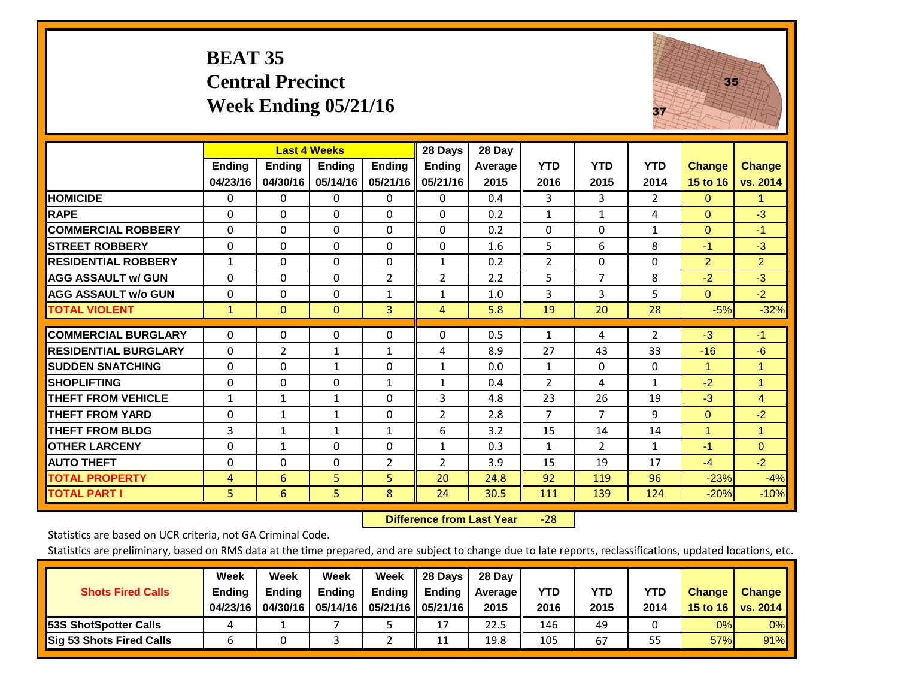#### **BEAT 35 Central Precinct Week Ending 05/21/16**



|                             |               | <b>Last 4 Weeks</b> |               |                | 28 Days        | 28 Day  |                |                |                |               |                      |
|-----------------------------|---------------|---------------------|---------------|----------------|----------------|---------|----------------|----------------|----------------|---------------|----------------------|
|                             | <b>Ending</b> | <b>Ending</b>       | <b>Ending</b> | <b>Ending</b>  | <b>Ending</b>  | Average | <b>YTD</b>     | <b>YTD</b>     | <b>YTD</b>     | <b>Change</b> | <b>Change</b>        |
|                             | 04/23/16      | 04/30/16            | 05/14/16      | 05/21/16       | 05/21/16       | 2015    | 2016           | 2015           | 2014           | 15 to 16      | vs. 2014             |
| <b>HOMICIDE</b>             | 0             | $\mathbf{0}$        | $\Omega$      | $\Omega$       | $\Omega$       | 0.4     | 3              | 3              | $\overline{2}$ | $\mathbf{0}$  | 1.                   |
| <b>RAPE</b>                 | 0             | 0                   | $\Omega$      | $\Omega$       | $\Omega$       | 0.2     | $\mathbf{1}$   | $\mathbf{1}$   | 4              | $\mathbf{0}$  | $-3$                 |
| <b>COMMERCIAL ROBBERY</b>   | $\Omega$      | $\Omega$            | $\Omega$      | $\Omega$       | $\Omega$       | 0.2     | $\Omega$       | $\Omega$       | $\mathbf{1}$   | $\mathbf{0}$  | $-1$                 |
| <b>STREET ROBBERY</b>       | $\Omega$      | $\Omega$            | $\Omega$      | $\Omega$       | $\Omega$       | 1.6     | 5              | 6              | 8              | $-1$          | $-3$                 |
| <b>RESIDENTIAL ROBBERY</b>  | $\mathbf{1}$  | 0                   | $\Omega$      | $\Omega$       | $\mathbf{1}$   | 0.2     | $\overline{2}$ | $\mathbf{0}$   | 0              | 2             | $\overline{2}$       |
| <b>AGG ASSAULT w/ GUN</b>   | $\Omega$      | $\Omega$            | $\Omega$      | 2              | 2              | 2.2     | 5              | $\overline{7}$ | 8              | $-2$          | $-3$                 |
| <b>AGG ASSAULT w/o GUN</b>  | $\Omega$      | 0                   | $\mathbf{0}$  | $\mathbf{1}$   | $\mathbf{1}$   | 1.0     | 3              | 3              | 5              | $\Omega$      | $-2$                 |
| <b>TOTAL VIOLENT</b>        | $\mathbf{1}$  | $\mathbf{0}$        | $\mathbf{0}$  | 3              | 4              | 5.8     | 19             | 20             | 28             | $-5%$         | $-32%$               |
| <b>COMMERCIAL BURGLARY</b>  | $\mathbf 0$   | 0                   | 0             | 0              | $\Omega$       | 0.5     | 1              | 4              | 2              | $-3$          | $-1$                 |
| <b>RESIDENTIAL BURGLARY</b> | $\Omega$      | $\overline{2}$      | $\mathbf{1}$  | 1              | 4              | 8.9     | 27             | 43             | 33             | $-16$         | -6                   |
| <b>SUDDEN SNATCHING</b>     | 0             | $\Omega$            | $\mathbf{1}$  | $\mathbf{0}$   |                | 0.0     | $\mathbf{1}$   | $\Omega$       | 0              | 1             | $\blacktriangleleft$ |
|                             | 0             | $\Omega$            | $\Omega$      | $\mathbf{1}$   | 1              | 0.4     | $\overline{2}$ | 4              | $\mathbf{1}$   |               | 1                    |
| <b>SHOPLIFTING</b>          |               |                     |               |                | 1              |         |                |                |                | $-2$          |                      |
| <b>THEFT FROM VEHICLE</b>   | $\mathbf{1}$  | $\mathbf{1}$        | $\mathbf{1}$  | $\Omega$       | 3              | 4.8     | 23             | 26             | 19             | $-3$          | 4                    |
| <b>THEFT FROM YARD</b>      | $\Omega$      | $\mathbf{1}$        | 1             | $\mathbf 0$    | 2              | 2.8     | $\overline{7}$ | $\overline{7}$ | 9              | $\mathbf{0}$  | $-2$                 |
| <b>THEFT FROM BLDG</b>      | 3             | 1                   | $\mathbf{1}$  | $\mathbf{1}$   | 6              | 3.2     | 15             | 14             | 14             | 1             | 1                    |
| <b>OTHER LARCENY</b>        | $\Omega$      | $\mathbf{1}$        | $\Omega$      | $\Omega$       | $\mathbf{1}$   | 0.3     | $\mathbf{1}$   | $\overline{2}$ | $\mathbf{1}$   | $-1$          | $\Omega$             |
| <b>AUTO THEFT</b>           | $\Omega$      | $\Omega$            | $\Omega$      | $\overline{2}$ | $\overline{2}$ | 3.9     | 15             | 19             | 17             | $-4$          | $-2$                 |
| <b>TOTAL PROPERTY</b>       | 4             | 6                   | 5             | 5              | 20             | 24.8    | 92             | 119            | 96             | $-23%$        | $-4%$                |
| <b>TOTAL PART I</b>         | 5             | 6                   | 5.            | 8              | 24             | 30.5    | 111            | 139            | 124            | $-20%$        | $-10%$               |

 **Difference from Last Year**‐28

Statistics are based on UCR criteria, not GA Criminal Code.

|                                 | Week          | Week          | <b>Week</b> | Week                 | 28 Days       | 28 Day            |      |      |            |               |               |
|---------------------------------|---------------|---------------|-------------|----------------------|---------------|-------------------|------|------|------------|---------------|---------------|
| <b>Shots Fired Calls</b>        | <b>Ending</b> | <b>Endina</b> | Ending      | Ending               | <b>Ending</b> | <b>Average</b> II | YTD  | YTD  | <b>YTD</b> | <b>Change</b> | <b>Change</b> |
|                                 | 04/23/16      | 04/30/16      | 05/14/16 L  | 05/21/16    05/21/16 |               | 2015              | 2016 | 2015 | 2014       | 15 to 16      | vs. 2014      |
| <b>153S ShotSpotter Calls</b>   |               |               |             |                      | 17            | 22.5              | 146  | 49   |            | 0%            | 0%            |
| <b>Sig 53 Shots Fired Calls</b> |               |               |             |                      | 11            | 19.8              | 105  | 67   | 55         | 57%           | 91%           |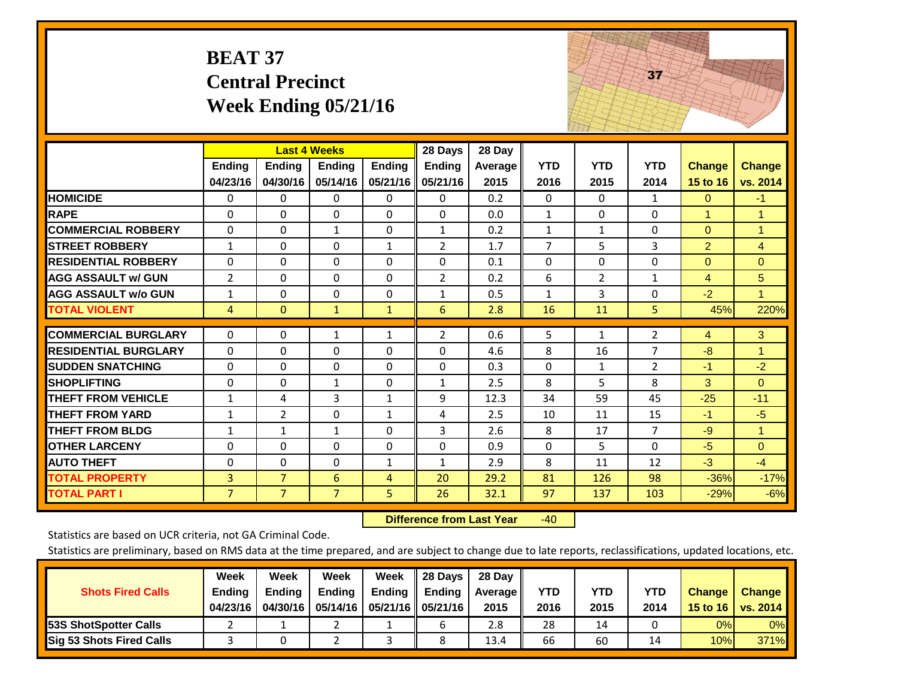|                             | <b>BEAT 37</b>            | <b>Central Precinct</b>   | Week Ending $05/21/16$                           |                           |                                      |                                        |                    |                    | 37                 |                           |                           |
|-----------------------------|---------------------------|---------------------------|--------------------------------------------------|---------------------------|--------------------------------------|----------------------------------------|--------------------|--------------------|--------------------|---------------------------|---------------------------|
|                             | <b>Ending</b><br>04/23/16 | <b>Ending</b><br>04/30/16 | <b>Last 4 Weeks</b><br><b>Ending</b><br>05/14/16 | <b>Ending</b><br>05/21/16 | 28 Days<br><b>Ending</b><br>05/21/16 | $\overline{28}$ Day<br>Average<br>2015 | <b>YTD</b><br>2016 | <b>YTD</b><br>2015 | <b>YTD</b><br>2014 | <b>Change</b><br>15 to 16 | <b>Change</b><br>vs. 2014 |
| <b>HOMICIDE</b>             | 0                         | 0                         | 0                                                | $\mathbf 0$               | $\mathbf 0$                          | 0.2                                    | $\mathbf 0$        | 0                  | $\mathbf{1}$       | $\mathbf{0}$              | $-1$                      |
| <b>RAPE</b>                 | $\Omega$                  | $\Omega$                  | $\Omega$                                         | $\Omega$                  | $\Omega$                             | 0.0                                    | $\mathbf{1}$       | $\Omega$           | $\Omega$           | $\mathbf{1}$              | $\mathbf{1}$              |
| <b>COMMERCIAL ROBBERY</b>   | $\Omega$                  | $\Omega$                  | $\mathbf{1}$                                     | $\Omega$                  | $\mathbf{1}$                         | 0.2                                    | $\mathbf{1}$       | $\mathbf{1}$       | $\Omega$           | $\Omega$                  | $\mathbf{1}$              |
| <b>STREET ROBBERY</b>       | $\mathbf{1}$              | $\Omega$                  | $\Omega$                                         | $\mathbf{1}$              | $\overline{2}$                       | 1.7                                    | $\overline{7}$     | 5                  | 3                  | $\overline{2}$            | $\overline{4}$            |
| <b>RESIDENTIAL ROBBERY</b>  | $\Omega$                  | $\Omega$                  | 0                                                | $\Omega$                  | $\Omega$                             | 0.1                                    | $\Omega$           | $\Omega$           | $\Omega$           | $\Omega$                  | $\Omega$                  |
| <b>AGG ASSAULT w/ GUN</b>   | $\overline{2}$            | $\mathbf 0$               | $\mathbf{0}$                                     | $\Omega$                  | $\overline{2}$                       | 0.2                                    | 6                  | $\overline{2}$     | $\mathbf{1}$       | $\overline{4}$            | 5                         |
| <b>AGG ASSAULT w/o GUN</b>  | $\mathbf{1}$              | $\mathbf 0$               | $\Omega$                                         | $\Omega$                  | $\mathbf{1}$                         | 0.5                                    | $\mathbf{1}$       | 3                  | $\mathbf 0$        | $-2$                      | $\mathbf{1}$              |
| <b>TOTAL VIOLENT</b>        | $\overline{4}$            | $\Omega$                  | $\mathbf{1}$                                     | $\mathbf{1}$              | 6                                    | 2.8                                    | 16                 | 11                 | 5                  | 45%                       | 220%                      |
| <b>COMMERCIAL BURGLARY</b>  | 0                         | $\Omega$                  | 1                                                | $\mathbf{1}$              | $\overline{2}$                       | 0.6                                    | 5                  | $\mathbf{1}$       | $\overline{2}$     | 4                         | 3                         |
| <b>RESIDENTIAL BURGLARY</b> | $\Omega$                  | $\Omega$                  | $\Omega$                                         | $\Omega$                  | $\Omega$                             | 4.6                                    | 8                  | 16                 | $\overline{7}$     | $-8$                      | $\mathbf{1}$              |
| <b>ISUDDEN SNATCHING</b>    | $\Omega$                  | $\Omega$                  | $\Omega$                                         | $\Omega$                  | $\Omega$                             | 0.3                                    | $\Omega$           | $\mathbf{1}$       | $\overline{2}$     | $-1$                      | $-2$                      |
| <b>SHOPLIFTING</b>          | 0                         | $\Omega$                  | $\mathbf{1}$                                     | $\Omega$                  | $\mathbf{1}$                         | 2.5                                    | 8                  | 5                  | 8                  | 3                         | $\overline{0}$            |
| <b>THEFT FROM VEHICLE</b>   | $\mathbf{1}$              | $\overline{4}$            | 3                                                | $\mathbf{1}$              | 9                                    | 12.3                                   | 34                 | 59                 | 45                 | $-25$                     | $-11$                     |
| <b>THEFT FROM YARD</b>      | $\mathbf{1}$              | $\overline{2}$            | $\overline{0}$                                   | $\mathbf{1}$              | 4                                    | 2.5                                    | 10                 | 11                 | 15                 | $-1$                      | $-5$                      |
| <b>THEFT FROM BLDG</b>      | $\mathbf{1}$              | $\mathbf{1}$              | $\mathbf{1}$                                     | $\mathbf 0$               | $\overline{3}$                       | 2.6                                    | 8                  | 17                 | $\overline{7}$     | $-9$                      | $\mathbf{1}$              |
| <b>OTHER LARCENY</b>        | 0                         | $\Omega$                  | 0                                                | $\Omega$                  | $\Omega$                             | 0.9                                    | $\Omega$           | 5                  | $\Omega$           | $-5$                      | $\overline{0}$            |
| <b>AUTO THEFT</b>           | 0                         | 0                         | 0                                                | $\mathbf{1}$              | $\mathbf{1}$                         | 2.9                                    | 8                  | 11                 | 12                 | $-3$                      | $-4$                      |
| <b>TOTAL PROPERTY</b>       | 3                         | $\overline{7}$            | 6                                                | 4                         | 20                                   | 29.2                                   | 81                 | 126                | 98                 | $-36%$                    | $-17%$                    |
| <b>TOTAL PART I</b>         | $\overline{7}$            | $\overline{7}$            | $\overline{7}$                                   | 5                         | 26                                   | 32.1                                   | 97                 | 137                | 103                | $-29%$                    | $-6%$                     |

 **Difference from Last Year**r -40 The contract of the contract of

Statistics are based on UCR criteria, not GA Criminal Code.

| <b>Shots Fired Calls</b>        | Week<br><b>Ending</b><br>04/23/16 | Week<br><b>Endina</b><br>04/30/16 | <b>Week</b><br>Ending | Week<br>Ending | 28 Days<br><b>Ending</b><br>05/14/16   05/21/16   05/21/16 | 28 Day<br>Average II<br>2015 | YTD<br>2016 | YTD<br>2015 | <b>YTD</b><br>2014 | <b>Change</b><br>15 to 16 | <b>Change</b><br>vs. 2014 |
|---------------------------------|-----------------------------------|-----------------------------------|-----------------------|----------------|------------------------------------------------------------|------------------------------|-------------|-------------|--------------------|---------------------------|---------------------------|
| <b>153S ShotSpotter Calls</b>   |                                   |                                   |                       |                |                                                            | 2.8                          | 28          | 14          |                    | 0%                        | 0%                        |
| <b>Sig 53 Shots Fired Calls</b> |                                   |                                   |                       |                |                                                            | 13.4                         | 66          | 60          |                    | 10%                       | 371%                      |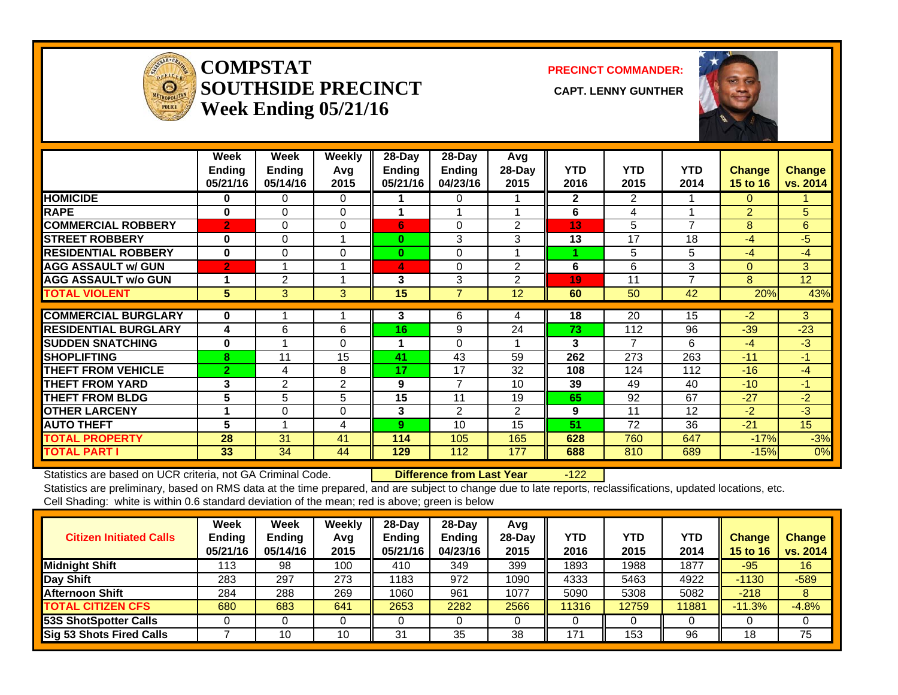

#### **COMPSTATSOUTHSIDE PRECINCT** CAPT. LENNY GUNTHER **Week Ending 05/21/16**

**PRECINCT COMMANDER:**



|                             | Week<br>Ending<br>05/21/16 | <b>Week</b><br><b>Ending</b><br>05/14/16 | Weekly<br>Avq<br>2015 | $28-Day$<br>Ending<br>05/21/16 | $28 - Day$<br><b>Ending</b><br>04/23/16 | Avg<br>28-Day<br>2015 | <b>YTD</b><br>2016 | <b>YTD</b><br>2015 | <b>YTD</b><br>2014 | <b>Change</b><br>15 to 16 | <b>Change</b><br>vs. 2014 |
|-----------------------------|----------------------------|------------------------------------------|-----------------------|--------------------------------|-----------------------------------------|-----------------------|--------------------|--------------------|--------------------|---------------------------|---------------------------|
| <b>HOMICIDE</b>             | 0                          | 0                                        | $\Omega$              |                                | 0                                       |                       | $\mathbf{2}$       | $\overline{2}$     |                    | 0                         |                           |
| <b>RAPE</b>                 | $\bf{0}$                   | $\Omega$                                 | 0                     | 1                              |                                         |                       | 6                  | 4                  |                    | $\overline{2}$            | 5                         |
| <b>COMMERCIAL ROBBERY</b>   | $\overline{2}$             | $\Omega$                                 | $\Omega$              | 6                              | $\Omega$                                | 2                     | 13                 | 5                  | $\overline{7}$     | 8                         | 6                         |
| <b>STREET ROBBERY</b>       | $\bf{0}$                   | 0                                        |                       | 0                              | 3                                       | 3                     | 13                 | 17                 | 18                 | $-4$                      | $-5$                      |
| <b>RESIDENTIAL ROBBERY</b>  | $\bf{0}$                   | $\Omega$                                 | 0                     | 0                              | 0                                       |                       |                    | 5                  | 5                  | $-4$                      | $-4$                      |
| <b>AGG ASSAULT w/ GUN</b>   | $\overline{2}$             |                                          |                       | 4                              | $\Omega$                                | $\overline{2}$        | 6                  | 6                  | 3                  | $\Omega$                  | 3 <sup>1</sup>            |
| <b>AGG ASSAULT w/o GUN</b>  |                            | 2                                        |                       | 3                              | 3                                       | 2                     | 19                 | 11                 | 7                  | 8                         | 12 <sup>2</sup>           |
| <b>TOTAL VIOLENT</b>        | 5                          | 3                                        | 3                     | 15                             | $\overline{7}$                          | 12                    | 60                 | 50                 | 42                 | 20%                       | 43%                       |
|                             |                            |                                          |                       |                                |                                         |                       |                    |                    |                    |                           |                           |
| <b>COMMERCIAL BURGLARY</b>  | $\bf{0}$                   |                                          |                       | 3                              | 6                                       | 4                     | 18                 | 20                 | 15                 | $-2$                      | 3                         |
| <b>RESIDENTIAL BURGLARY</b> | 4                          | 6                                        | 6                     | 16                             | 9                                       | 24                    | 73                 | 112                | 96                 | $-39$                     | $-23$                     |
| <b>ISUDDEN SNATCHING</b>    | $\bf{0}$                   |                                          | $\Omega$              | 1                              | $\Omega$                                |                       | 3                  | $\overline{7}$     | 6                  | $-4$                      | $-3$                      |
| <b>SHOPLIFTING</b>          | 8                          | 11                                       | 15                    | 41                             | 43                                      | 59                    | 262                | 273                | 263                | $-11$                     | -1                        |
| <b>THEFT FROM VEHICLE</b>   | $\overline{2}$             | 4                                        | 8                     | 17                             | 17                                      | 32                    | 108                | 124                | 112                | $-16$                     | $-4$                      |
| <b>THEFT FROM YARD</b>      | 3                          | 2                                        | 2                     | 9                              | $\overline{7}$                          | 10                    | 39                 | 49                 | 40                 | $-10$                     | -1                        |
| <b>THEFT FROM BLDG</b>      | 5                          | 5                                        | 5                     | 15                             | 11                                      | 19                    | 65                 | 92                 | 67                 | $-27$                     | $-2$                      |
| <b>OTHER LARCENY</b>        |                            | $\Omega$                                 | 0                     | 3                              | $\overline{2}$                          | 2                     | 9                  | 11                 | 12                 | $-2$                      | $-3$                      |
| <b>AUTO THEFT</b>           | 5                          |                                          | 4                     | 9                              | 10                                      | 15                    | 51                 | 72                 | 36                 | $-21$                     | 15 <sub>1</sub>           |
| <b>TOTAL PROPERTY</b>       | 28                         | 31                                       | 41                    | 114                            | 105                                     | 165                   | 628                | 760                | 647                | $-17%$                    | $-3%$                     |
| <b>TOTAL PART I</b>         | 33                         | 34                                       | 44                    | 129                            | 112                                     | 177                   | 688                | 810                | 689                | $-15%$                    | 0%                        |

Statistics are based on UCR criteria, not GA Criminal Code. **Difference from Last Year** -122 Statistics are preliminary, based on RMS data at the time prepared, and are subject to change due to late reports, reclassifications, updated locations, etc.

Cell Shading: white is within 0.6 standard deviation of the mean; red is above; green is below

| <b>Citizen Initiated Calls</b>  | Week<br><b>Ending</b><br>05/21/16 | <b>Week</b><br><b>Ending</b><br>05/14/16 | Weekly<br>Avg<br>2015 | $28 - Day$<br>Ending<br>05/21/16 | $28-Dav$<br><b>Ending</b><br>04/23/16 | Avg<br>$28$ -Day<br>2015 | YTD.<br>2016 | <b>YTD</b><br>2015 | <b>YTD</b><br>2014 | <b>Change</b><br>15 to 16 | <b>Change</b><br>vs. 2014 |
|---------------------------------|-----------------------------------|------------------------------------------|-----------------------|----------------------------------|---------------------------------------|--------------------------|--------------|--------------------|--------------------|---------------------------|---------------------------|
| <b>Midnight Shift</b>           | 113                               | 98                                       | 100                   | 410                              | 349                                   | 399                      | 1893         | 1988               | 1877               | $-95$                     | 16                        |
| Day Shift                       | 283                               | 297                                      | 273                   | 1183                             | 972                                   | 1090                     | 4333         | 5463               | 4922               | $-1130$                   | $-589$                    |
| <b>Afternoon Shift</b>          | 284                               | 288                                      | 269                   | 1060                             | 961                                   | 1077                     | 5090         | 5308               | 5082               | $-218$                    | 8                         |
| <b>TOTAL CITIZEN CFS</b>        | 680                               | 683                                      | 641                   | 2653                             | 2282                                  | 2566                     | 11316        | 12759              | 11881              | $-11.3%$                  | $-4.8%$                   |
| 53S ShotSpotter Calls           |                                   |                                          |                       |                                  |                                       |                          |              |                    |                    |                           |                           |
| <b>Sig 53 Shots Fired Calls</b> |                                   | 10                                       | 10                    | 31                               | 35                                    | 38                       | 171          | 153                | 96                 | 18                        | 75                        |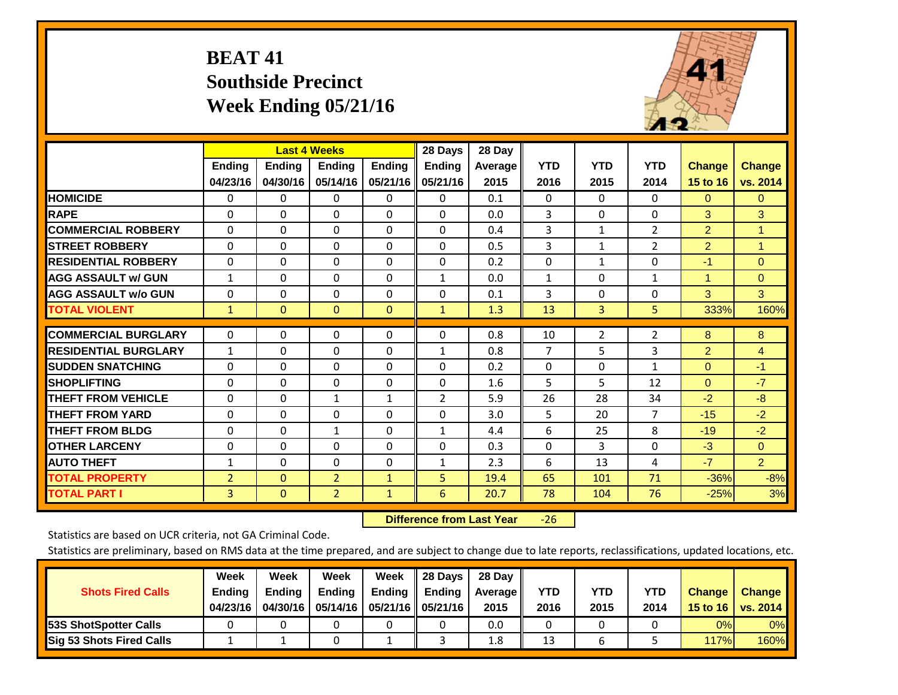## **BEAT 41 Southside Precinct Week Ending 05/21/16**



|                             |                |               | <b>Last 4 Weeks</b> |               | 28 Days       | 28 Day  |                |              |                |                |                |
|-----------------------------|----------------|---------------|---------------------|---------------|---------------|---------|----------------|--------------|----------------|----------------|----------------|
|                             | <b>Ending</b>  | <b>Ending</b> | <b>Ending</b>       | <b>Endina</b> | <b>Ending</b> | Average | <b>YTD</b>     | <b>YTD</b>   | <b>YTD</b>     | <b>Change</b>  | <b>Change</b>  |
|                             | 04/23/16       | 04/30/16      | 05/14/16            | 05/21/16      | 05/21/16      | 2015    | 2016           | 2015         | 2014           | 15 to 16       | vs. 2014       |
| <b>HOMICIDE</b>             | 0              | $\mathbf{0}$  | 0                   | 0             | $\Omega$      | 0.1     | $\mathbf{0}$   | $\Omega$     | 0              | $\Omega$       | $\overline{0}$ |
| <b>RAPE</b>                 | $\Omega$       | $\Omega$      | $\Omega$            | $\Omega$      | $\Omega$      | 0.0     | 3              | $\Omega$     | $\Omega$       | 3              | 3              |
| <b>COMMERCIAL ROBBERY</b>   | $\Omega$       | $\Omega$      | $\Omega$            | 0             | $\Omega$      | 0.4     | 3              | 1            | $\overline{2}$ | $\overline{2}$ | 1              |
| <b>STREET ROBBERY</b>       | $\Omega$       | $\Omega$      | $\Omega$            | $\Omega$      | $\Omega$      | 0.5     | 3              | $\mathbf{1}$ | $\overline{2}$ | $\overline{2}$ | $\mathbf{1}$   |
| <b>RESIDENTIAL ROBBERY</b>  | $\Omega$       | $\Omega$      | $\Omega$            | $\Omega$      | $\Omega$      | 0.2     | $\Omega$       | 1            | 0              | $-1$           | $\Omega$       |
| <b>AGG ASSAULT w/ GUN</b>   | $\mathbf{1}$   | $\Omega$      | $\Omega$            | 0             | $\mathbf{1}$  | 0.0     | $\mathbf{1}$   | $\Omega$     | 1              | 1              | $\Omega$       |
| <b>AGG ASSAULT w/o GUN</b>  | $\Omega$       | $\Omega$      | $\Omega$            | 0             | $\Omega$      | 0.1     | 3              | $\Omega$     | $\Omega$       | 3              | 3              |
| <b>TOTAL VIOLENT</b>        | $\mathbf{1}$   | $\mathbf{0}$  | $\mathbf{0}$        | $\mathbf{0}$  | $\mathbf{1}$  | 1.3     | 13             | 3            | 5              | 333%           | 160%           |
|                             |                |               |                     |               |               |         |                |              |                |                |                |
| <b>COMMERCIAL BURGLARY</b>  | $\Omega$       | $\Omega$      | $\Omega$            | $\Omega$      | 0             | 0.8     | 10             | 2            | $\overline{2}$ | 8              | 8              |
| <b>RESIDENTIAL BURGLARY</b> | $\mathbf{1}$   | $\Omega$      | $\Omega$            | 0             | $\mathbf{1}$  | 0.8     | $\overline{7}$ | 5            | 3              | $\overline{2}$ | 4              |
| <b>SUDDEN SNATCHING</b>     | 0              | 0             | $\Omega$            | $\Omega$      | 0             | 0.2     | $\Omega$       | 0            | $\mathbf{1}$   | $\mathbf{0}$   | $-1$           |
| <b>SHOPLIFTING</b>          | $\Omega$       | $\Omega$      | $\Omega$            | 0             | 0             | 1.6     | 5              | 5            | 12             | $\Omega$       | $-7$           |
| <b>THEFT FROM VEHICLE</b>   | $\mathbf 0$    | $\Omega$      | $\mathbf{1}$        | 1             | 2             | 5.9     | 26             | 28           | 34             | $-2$           | $-8$           |
| <b>THEFT FROM YARD</b>      | $\Omega$       | $\Omega$      | $\Omega$            | $\Omega$      | $\Omega$      | 3.0     | 5              | 20           | $\overline{7}$ | $-15$          | $-2$           |
| <b>THEFT FROM BLDG</b>      | 0              | $\Omega$      | 1                   | 0             | $\mathbf{1}$  | 4.4     | 6              | 25           | 8              | $-19$          | $-2$           |
| <b>OTHER LARCENY</b>        | 0              | $\Omega$      | $\Omega$            | 0             | 0             | 0.3     | $\Omega$       | 3            | 0              | $-3$           | $\mathbf{0}$   |
| <b>AUTO THEFT</b>           | $\mathbf{1}$   | $\Omega$      | 0                   | 0             | $\mathbf{1}$  | 2.3     | 6              | 13           | 4              | $-7$           | $\overline{2}$ |
| <b>TOTAL PROPERTY</b>       | $\overline{2}$ | $\Omega$      | $\overline{2}$      | $\mathbf{1}$  | 5             | 19.4    | 65             | 101          | 71             | $-36%$         | $-8%$          |
| <b>TOTAL PART I</b>         | 3              | $\Omega$      | $\overline{2}$      | $\mathbf{1}$  | 6             | 20.7    | 78             | 104          | 76             | $-25%$         | 3%             |

 **Difference from Last Year**‐26

Statistics are based on UCR criteria, not GA Criminal Code.

|                                 | Week          | Week          | <b>Week</b>   | Week                 | <b>28 Davs</b> | 28 Day         |      |      |            |               |                 |
|---------------------------------|---------------|---------------|---------------|----------------------|----------------|----------------|------|------|------------|---------------|-----------------|
| <b>Shots Fired Calls</b>        | <b>Ending</b> | <b>Ending</b> | <b>Ending</b> | Ending $\parallel$   | <b>Ending</b>  | <b>Average</b> | YTD  | YTD  | <b>YTD</b> | <b>Change</b> | <b>Change</b>   |
|                                 | 04/23/16      | 04/30/16      | 05/14/16      | 05/21/16    05/21/16 |                | 2015           | 2016 | 2015 | 2014       | 15 to 16      | <b>VS. 2014</b> |
| <b>53S ShotSpotter Calls</b>    |               |               |               |                      |                | 0.0            |      |      |            | 0%            | 0%              |
| <b>Sig 53 Shots Fired Calls</b> |               |               |               |                      |                | 1.8            | 13   |      |            | 117%          | 160%            |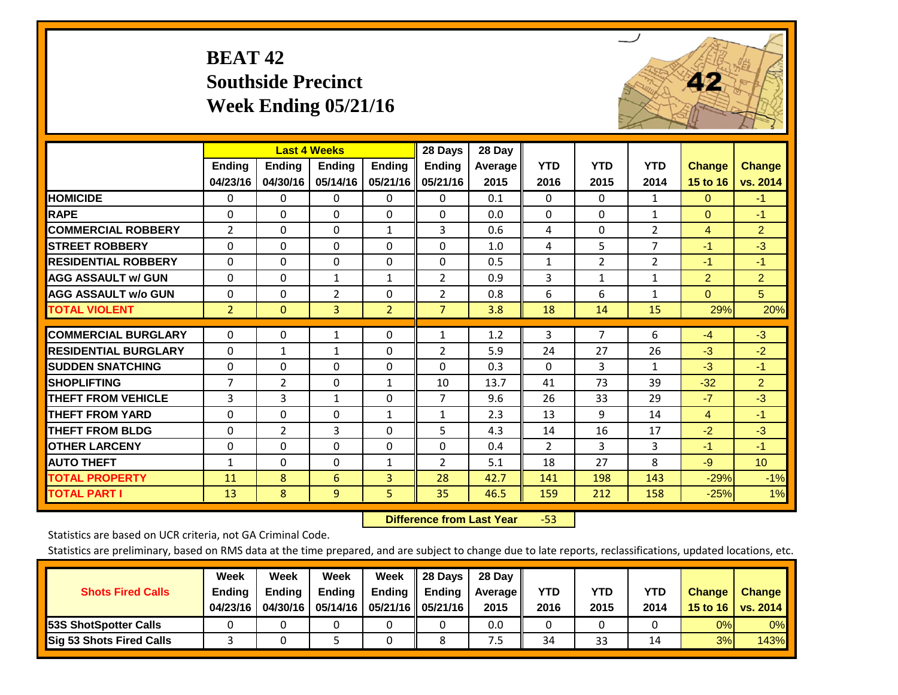## **BEAT 42 Southside Precinct Week Ending 05/21/16**



|                             |                | <b>Last 4 Weeks</b> |                |                | 28 Days        | 28 Day  |                |                |                |                |                 |
|-----------------------------|----------------|---------------------|----------------|----------------|----------------|---------|----------------|----------------|----------------|----------------|-----------------|
|                             | Ending         | <b>Endina</b>       | <b>Endina</b>  | <b>Endina</b>  | <b>Ending</b>  | Average | <b>YTD</b>     | <b>YTD</b>     | <b>YTD</b>     | <b>Change</b>  | <b>Change</b>   |
|                             | 04/23/16       | 04/30/16            | 05/14/16       | 05/21/16       | 05/21/16       | 2015    | 2016           | 2015           | 2014           | 15 to 16       | vs. 2014        |
| <b>HOMICIDE</b>             | 0              | $\Omega$            | 0              | 0              | $\Omega$       | 0.1     | $\Omega$       | $\Omega$       | 1              | $\mathbf{0}$   | $-1$            |
| <b>RAPE</b>                 | $\Omega$       | 0                   | $\Omega$       | 0              | 0              | 0.0     | $\Omega$       | $\Omega$       | $\mathbf{1}$   | $\Omega$       | $-1$            |
| <b>COMMERCIAL ROBBERY</b>   | $\overline{2}$ | $\Omega$            | $\Omega$       | $\mathbf{1}$   | 3              | 0.6     | 4              | 0              | $\overline{2}$ | 4              | 2 <sup>1</sup>  |
| <b>STREET ROBBERY</b>       | $\mathbf 0$    | $\Omega$            | $\Omega$       | 0              | 0              | 1.0     | 4              | 5              | $\overline{7}$ | $-1$           | $-3$            |
| <b>RESIDENTIAL ROBBERY</b>  | $\Omega$       | $\Omega$            | $\Omega$       | 0              | $\Omega$       | 0.5     | $\mathbf{1}$   | 2              | $\overline{2}$ | $-1$           | $-1$            |
| <b>AGG ASSAULT w/ GUN</b>   | $\Omega$       | $\Omega$            | 1              | $\mathbf{1}$   | 2              | 0.9     | $\overline{3}$ | 1              | 1              | $\overline{2}$ | $\overline{2}$  |
| <b>AGG ASSAULT w/o GUN</b>  | $\Omega$       | $\Omega$            | 2              | 0              | 2              | 0.8     | 6              | 6              | 1              | $\Omega$       | 5               |
| <b>TOTAL VIOLENT</b>        | $\overline{2}$ | $\mathbf{0}$        | $\overline{3}$ | $\overline{2}$ | $\overline{7}$ | 3.8     | 18             | 14             | 15             | 29%            | 20%             |
| <b>COMMERCIAL BURGLARY</b>  | 0              | 0                   | 1              | 0              | $\mathbf{1}$   | 1.2     | 3              | $\overline{7}$ | 6              | $-4$           | $-3$            |
|                             |                |                     |                |                |                |         |                |                |                |                |                 |
| <b>RESIDENTIAL BURGLARY</b> | $\Omega$       | $\mathbf{1}$        | $\mathbf{1}$   | 0              | 2              | 5.9     | 24             | 27             | 26             | $-3$           | $-2$            |
| <b>ISUDDEN SNATCHING</b>    | $\Omega$       | $\Omega$            | $\Omega$       | $\Omega$       | $\Omega$       | 0.3     | $\Omega$       | 3              | $\mathbf{1}$   | $-3$           | $-1$            |
| <b>SHOPLIFTING</b>          | 7              | $\overline{2}$      | $\Omega$       | $\mathbf{1}$   | 10             | 13.7    | 41             | 73             | 39             | $-32$          | $\overline{2}$  |
| <b>THEFT FROM VEHICLE</b>   | 3              | 3                   | $\mathbf{1}$   | $\Omega$       | $\overline{7}$ | 9.6     | 26             | 33             | 29             | $-7$           | $-3$            |
| <b>THEFT FROM YARD</b>      | $\mathbf 0$    | $\Omega$            | $\Omega$       | $\mathbf{1}$   | $\mathbf{1}$   | 2.3     | 13             | 9              | 14             | $\overline{4}$ | $-1$            |
| <b>THEFT FROM BLDG</b>      | 0              | 2                   | 3              | $\Omega$       | 5              | 4.3     | 14             | 16             | 17             | $-2$           | $-3$            |
| <b>OTHER LARCENY</b>        | 0              | $\Omega$            | $\Omega$       | 0              | 0              | 0.4     | 2              | 3              | 3              | $-1$           | $-1$            |
| <b>AUTO THEFT</b>           | $\mathbf{1}$   | $\Omega$            | $\Omega$       | $\mathbf{1}$   | $\overline{2}$ | 5.1     | 18             | 27             | 8              | $-9$           | 10 <sup>°</sup> |
| <b>TOTAL PROPERTY</b>       | 11             | 8                   | 6              | 3              | 28             | 42.7    | 141            | 198            | 143            | $-29%$         | $-1%$           |
| <b>TOTAL PART I</b>         | 13             | 8                   | $\overline{9}$ | 5              | 35             | 46.5    | 159            | 212            | 158            | $-25%$         | 1%              |

 **Difference from Last Year**‐53

Statistics are based on UCR criteria, not GA Criminal Code.

| <b>Shots Fired Calls</b>        | Week<br><b>Ending</b><br>04/23/16 | Week<br><b>Endina</b><br>04/30/16 | Week<br><b>Ending</b> | Week<br>Ending | 28 Days<br><b>Ending</b><br>05/14/16   05/21/16   05/21/16 | 28 Day<br>Average II<br>2015 | YTD<br>2016 | YTD<br>2015 | YTD<br>2014 | <b>Change</b><br>15 to 16 $\vert$ | <b>Change</b><br>vs. 2014 |
|---------------------------------|-----------------------------------|-----------------------------------|-----------------------|----------------|------------------------------------------------------------|------------------------------|-------------|-------------|-------------|-----------------------------------|---------------------------|
| <b>153S ShotSpotter Calls</b>   |                                   |                                   |                       |                |                                                            | 0.0                          |             |             |             | 0%                                | 0%                        |
| <b>Sig 53 Shots Fired Calls</b> |                                   |                                   |                       |                |                                                            | ט.                           | 34          | 33          | 14          | 3%                                | 143%                      |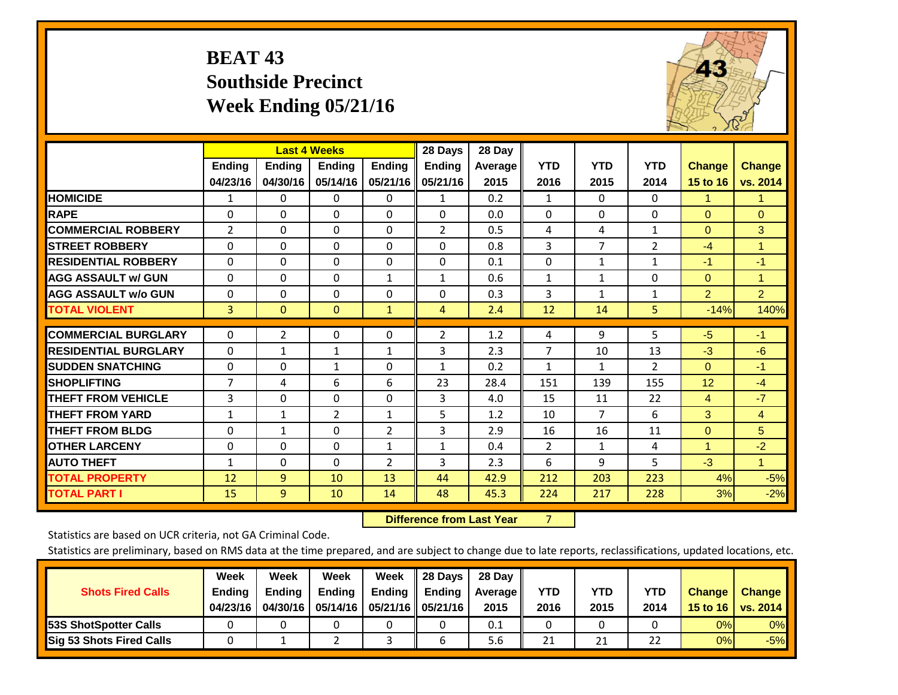## **BEAT 43 Southside Precinct Week Ending 05/21/16**



|                             |                |                | <b>Last 4 Weeks</b> |                | 28 Days        | 28 Day  |                |                |                |                |                |
|-----------------------------|----------------|----------------|---------------------|----------------|----------------|---------|----------------|----------------|----------------|----------------|----------------|
|                             | <b>Ending</b>  | <b>Ending</b>  | <b>Endina</b>       | <b>Endina</b>  | <b>Ending</b>  | Average | <b>YTD</b>     | <b>YTD</b>     | <b>YTD</b>     | <b>Change</b>  | <b>Change</b>  |
|                             | 04/23/16       | 04/30/16       | 05/14/16            | 05/21/16       | 05/21/16       | 2015    | 2016           | 2015           | 2014           | 15 to 16       | vs. 2014       |
| <b>HOMICIDE</b>             | 1              | 0              | 0                   | 0              | $\mathbf{1}$   | 0.2     | $\mathbf{1}$   | $\Omega$       | $\Omega$       | 1.             | 1.             |
| <b>RAPE</b>                 | $\Omega$       | 0              | $\Omega$            | 0              | $\Omega$       | 0.0     | 0              | 0              | $\Omega$       | $\Omega$       | $\Omega$       |
| <b>COMMERCIAL ROBBERY</b>   | 2              | 0              | $\Omega$            | $\Omega$       | $\overline{2}$ | 0.5     | 4              | 4              | $\mathbf{1}$   | $\Omega$       | 3              |
| <b>STREET ROBBERY</b>       | 0              | $\Omega$       | 0                   | $\Omega$       | $\Omega$       | 0.8     | 3              | $\overline{7}$ | $\overline{2}$ | $-4$           | 1              |
| <b>RESIDENTIAL ROBBERY</b>  | $\Omega$       | $\Omega$       | $\mathbf{0}$        | $\Omega$       | $\Omega$       | 0.1     | $\mathbf{0}$   | $\mathbf{1}$   | $\mathbf{1}$   | $-1$           | $-1$           |
| <b>AGG ASSAULT w/ GUN</b>   | $\Omega$       | 0              | $\Omega$            | $\mathbf{1}$   | $\mathbf{1}$   | 0.6     | $\mathbf{1}$   | $\mathbf{1}$   | $\Omega$       | $\Omega$       | 1.             |
| <b>AGG ASSAULT w/o GUN</b>  | $\Omega$       | 0              | $\mathbf{0}$        | $\Omega$       | $\Omega$       | 0.3     | 3              | $\mathbf{1}$   | $\mathbf{1}$   | $\overline{2}$ | $\overline{2}$ |
| <b>TOTAL VIOLENT</b>        | 3              | $\overline{0}$ | $\overline{0}$      | $\mathbf{1}$   | 4              | 2.4     | 12             | 14             | 5              | $-14%$         | 140%           |
| <b>COMMERCIAL BURGLARY</b>  | $\Omega$       |                |                     |                |                |         |                | 9              | 5              |                | $-1$           |
|                             |                | $\overline{2}$ | 0                   | 0              | $\overline{2}$ | 1.2     | 4              |                |                | $-5$           |                |
| <b>RESIDENTIAL BURGLARY</b> | $\Omega$       | $\mathbf{1}$   | $\mathbf{1}$        | $\mathbf{1}$   | 3              | 2.3     | 7              | 10             | 13             | $-3$           | $-6$           |
| <b>ISUDDEN SNATCHING</b>    | $\Omega$       | $\Omega$       | $\mathbf{1}$        | $\Omega$       | $\mathbf{1}$   | 0.2     | $\mathbf{1}$   | $\mathbf{1}$   | 2              | $\mathbf{0}$   | $-1$           |
| <b>SHOPLIFTING</b>          | $\overline{7}$ | 4              | 6                   | 6              | 23             | 28.4    | 151            | 139            | 155            | 12             | $-4$           |
| <b>THEFT FROM VEHICLE</b>   | 3              | 0              | $\mathbf 0$         | $\Omega$       | 3              | 4.0     | 15             | 11             | 22             | $\overline{4}$ | $-7$           |
| <b>THEFT FROM YARD</b>      | $\mathbf{1}$   | 1              | $\overline{2}$      | $\mathbf{1}$   | 5              | 1.2     | 10             | $\overline{7}$ | 6              | 3              | $\overline{4}$ |
| <b>THEFT FROM BLDG</b>      | 0              | 1              | $\Omega$            | $\overline{2}$ | 3              | 2.9     | 16             | 16             | 11             | $\Omega$       | 5              |
| <b>OTHER LARCENY</b>        | $\Omega$       | $\Omega$       | $\Omega$            | $\mathbf{1}$   | $\mathbf{1}$   | 0.4     | $\overline{2}$ | 1              | 4              | 1              | $-2$           |
| <b>AUTO THEFT</b>           | $\mathbf{1}$   | $\Omega$       | $\Omega$            | $\overline{2}$ | 3              | 2.3     | 6              | 9              | 5              | $-3$           | $\mathbf{1}$   |
| <b>TOTAL PROPERTY</b>       | 12             | 9              | 10                  | 13             | 44             | 42.9    | 212            | 203            | 223            | 4%             | $-5%$          |
| <b>TOTAL PART I</b>         | 15             | 9              | 10                  | 14             | 48             | 45.3    | 224            | 217            | 228            | 3%             | $-2%$          |

 **Difference from Last Year**r 7

Statistics are based on UCR criteria, not GA Criminal Code.

| <b>Shots Fired Calls</b>        | Week<br><b>Ending</b><br>04/23/16 | Week<br><b>Endina</b><br>04/30/16 | Week<br><b>Ending</b> | Week<br>Ending | 28 Days<br><b>Ending</b><br>05/14/16   05/21/16   05/21/16 | 28 Day<br>Average II<br>2015 | YTD<br>2016 | YTD<br>2015 | YTD<br>2014 | <b>Change</b><br>15 to 16 $\vert$ | <b>Change</b><br>vs. 2014 |
|---------------------------------|-----------------------------------|-----------------------------------|-----------------------|----------------|------------------------------------------------------------|------------------------------|-------------|-------------|-------------|-----------------------------------|---------------------------|
| <b>153S ShotSpotter Calls</b>   |                                   |                                   |                       |                |                                                            | 0.1                          |             |             |             | 0%                                | 0%                        |
| <b>Sig 53 Shots Fired Calls</b> |                                   |                                   |                       |                |                                                            | 5.6                          | 21          | 21          | 22          | 0%                                | $-5%$                     |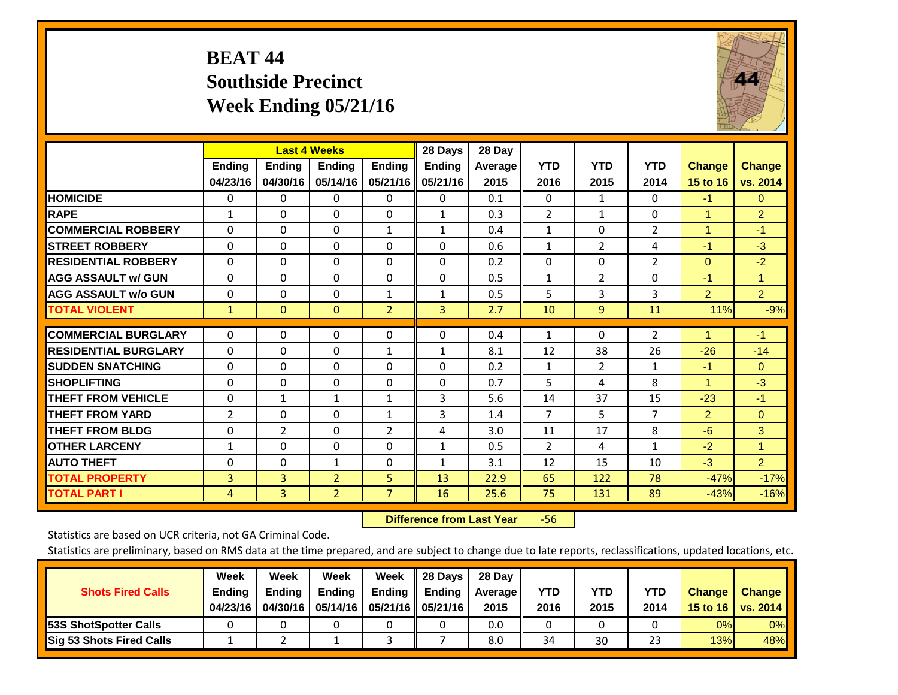## **BEAT 44 Southside Precinct Week Ending 05/21/16**



|                             |              | <b>Last 4 Weeks</b> |                |                | 28 Days       | 28 Day  |                |                |                |                      |                |
|-----------------------------|--------------|---------------------|----------------|----------------|---------------|---------|----------------|----------------|----------------|----------------------|----------------|
|                             | Ending       | <b>Ending</b>       | Ending         | <b>Ending</b>  | <b>Ending</b> | Average | <b>YTD</b>     | <b>YTD</b>     | <b>YTD</b>     | <b>Change</b>        | <b>Change</b>  |
|                             | 04/23/16     | 04/30/16            | 05/14/16       | 05/21/16       | 05/21/16      | 2015    | 2016           | 2015           | 2014           | 15 to 16             | vs. 2014       |
| <b>HOMICIDE</b>             | $\Omega$     | 0                   | 0              | 0              | 0             | 0.1     | $\Omega$       | $\mathbf{1}$   | 0              | $-1$                 | $\mathbf{0}$   |
| <b>RAPE</b>                 | $\mathbf{1}$ | $\Omega$            | $\Omega$       | $\Omega$       | $\mathbf{1}$  | 0.3     | $\overline{2}$ | $\mathbf{1}$   | 0              | $\overline{1}$       | $\overline{2}$ |
| <b>COMMERCIAL ROBBERY</b>   | $\Omega$     | $\Omega$            | $\Omega$       | $\mathbf{1}$   | $\mathbf{1}$  | 0.4     | $\mathbf{1}$   | $\Omega$       | $\overline{2}$ | $\mathbf{1}$         | $-1$           |
| <b>STREET ROBBERY</b>       | $\mathbf{0}$ | $\Omega$            | $\Omega$       | $\Omega$       | $\Omega$      | 0.6     | $\mathbf{1}$   | $\overline{2}$ | 4              | $-1$                 | $-3$           |
| <b>RESIDENTIAL ROBBERY</b>  | $\Omega$     | 0                   | $\Omega$       | $\mathbf{0}$   | $\Omega$      | 0.2     | $\mathbf{0}$   | $\Omega$       | 2              | $\Omega$             | $-2$           |
| <b>AGG ASSAULT w/ GUN</b>   | $\Omega$     | $\Omega$            | $\Omega$       | $\Omega$       | 0             | 0.5     | 1              | $\overline{2}$ | 0              | $-1$                 | $\mathbf{1}$   |
| <b>AGG ASSAULT w/o GUN</b>  | $\Omega$     | $\Omega$            | $\Omega$       | $\mathbf{1}$   | $\mathbf{1}$  | 0.5     | 5              | 3              | 3              | $\overline{2}$       | $\overline{2}$ |
| <b>TOTAL VIOLENT</b>        | $\mathbf{1}$ | $\Omega$            | $\Omega$       | $\overline{2}$ | 3             | 2.7     | 10             | 9              | 11             | 11%                  | $-9%$          |
|                             |              |                     |                |                |               |         |                |                |                |                      |                |
| <b>COMMERCIAL BURGLARY</b>  | 0            | $\Omega$            | 0              | 0              | $\Omega$      | 0.4     | 1              | $\mathbf{0}$   | $\overline{2}$ | 1                    | $-1$           |
| <b>RESIDENTIAL BURGLARY</b> | $\Omega$     | 0                   | $\Omega$       | $\mathbf{1}$   | $\mathbf{1}$  | 8.1     | 12             | 38             | 26             | $-26$                | $-14$          |
| <b>ISUDDEN SNATCHING</b>    | 0            | 0                   | $\Omega$       | $\mathbf{0}$   | $\Omega$      | 0.2     | 1              | $\overline{2}$ | 1              | $-1$                 | $\mathbf{0}$   |
| <b>SHOPLIFTING</b>          | $\Omega$     | $\Omega$            | $\Omega$       | $\Omega$       | $\Omega$      | 0.7     | 5              | 4              | 8              | $\blacktriangleleft$ | $-3$           |
| <b>THEFT FROM VEHICLE</b>   | $\Omega$     | $\mathbf{1}$        | $\mathbf{1}$   | $\mathbf{1}$   | 3             | 5.6     | 14             | 37             | 15             | $-23$                | $-1$           |
| <b>THEFT FROM YARD</b>      | 2            | $\Omega$            | $\Omega$       | 1              | 3             | 1.4     | $\overline{7}$ | 5.             | 7              | $\overline{2}$       | $\Omega$       |
| <b>THEFT FROM BLDG</b>      | 0            | $\overline{2}$      | $\Omega$       | 2              | 4             | 3.0     | 11             | 17             | 8              | $-6$                 | 3              |
| <b>OTHER LARCENY</b>        | $\mathbf{1}$ | $\Omega$            | $\Omega$       | $\mathbf{0}$   | $\mathbf{1}$  | 0.5     | 2              | 4              | $\mathbf{1}$   | $-2$                 | $\mathbf{1}$   |
| <b>AUTO THEFT</b>           | $\Omega$     | $\Omega$            | $\mathbf{1}$   | $\Omega$       | $\mathbf{1}$  | 3.1     | 12             | 15             | 10             | $-3$                 | $\overline{2}$ |
| <b>TOTAL PROPERTY</b>       | 3            | 3                   | $\overline{2}$ | 5              | 13            | 22.9    | 65             | 122            | 78             | $-47%$               | $-17%$         |
| <b>TOTAL PART I</b>         | 4            | 3                   | $\overline{2}$ | $\overline{7}$ | 16            | 25.6    | 75             | 131            | 89             | $-43%$               | $-16%$         |

 **Difference from Last Year**‐56

Statistics are based on UCR criteria, not GA Criminal Code.

| <b>Shots Fired Calls</b>        | Week<br><b>Ending</b><br>04/23/16 | Week<br><b>Endina</b><br>04/30/16 | Week<br><b>Ending</b><br>05/14/16 | Week<br>Ending $\parallel$ | 28 Days<br>$\parallel$ Ending<br>05/21/16   05/21/16 | 28 Dav<br>Average   <br>2015 | YTD<br>2016 | YTD<br>2015 | <b>YTD</b><br>2014 | <b>Change</b><br>15 to 16 | <b>Change</b><br>vs. 2014 |
|---------------------------------|-----------------------------------|-----------------------------------|-----------------------------------|----------------------------|------------------------------------------------------|------------------------------|-------------|-------------|--------------------|---------------------------|---------------------------|
| <b>53S ShotSpotter Calls</b>    |                                   |                                   |                                   |                            |                                                      | 0.0                          |             |             |                    | 0%                        | 0%                        |
| <b>Sig 53 Shots Fired Calls</b> |                                   |                                   |                                   |                            |                                                      | 8.0                          | 34          | 30          | 23                 | 13%                       | 48%                       |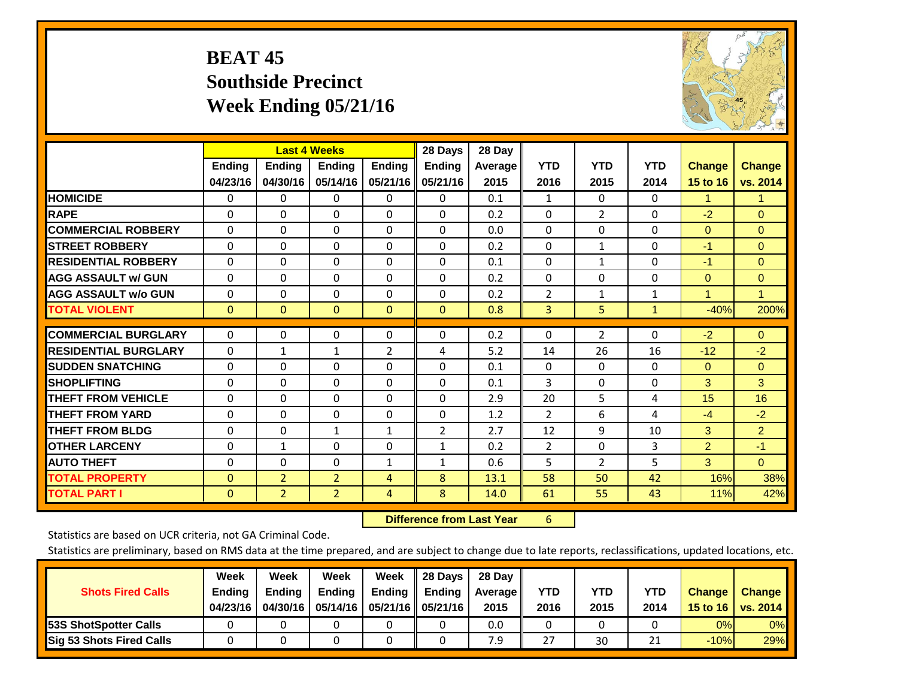## **BEAT 45 Southside Precinct Week Ending 05/21/16**



|                             |               | <b>Last 4 Weeks</b> |                |               | 28 Days        | 28 Day  |                |                |              |                |                |
|-----------------------------|---------------|---------------------|----------------|---------------|----------------|---------|----------------|----------------|--------------|----------------|----------------|
|                             | <b>Ending</b> | <b>Ending</b>       | <b>Ending</b>  | <b>Ending</b> | <b>Ending</b>  | Average | <b>YTD</b>     | <b>YTD</b>     | <b>YTD</b>   | <b>Change</b>  | <b>Change</b>  |
|                             | 04/23/16      | 04/30/16            | 05/14/16       | 05/21/16      | 05/21/16       | 2015    | 2016           | 2015           | 2014         | 15 to 16       | vs. 2014       |
| <b>HOMICIDE</b>             | 0             | $\Omega$            | 0              | 0             | $\Omega$       | 0.1     | 1              | 0              | 0            | 1.             | 1.             |
| <b>RAPE</b>                 | $\Omega$      | 0                   | $\Omega$       | 0             | 0              | 0.2     | $\Omega$       | $\overline{2}$ | 0            | $-2$           | $\Omega$       |
| <b>COMMERCIAL ROBBERY</b>   | $\Omega$      | $\Omega$            | $\mathbf{0}$   | $\Omega$      | $\Omega$       | 0.0     | $\Omega$       | $\Omega$       | $\Omega$     | $\mathbf{0}$   | $\Omega$       |
| <b>STREET ROBBERY</b>       | $\Omega$      | $\Omega$            | $\Omega$       | $\Omega$      | 0              | 0.2     | $\mathbf{0}$   | $\mathbf{1}$   | $\Omega$     | $-1$           | $\Omega$       |
| <b>RESIDENTIAL ROBBERY</b>  | $\Omega$      | $\Omega$            | $\Omega$       | $\Omega$      | $\Omega$       | 0.1     | $\mathbf{0}$   | 1              | 0            | $-1$           | $\Omega$       |
| <b>AGG ASSAULT w/ GUN</b>   | $\Omega$      | $\Omega$            | $\Omega$       | $\Omega$      | 0              | 0.2     | $\Omega$       | 0              | 0            | $\mathbf{0}$   | $\overline{0}$ |
| <b>AGG ASSAULT w/o GUN</b>  | 0             | $\Omega$            | $\Omega$       | $\Omega$      | $\Omega$       | 0.2     | 2              | 1              | $\mathbf{1}$ | 1              | $\mathbf{1}$   |
| <b>TOTAL VIOLENT</b>        | $\mathbf{0}$  | $\mathbf{0}$        | $\mathbf{0}$   | $\mathbf{0}$  | $\overline{0}$ | 0.8     | 3              | 5              | 1            | $-40%$         | 200%           |
|                             |               |                     |                |               |                |         |                |                |              |                |                |
| <b>COMMERCIAL BURGLARY</b>  | $\Omega$      | 0                   | $\mathbf{0}$   | 0             | $\Omega$       | 0.2     | 0              | $\overline{2}$ | 0            | $-2$           | $\mathbf{0}$   |
| <b>RESIDENTIAL BURGLARY</b> | $\Omega$      | 1                   | 1              | 2             | 4              | 5.2     | 14             | 26             | 16           | $-12$          | $-2$           |
| <b>SUDDEN SNATCHING</b>     | $\Omega$      | 0                   | $\Omega$       | 0             | 0              | 0.1     | 0              | $\Omega$       | 0            | $\mathbf{0}$   | $\Omega$       |
| <b>SHOPLIFTING</b>          | $\Omega$      | $\Omega$            | $\Omega$       | 0             | 0              | 0.1     | 3              | 0              | 0            | 3              | 3              |
| <b>THEFT FROM VEHICLE</b>   | $\Omega$      | 0                   | $\Omega$       | 0             | $\Omega$       | 2.9     | 20             | 5              | 4            | 15             | 16             |
| <b>THEFT FROM YARD</b>      | $\Omega$      | $\Omega$            | $\Omega$       | $\Omega$      | $\Omega$       | 1.2     | $\overline{2}$ | 6              | 4            | $-4$           | $-2$           |
| <b>THEFT FROM BLDG</b>      | 0             | 0                   | 1              | 1             | 2              | 2.7     | 12             | 9              | 10           | 3              | $\overline{2}$ |
| <b>OTHER LARCENY</b>        | $\Omega$      | $\mathbf{1}$        | $\Omega$       | 0             | $\mathbf{1}$   | 0.2     | $\overline{2}$ | 0              | 3            | $\overline{2}$ | $-1$           |
| <b>AUTO THEFT</b>           | $\Omega$      | $\Omega$            | $\Omega$       | $\mathbf{1}$  | $\mathbf{1}$   | 0.6     | 5              | $\overline{2}$ | 5            | 3              | $\Omega$       |
| <b>TOTAL PROPERTY</b>       | $\mathbf{0}$  | $\overline{2}$      | $\overline{2}$ | 4             | 8              | 13.1    | 58             | 50             | 42           | 16%            | 38%            |
| <b>TOTAL PART I</b>         | $\Omega$      | $\overline{2}$      | $\overline{2}$ | 4             | 8              | 14.0    | 61             | 55             | 43           | 11%            | 42%            |

 **Difference from Last Year**r 6

Statistics are based on UCR criteria, not GA Criminal Code.

| <b>Shots Fired Calls</b>        | Week<br><b>Ending</b><br>04/23/16 | Week<br><b>Endina</b><br>04/30/16 | Week<br><b>Ending</b> | Week<br>Ending | 28 Days<br><b>Ending</b><br>05/14/16   05/21/16   05/21/16 | 28 Day<br>Average II<br>2015 | YTD<br>2016 | YTD<br>2015 | YTD<br>2014 | <b>Change</b><br>15 to 16 $\vert$ | <b>Change</b><br>vs. 2014 |
|---------------------------------|-----------------------------------|-----------------------------------|-----------------------|----------------|------------------------------------------------------------|------------------------------|-------------|-------------|-------------|-----------------------------------|---------------------------|
| <b>153S ShotSpotter Calls</b>   |                                   |                                   |                       |                |                                                            | 0.0                          |             |             |             | 0%                                | 0%                        |
| <b>Sig 53 Shots Fired Calls</b> |                                   |                                   |                       |                |                                                            | 7.9                          | 27          | 30          | าง          | $-10%$                            | 29%                       |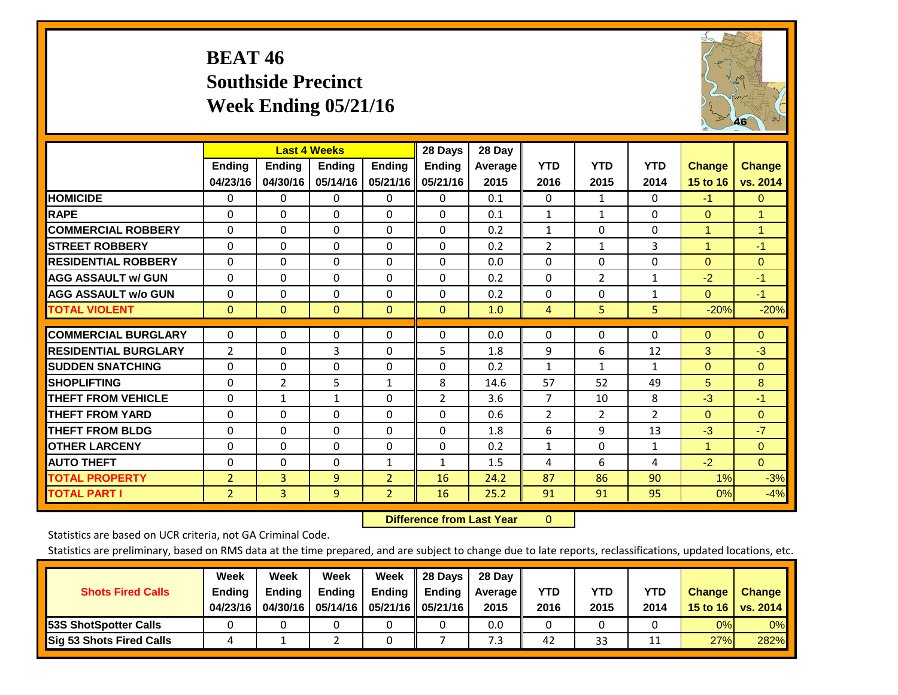## **BEAT 46 Southside Precinct Week Ending 05/21/16**



|                             |                           | <b>Last 4 Weeks</b>       |                           |                           | 28 Days                   | 28 Day          |                    |                    |                    |                           |                           |
|-----------------------------|---------------------------|---------------------------|---------------------------|---------------------------|---------------------------|-----------------|--------------------|--------------------|--------------------|---------------------------|---------------------------|
|                             | <b>Ending</b><br>04/23/16 | <b>Ending</b><br>04/30/16 | <b>Endina</b><br>05/14/16 | <b>Ending</b><br>05/21/16 | <b>Ending</b><br>05/21/16 | Average<br>2015 | <b>YTD</b><br>2016 | <b>YTD</b><br>2015 | <b>YTD</b><br>2014 | <b>Change</b><br>15 to 16 | <b>Change</b><br>vs. 2014 |
| <b>HOMICIDE</b>             | $\Omega$                  | 0                         | 0                         | $\Omega$                  | 0                         | 0.1             | $\Omega$           | $\mathbf{1}$       | 0                  | $-1$                      | $\mathbf{0}$              |
| <b>RAPE</b>                 | $\Omega$                  | $\Omega$                  | $\Omega$                  | $\Omega$                  | $\Omega$                  | 0.1             | $\mathbf{1}$       | $\mathbf{1}$       | 0                  | $\Omega$                  | $\mathbf{1}$              |
| <b>COMMERCIAL ROBBERY</b>   | $\Omega$                  | 0                         | $\Omega$                  | 0                         | 0                         | 0.2             | 1                  | $\Omega$           | 0                  | $\mathbf{1}$              | $\mathbf{1}$              |
| <b>STREET ROBBERY</b>       | $\Omega$                  | $\Omega$                  | $\Omega$                  | $\Omega$                  | $\Omega$                  | 0.2             | $\overline{2}$     | $\mathbf{1}$       | 3                  | $\overline{1}$            | $-1$                      |
| <b>RESIDENTIAL ROBBERY</b>  | $\Omega$                  | $\Omega$                  | $\Omega$                  | $\mathbf{0}$              | $\Omega$                  | 0.0             | $\mathbf{0}$       | $\Omega$           | 0                  | $\Omega$                  | $\mathbf{0}$              |
| <b>AGG ASSAULT w/ GUN</b>   | 0                         | $\Omega$                  | $\Omega$                  | $\mathbf{0}$              | $\Omega$                  | 0.2             | $\mathbf{0}$       | $\overline{2}$     | $\mathbf{1}$       | $-2$                      | $-1$                      |
| <b>AGG ASSAULT w/o GUN</b>  | $\Omega$                  | $\Omega$                  | $\Omega$                  | $\Omega$                  | $\Omega$                  | 0.2             | $\mathbf{0}$       | $\Omega$           | $\mathbf{1}$       | $\Omega$                  | $-1$                      |
| <b>TOTAL VIOLENT</b>        | $\mathbf{0}$              | $\Omega$                  | $\Omega$                  | $\mathbf{0}$              | $\Omega$                  | 1.0             | $\overline{4}$     | 5                  | 5                  | $-20%$                    | $-20%$                    |
|                             |                           |                           |                           |                           |                           |                 |                    |                    |                    |                           |                           |
| <b>COMMERCIAL BURGLARY</b>  | 0                         | $\Omega$                  | 0                         | 0                         | 0                         | 0.0             | $\mathbf 0$        | $\mathbf{0}$       | 0                  | $\mathbf{0}$              | $\mathbf{0}$              |
| <b>RESIDENTIAL BURGLARY</b> | 2                         | 0                         | 3                         | $\mathbf{0}$              | 5                         | 1.8             | 9                  | 6                  | 12                 | 3                         | $-3$                      |
| <b>ISUDDEN SNATCHING</b>    | 0                         | 0                         | $\Omega$                  | $\mathbf{0}$              | $\Omega$                  | 0.2             | $\mathbf{1}$       | $\mathbf{1}$       | $\mathbf{1}$       | $\Omega$                  | $\mathbf{0}$              |
| <b>SHOPLIFTING</b>          | $\Omega$                  | $\overline{2}$            | 5                         | $\mathbf{1}$              | 8                         | 14.6            | 57                 | 52                 | 49                 | 5                         | 8                         |
| <b>THEFT FROM VEHICLE</b>   | $\Omega$                  | $\mathbf{1}$              | $\mathbf{1}$              | $\Omega$                  | $\overline{2}$            | 3.6             | $\overline{7}$     | 10                 | 8                  | $-3$                      | $-1$                      |
| <b>THEFT FROM YARD</b>      | $\Omega$                  | $\Omega$                  | $\Omega$                  | $\mathbf{0}$              | $\Omega$                  | 0.6             | $\overline{2}$     | $\overline{2}$     | $\overline{2}$     | $\Omega$                  | $\mathbf{0}$              |
| <b>THEFT FROM BLDG</b>      | 0                         | 0                         | $\Omega$                  | $\mathbf{0}$              | $\Omega$                  | 1.8             | 6                  | 9                  | 13                 | $-3$                      | $-7$                      |
| <b>OTHER LARCENY</b>        | 0                         | 0                         | $\Omega$                  | $\Omega$                  | 0                         | 0.2             | 1                  | 0                  | $\mathbf{1}$       | $\blacktriangleleft$      | $\mathbf{0}$              |
| <b>AUTO THEFT</b>           | $\Omega$                  | $\Omega$                  | $\Omega$                  | $\mathbf{1}$              | $\mathbf{1}$              | 1.5             | 4                  | 6                  | 4                  | $-2$                      | $\mathbf{0}$              |
| <b>TOTAL PROPERTY</b>       | $\overline{2}$            | $\overline{3}$            | 9                         | $\overline{2}$            | 16                        | 24.2            | 87                 | 86                 | 90                 | 1%                        | $-3%$                     |
| <b>TOTAL PART I</b>         | $\overline{2}$            | 3                         | $\overline{9}$            | $\overline{2}$            | 16                        | 25.2            | 91                 | 91                 | 95                 | 0%                        | $-4%$                     |

 **Difference from Last Year**r 0

Statistics are based on UCR criteria, not GA Criminal Code.

| <b>Shots Fired Calls</b>        | Week<br><b>Ending</b><br>04/23/16 | Week<br><b>Endina</b><br>04/30/16 | Week<br><b>Ending</b> | Week<br>Ending | 28 Days<br><b>Ending</b><br>05/14/16   05/21/16   05/21/16 | 28 Day<br>Average II<br>2015 | YTD<br>2016 | YTD<br>2015 | YTD<br>2014 | <b>Change</b><br>15 to 16 $\vert$ | <b>Change</b><br>vs. 2014 |
|---------------------------------|-----------------------------------|-----------------------------------|-----------------------|----------------|------------------------------------------------------------|------------------------------|-------------|-------------|-------------|-----------------------------------|---------------------------|
| <b>153S ShotSpotter Calls</b>   |                                   |                                   |                       |                |                                                            | 0.0                          |             |             |             | 0%                                | 0%                        |
| <b>Sig 53 Shots Fired Calls</b> |                                   |                                   |                       |                |                                                            | 7.3                          | 42          | 33          |             | 27%                               | 282%                      |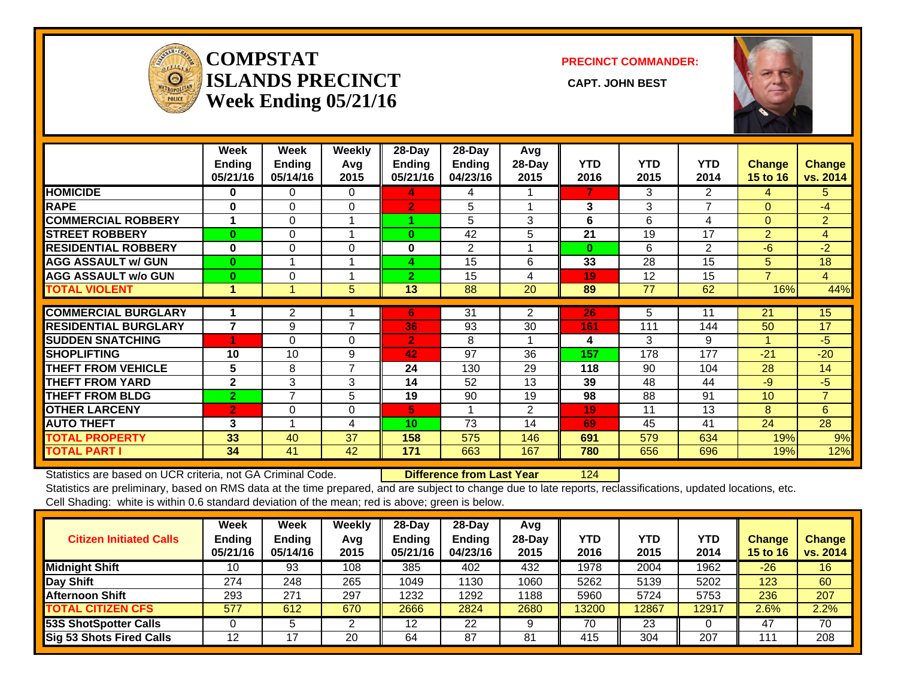

#### **COMPSTATISLANDS PRECINCT** CAPT. JOHN BEST **Week Ending 05/21/16**

**PRECINCT COMMANDER:**



|                             | Week<br><b>Ending</b><br>05/21/16 | Week<br><b>Ending</b><br>05/14/16 | Weekly<br>Avg<br>2015 | $28$ -Day<br>Ending<br>05/21/16 | $28$ -Day<br>Ending<br>04/23/16 | Avg<br>28-Day<br>2015 | <b>YTD</b><br>2016 | <b>YTD</b><br>2015 | <b>YTD</b><br>2014 | <b>Change</b><br><b>15 to 16</b> | <b>Change</b><br>vs. 2014 |
|-----------------------------|-----------------------------------|-----------------------------------|-----------------------|---------------------------------|---------------------------------|-----------------------|--------------------|--------------------|--------------------|----------------------------------|---------------------------|
| <b>HOMICIDE</b>             | 0                                 | 0                                 | $\Omega$              | 4                               | 4                               |                       | 7                  | 3                  | $\overline{2}$     | 4                                | 5.                        |
| <b>RAPE</b>                 | $\bf{0}$                          | $\Omega$                          | $\Omega$              | $\overline{2}$                  | 5                               |                       | 3                  | 3                  | 7                  | $\Omega$                         | $-4$                      |
| <b>COMMERCIAL ROBBERY</b>   | и                                 | 0                                 |                       |                                 | 5                               | 3                     | 6                  | 6                  | 4                  | $\Omega$                         | $\overline{2}$            |
| <b>ISTREET ROBBERY</b>      | $\bf{0}$                          | 0                                 |                       | $\bf{0}$                        | 42                              | 5                     | 21                 | 19                 | 17                 | $\overline{2}$                   | 4                         |
| <b>RESIDENTIAL ROBBERY</b>  | $\bf{0}$                          | $\Omega$                          | $\Omega$              | 0                               | 2                               |                       | $\bf{0}$           | 6                  | 2                  | $-6$                             | $-2$                      |
| <b>AGG ASSAULT w/ GUN</b>   | $\mathbf{0}$                      |                                   |                       | 4                               | 15                              | 6                     | 33                 | 28                 | 15                 | 5                                | 18                        |
| <b>AGG ASSAULT w/o GUN</b>  | $\bf{0}$                          | 0                                 |                       | $\overline{2}$                  | 15                              | 4                     | 19                 | 12                 | 15                 | 7                                | $\overline{4}$            |
| <b>TOTAL VIOLENT</b>        | 1                                 |                                   | 5                     | 13                              | 88                              | 20                    | 89                 | 77                 | 62                 | 16%                              | 44%                       |
|                             |                                   |                                   |                       |                                 |                                 |                       |                    |                    |                    |                                  |                           |
| <b>COMMERCIAL BURGLARY</b>  |                                   | 2                                 |                       | 6                               | 31                              | $\overline{2}$        | 26                 | 5                  | 11                 | 21                               | 15                        |
| <b>RESIDENTIAL BURGLARY</b> | $\overline{7}$                    | 9                                 | $\overline{7}$        | 36                              | 93                              | 30                    | 161                | 111                | 144                | 50                               | 17                        |
| <b>SUDDEN SNATCHING</b>     | 4                                 | $\Omega$                          | $\Omega$              | $\overline{2}$                  | 8                               |                       | 4                  | 3                  | 9                  |                                  | $-5$                      |
| <b>SHOPLIFTING</b>          | 10                                | 10                                | 9                     | 42                              | 97                              | 36                    | 157                | 178                | 177                | $-21$                            | $-20$                     |
| <b>THEFT FROM VEHICLE</b>   | 5                                 | 8                                 | 7                     | 24                              | 130                             | 29                    | 118                | 90                 | 104                | 28                               | 14                        |
| <b>THEFT FROM YARD</b>      | $\mathbf{2}$                      | 3                                 | 3                     | 14                              | 52                              | 13                    | 39                 | 48                 | 44                 | -9                               | $-5$                      |
| <b>THEFT FROM BLDG</b>      | $\overline{2}$                    | $\overline{7}$                    | 5                     | 19                              | 90                              | 19                    | 98                 | 88                 | 91                 | 10                               | $\overline{7}$            |
| <b>OTHER LARCENY</b>        | $\overline{2}$                    | $\Omega$                          | $\Omega$              | 5                               | 1                               | $\overline{2}$        | 19                 | 11                 | 13                 | 8                                | 6                         |
| <b>AUTO THEFT</b>           | 3                                 |                                   | 4                     | 10                              | 73                              | 14                    | 69                 | 45                 | 41                 | 24                               | 28                        |
| <b>TOTAL PROPERTY</b>       | 33                                | 40                                | 37                    | 158                             | 575                             | 146                   | 691                | 579                | 634                | 19%                              | 9%                        |
| <b>TOTAL PART I</b>         | 34                                | 41                                | 42                    | 171                             | 663                             | 167                   | 780                | 656                | 696                | 19%                              | 12%                       |

Statistics are based on UCR criteria, not GA Criminal Code. **Difference from Last Year** 124 Statistics are preliminary, based on RMS data at the time prepared, and are subject to change due to late reports, reclassifications, updated locations, etc. Cell Shading: white is within 0.6 standard deviation of the mean; red is above; green is below.

| <b>Citizen Initiated Calls</b>  | Week<br><b>Ending</b><br>05/21/16 | Week<br><b>Ending</b><br>05/14/16 | Weekly<br>Avg<br>2015 | $28$ -Dav<br><b>Ending</b><br>05/21/16 | 28-Day<br>Ending<br>04/23/16 | Avg<br>$28-Dav$<br>2015 | YTD<br>2016 | <b>YTD</b><br>2015 | YTD<br>2014 | <b>Change</b><br><b>15 to 16</b> | <b>Change</b><br>vs. 2014 |
|---------------------------------|-----------------------------------|-----------------------------------|-----------------------|----------------------------------------|------------------------------|-------------------------|-------------|--------------------|-------------|----------------------------------|---------------------------|
| <b>Midnight Shift</b>           | 10                                | 93                                | 108                   | 385                                    | 402                          | 432                     | 1978        | 2004               | 1962        | $-26$                            | 16                        |
| Day Shift                       | 274                               | 248                               | 265                   | 1049                                   | 1130                         | 1060                    | 5262        | 5139               | 5202        | 123                              | 60                        |
| <b>Afternoon Shift</b>          | 293                               | 27'                               | 297                   | 1232                                   | 1292                         | 1188                    | 5960        | 5724               | 5753        | 236                              | 207                       |
| <b>TOTAL CITIZEN CFS</b>        | 577                               | 612                               | 670                   | 2666                                   | 2824                         | 2680                    | 13200       | 12867              | 12917       | 2.6%                             | 2.2%                      |
| <b>53S ShotSpotter Calls</b>    |                                   |                                   | ◠                     | 12 <sup>2</sup>                        | 22                           |                         | 70          | 23                 |             | 47                               | 70                        |
| <b>Sig 53 Shots Fired Calls</b> | 12                                |                                   | 20                    | 64                                     | 87                           | 81                      | 415         | 304                | 207         | 11                               | 208                       |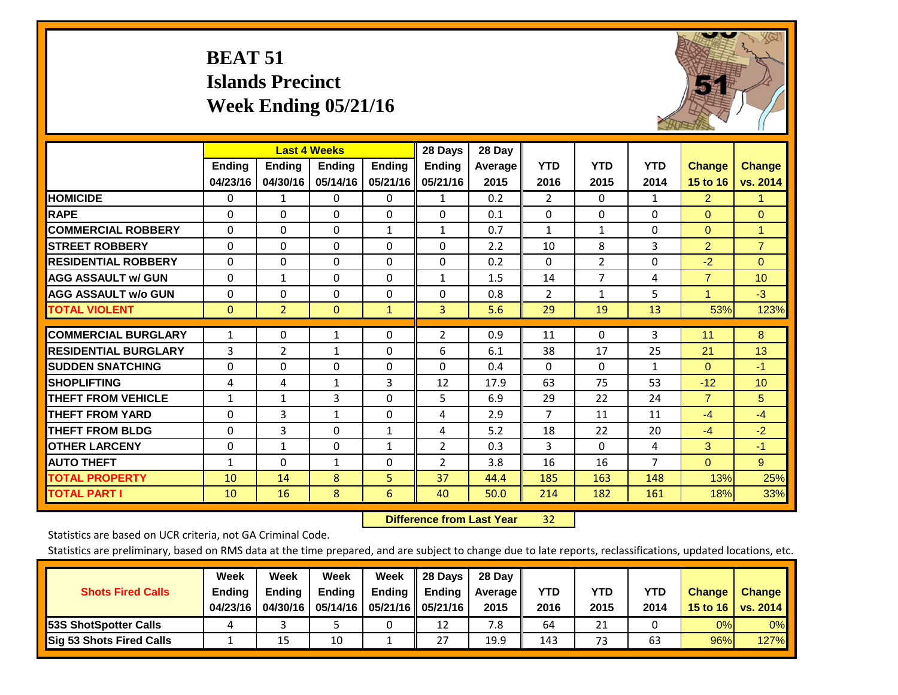## **BEAT 51 Islands Precinct Week Ending 05/21/16**



|                             |               | <b>Last 4 Weeks</b> |               |               | 28 Days        | 28 Day  |                |                |                |                |                |
|-----------------------------|---------------|---------------------|---------------|---------------|----------------|---------|----------------|----------------|----------------|----------------|----------------|
|                             | <b>Ending</b> | <b>Ending</b>       | <b>Endina</b> | <b>Ending</b> | <b>Ending</b>  | Average | <b>YTD</b>     | <b>YTD</b>     | <b>YTD</b>     | <b>Change</b>  | <b>Change</b>  |
|                             | 04/23/16      | 04/30/16            | 05/14/16      | 05/21/16      | 05/21/16       | 2015    | 2016           | 2015           | 2014           | 15 to 16       | vs. 2014       |
| <b>HOMICIDE</b>             | 0             | 1                   | $\Omega$      | $\Omega$      | 1              | 0.2     | $\overline{2}$ | $\mathbf{0}$   | 1              | $\overline{2}$ | 1.             |
| <b>RAPE</b>                 | 0             | $\Omega$            | $\Omega$      | $\Omega$      | $\Omega$       | 0.1     | $\Omega$       | $\Omega$       | $\Omega$       | $\Omega$       | $\Omega$       |
| <b>COMMERCIAL ROBBERY</b>   | $\Omega$      | $\Omega$            | $\Omega$      | 1             | 1              | 0.7     | 1              | 1              | $\Omega$       | $\mathbf{0}$   | $\mathbf{1}$   |
| <b>ISTREET ROBBERY</b>      | $\Omega$      | $\Omega$            | $\Omega$      | $\Omega$      | $\Omega$       | 2.2     | 10             | 8              | 3              | $\overline{2}$ | $\overline{7}$ |
| <b>RESIDENTIAL ROBBERY</b>  | $\Omega$      | $\Omega$            | $\Omega$      | $\Omega$      | $\Omega$       | 0.2     | $\Omega$       | 2              | $\Omega$       | $-2$           | $\Omega$       |
| <b>AGG ASSAULT w/ GUN</b>   | $\Omega$      | $\mathbf{1}$        | $\Omega$      | $\Omega$      | $\mathbf{1}$   | 1.5     | 14             | $\overline{7}$ | 4              | $\overline{7}$ | 10             |
| <b>AGG ASSAULT w/o GUN</b>  | $\Omega$      | 0                   | $\Omega$      | $\Omega$      | $\Omega$       | 0.8     | $\overline{2}$ | $\mathbf{1}$   | 5              | $\mathbf{1}$   | $-3$           |
| <b>TOTAL VIOLENT</b>        | $\mathbf{0}$  | $\overline{2}$      | $\mathbf{0}$  | $\mathbf{1}$  | 3              | 5.6     | 29             | 19             | 13             | 53%            | 123%           |
|                             |               |                     |               |               |                |         |                |                |                |                |                |
| <b>COMMERCIAL BURGLARY</b>  | $\mathbf{1}$  | $\Omega$            | 1             | $\mathbf{0}$  | 2              | 0.9     | 11             | $\Omega$       | 3              | 11             | 8              |
| <b>RESIDENTIAL BURGLARY</b> | 3             | 2                   | $\mathbf{1}$  | $\Omega$      | 6              | 6.1     | 38             | 17             | 25             | 21             | 13             |
| <b>SUDDEN SNATCHING</b>     | $\Omega$      | 0                   | $\mathbf{0}$  | $\Omega$      | 0              | 0.4     | $\Omega$       | $\Omega$       | $\mathbf{1}$   | $\mathbf{0}$   | $-1$           |
| <b>SHOPLIFTING</b>          | 4             | 4                   | $\mathbf{1}$  | 3             | 12             | 17.9    | 63             | 75             | 53             | $-12$          | 10             |
| <b>THEFT FROM VEHICLE</b>   | $\mathbf{1}$  | 1                   | 3             | $\Omega$      | 5              | 6.9     | 29             | 22             | 24             | $\overline{7}$ | 5              |
| <b>THEFT FROM YARD</b>      | 0             | 3                   | $\mathbf{1}$  | $\mathbf 0$   | 4              | 2.9     | $\overline{7}$ | 11             | 11             | $-4$           | $-4$           |
| <b>THEFT FROM BLDG</b>      | $\Omega$      | 3                   | $\Omega$      | $\mathbf{1}$  | 4              | 5.2     | 18             | 22             | 20             | $-4$           | $-2$           |
| <b>OTHER LARCENY</b>        | $\mathbf{0}$  | $\mathbf{1}$        | $\Omega$      | 1             | $\overline{2}$ | 0.3     | 3              | 0              | 4              | 3              | $-1$           |
| <b>AUTO THEFT</b>           | $\mathbf{1}$  | $\Omega$            | $\mathbf{1}$  | 0             | $\overline{2}$ | 3.8     | 16             | 16             | $\overline{7}$ | $\mathbf{0}$   | 9              |
| <b>TOTAL PROPERTY</b>       | 10            | 14                  | 8             | 5             | 37             | 44.4    | 185            | 163            | 148            | 13%            | 25%            |
| <b>TOTAL PART I</b>         | 10            | 16                  | 8             | 6             | 40             | 50.0    | 214            | 182            | 161            | 18%            | 33%            |

 **Difference from Last Year**32

Statistics are based on UCR criteria, not GA Criminal Code.

| <b>Shots Fired Calls</b>        | Week<br><b>Ending</b><br>04/23/16 | Week<br><b>Endina</b><br>04/30/16 | <b>Week</b><br>Ending<br>05/14/16 | Week<br>Ending | 28 Days<br><b>Ending</b><br>05/21/16    05/21/16 | 28 Day<br>Average II<br>2015 | YTD<br>2016 | YTD<br>2015 | YTD<br>2014 | <b>Change</b><br>15 to 16 | <b>Change</b><br>vs. 2014 |
|---------------------------------|-----------------------------------|-----------------------------------|-----------------------------------|----------------|--------------------------------------------------|------------------------------|-------------|-------------|-------------|---------------------------|---------------------------|
| <b>153S ShotSpotter Calls</b>   |                                   |                                   |                                   |                | 12                                               | 7.8                          | 64          | 21          |             | 0%                        | 0%                        |
| <b>Sig 53 Shots Fired Calls</b> |                                   | 15                                | 10                                |                | 27                                               | 19.9                         | 143         | 73          | 63          | 96%                       | <b>127%</b>               |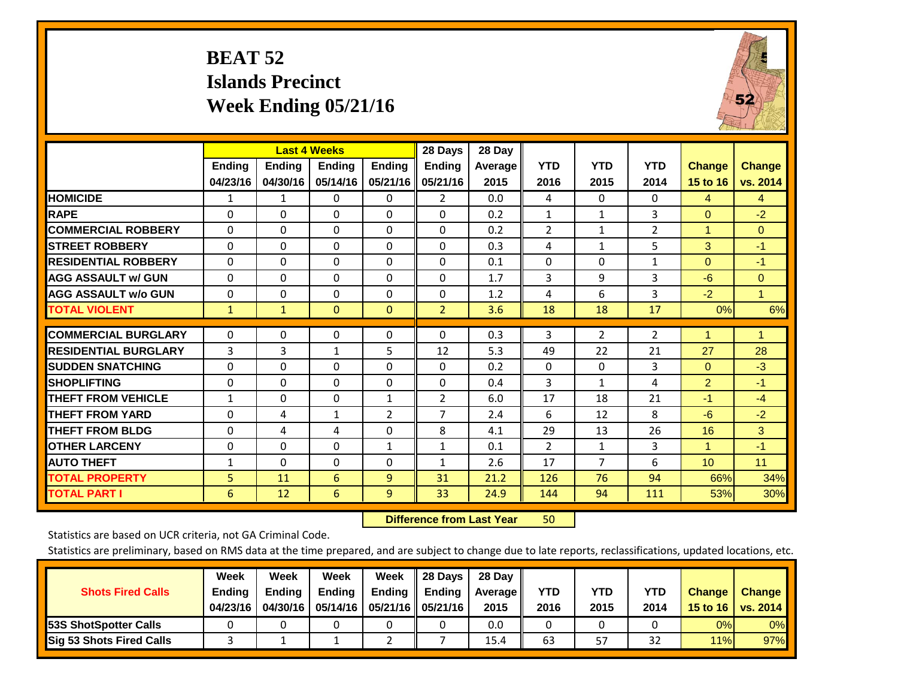## **BEAT 52 Islands Precinct Week Ending 05/21/16**



|                             |               | <b>Last 4 Weeks</b> |               |               | 28 Days        | 28 Day  |                |                |                |                      |                |
|-----------------------------|---------------|---------------------|---------------|---------------|----------------|---------|----------------|----------------|----------------|----------------------|----------------|
|                             | <b>Ending</b> | <b>Ending</b>       | <b>Endina</b> | <b>Ending</b> | <b>Ending</b>  | Average | <b>YTD</b>     | <b>YTD</b>     | <b>YTD</b>     | <b>Change</b>        | <b>Change</b>  |
|                             | 04/23/16      | 04/30/16            | 05/14/16      | 05/21/16      | 05/21/16       | 2015    | 2016           | 2015           | 2014           | 15 to 16             | vs. 2014       |
| <b>HOMICIDE</b>             | 1             | 1                   | 0             | 0             | $\mathbf{2}$   | 0.0     | 4              | $\Omega$       | 0              | 4                    | $\overline{4}$ |
| <b>RAPE</b>                 | $\Omega$      | $\Omega$            | $\Omega$      | $\Omega$      | $\Omega$       | 0.2     | $\mathbf{1}$   | $\mathbf{1}$   | 3              | $\Omega$             | $-2$           |
| <b>COMMERCIAL ROBBERY</b>   | $\Omega$      | 0                   | $\Omega$      | 0             | $\Omega$       | 0.2     | $\overline{2}$ | $\mathbf{1}$   | 2              | $\overline{1}$       | $\overline{0}$ |
| <b>ISTREET ROBBERY</b>      | $\Omega$      | $\Omega$            | $\Omega$      | $\Omega$      | $\Omega$       | 0.3     | 4              | $\mathbf{1}$   | 5              | 3                    | $-1$           |
| <b>RESIDENTIAL ROBBERY</b>  | 0             | $\Omega$            | 0             | $\mathbf{0}$  | $\Omega$       | 0.1     | $\Omega$       | $\Omega$       | 1              | $\mathbf{0}$         | $-1$           |
| <b>AGG ASSAULT w/ GUN</b>   | 0             | 0                   | $\mathbf{0}$  | $\mathbf{0}$  | 0              | 1.7     | 3              | 9              | 3              | -6                   | $\mathbf{0}$   |
| <b>AGG ASSAULT w/o GUN</b>  | $\Omega$      | $\Omega$            | $\Omega$      | $\Omega$      | $\Omega$       | 1.2     | 4              | 6              | 3              | $-2$                 | $\blacksquare$ |
| <b>TOTAL VIOLENT</b>        | $\mathbf{1}$  | $\mathbf{1}$        | $\mathbf{0}$  | $\mathbf{0}$  | $\overline{2}$ | 3.6     | 18             | 18             | 17             | 0%                   | 6%             |
| <b>COMMERCIAL BURGLARY</b>  | $\Omega$      | $\Omega$            | 0             | $\mathbf 0$   | $\Omega$       | 0.3     | 3              | $\overline{2}$ | $\overline{2}$ | $\blacktriangleleft$ | $\blacksquare$ |
| <b>RESIDENTIAL BURGLARY</b> |               |                     | $\mathbf{1}$  |               |                |         |                |                |                | 27                   |                |
|                             | 3             | 3                   |               | 5             | 12             | 5.3     | 49             | 22             | 21             |                      | 28             |
| <b>ISUDDEN SNATCHING</b>    | $\Omega$      | 0                   | $\mathbf{0}$  | $\Omega$      | $\Omega$       | 0.2     | $\Omega$       | $\mathbf{0}$   | 3              | $\mathbf{0}$         | $-3$           |
| <b>SHOPLIFTING</b>          | 0             | $\Omega$            | $\Omega$      | 0             | $\Omega$       | 0.4     | 3              | $\mathbf{1}$   | 4              | $\overline{2}$       | $-1$           |
| <b>THEFT FROM VEHICLE</b>   | $\mathbf{1}$  | $\Omega$            | $\Omega$      | $\mathbf{1}$  | $\overline{2}$ | 6.0     | 17             | 18             | 21             | $-1$                 | $-4$           |
| <b>THEFT FROM YARD</b>      | $\Omega$      | 4                   | 1             | 2             | 7              | 2.4     | 6              | 12             | 8              | -6                   | $-2$           |
| <b>THEFT FROM BLDG</b>      | 0             | 4                   | 4             | $\Omega$      | 8              | 4.1     | 29             | 13             | 26             | 16                   | 3              |
| <b>OTHER LARCENY</b>        | 0             | 0                   | $\Omega$      | 1             | 1              | 0.1     | $\overline{2}$ | 1              | 3              | 1                    | $-1$           |
| <b>AUTO THEFT</b>           | $\mathbf{1}$  | $\Omega$            | $\Omega$      | $\Omega$      | $\mathbf{1}$   | 2.6     | 17             | $\overline{7}$ | 6              | 10                   | 11             |
| <b>TOTAL PROPERTY</b>       | 5             | 11                  | 6             | 9             | 31             | 21.2    | 126            | 76             | 94             | 66%                  | 34%            |
| <b>TOTAL PART I</b>         | 6             | 12                  | 6             | 9             | 33             | 24.9    | 144            | 94             | 111            | 53%                  | 30%            |

 **Difference from Last Year**r 50

Statistics are based on UCR criteria, not GA Criminal Code.

| <b>Shots Fired Calls</b>        | Week<br><b>Ending</b><br>04/23/16 | Week<br><b>Endina</b><br>04/30/16 | Week<br><b>Ending</b> | Week<br>Ending | 28 Days<br><b>Ending</b><br>05/14/16   05/21/16   05/21/16 | 28 Day<br>Average II<br>2015 | YTD<br>2016 | YTD<br>2015 | YTD<br>2014 | <b>Change</b><br>15 to 16 $\vert$ | <b>Change</b><br>vs. 2014 |
|---------------------------------|-----------------------------------|-----------------------------------|-----------------------|----------------|------------------------------------------------------------|------------------------------|-------------|-------------|-------------|-----------------------------------|---------------------------|
| <b>153S ShotSpotter Calls</b>   |                                   |                                   |                       |                |                                                            | 0.0                          |             |             |             | 0%                                | 0%                        |
| <b>Sig 53 Shots Fired Calls</b> |                                   |                                   |                       |                |                                                            | 15.4                         | 63          | 57          | 32          | 11%                               | 97%                       |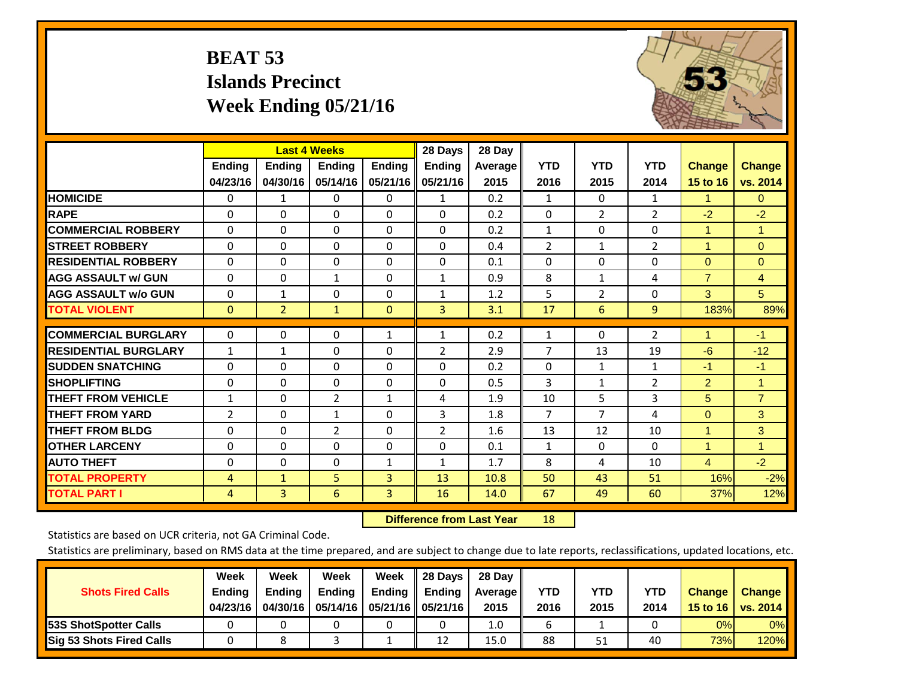## **BEAT 53 Islands Precinct Week Ending 05/21/16**



|                             |               | <b>Last 4 Weeks</b> |                |               | 28 Days       | 28 Day  |                |                |                |                |                |
|-----------------------------|---------------|---------------------|----------------|---------------|---------------|---------|----------------|----------------|----------------|----------------|----------------|
|                             | <b>Ending</b> | <b>Ending</b>       | <b>Ending</b>  | <b>Endina</b> | <b>Ending</b> | Average | <b>YTD</b>     | <b>YTD</b>     | <b>YTD</b>     | <b>Change</b>  | <b>Change</b>  |
|                             | 04/23/16      | 04/30/16            | 05/14/16       | 05/21/16      | 05/21/16      | 2015    | 2016           | 2015           | 2014           | 15 to 16       | vs. 2014       |
| <b>HOMICIDE</b>             | 0             | 1                   | 0              | 0             | $\mathbf{1}$  | 0.2     | $\mathbf{1}$   | $\mathbf{0}$   | $\mathbf{1}$   | 1.             | $\mathbf{0}$   |
| <b>RAPE</b>                 | 0             | $\Omega$            | $\Omega$       | $\Omega$      | $\Omega$      | 0.2     | $\Omega$       | $\overline{2}$ | $\overline{2}$ | $-2$           | $-2$           |
| <b>COMMERCIAL ROBBERY</b>   | $\Omega$      | $\Omega$            | $\mathbf 0$    | 0             | $\Omega$      | 0.2     | 1              | 0              | 0              | 1              | $\mathbf{1}$   |
| <b>STREET ROBBERY</b>       | $\Omega$      | $\Omega$            | $\Omega$       | $\Omega$      | $\Omega$      | 0.4     | $\overline{2}$ | $\mathbf{1}$   | $\overline{2}$ | $\mathbf{1}$   | $\Omega$       |
| <b>RESIDENTIAL ROBBERY</b>  | $\Omega$      | $\Omega$            | 0              | 0             | $\Omega$      | 0.1     | $\mathbf{0}$   | $\Omega$       | 0              | $\mathbf{0}$   | $\Omega$       |
| <b>AGG ASSAULT w/ GUN</b>   | $\Omega$      | $\Omega$            | 1              | $\Omega$      | $\mathbf{1}$  | 0.9     | 8              | 1              | 4              | $\overline{7}$ | $\overline{4}$ |
| <b>AGG ASSAULT w/o GUN</b>  | 0             | 1                   | $\Omega$       | 0             | $\mathbf{1}$  | 1.2     | 5              | $\overline{2}$ | $\Omega$       | 3              | 5 <sup>5</sup> |
| <b>TOTAL VIOLENT</b>        | $\mathbf{0}$  | $\overline{2}$      | $\mathbf{1}$   | $\mathbf{0}$  | 3             | 3.1     | 17             | 6              | 9              | 183%           | 89%            |
| <b>COMMERCIAL BURGLARY</b>  |               |                     |                |               |               |         |                |                |                | 1              |                |
|                             | $\Omega$      | $\Omega$            | $\Omega$       | $\mathbf{1}$  | $\mathbf{1}$  | 0.2     | 1              | 0              | $\overline{2}$ |                | $-1$           |
| <b>RESIDENTIAL BURGLARY</b> | 1             | 1                   | $\Omega$       | 0             | 2             | 2.9     | 7              | 13             | 19             | $-6$           | $-12$          |
| <b>ISUDDEN SNATCHING</b>    | $\Omega$      | 0                   | $\Omega$       | $\Omega$      | 0             | 0.2     | $\Omega$       | $\mathbf{1}$   | $\mathbf{1}$   | $-1$           | $-1$           |
| <b>SHOPLIFTING</b>          | $\Omega$      | $\Omega$            | $\mathbf{0}$   | 0             | $\Omega$      | 0.5     | 3              | $\mathbf{1}$   | $\overline{2}$ | $\overline{2}$ | $\mathbf{1}$   |
| <b>THEFT FROM VEHICLE</b>   | 1             | $\Omega$            | $\overline{2}$ | $\mathbf{1}$  | 4             | 1.9     | 10             | 5              | 3              | 5              | $\overline{7}$ |
| <b>THEFT FROM YARD</b>      | 2             | $\Omega$            | $\mathbf{1}$   | $\Omega$      | 3             | 1.8     | $\overline{7}$ | $\overline{7}$ | 4              | $\mathbf{0}$   | 3              |
| <b>THEFT FROM BLDG</b>      | 0             | 0                   | $\overline{2}$ | 0             | 2             | 1.6     | 13             | 12             | 10             | 1              | 3              |
| <b>OTHER LARCENY</b>        | 0             | $\Omega$            | $\Omega$       | 0             | 0             | 0.1     | $\mathbf{1}$   | $\Omega$       | $\Omega$       | $\mathbf{1}$   | $\mathbf{1}$   |
| <b>AUTO THEFT</b>           | 0             | $\Omega$            | $\Omega$       | $\mathbf{1}$  | $\mathbf{1}$  | 1.7     | 8              | 4              | 10             | $\overline{4}$ | $-2$           |
| <b>TOTAL PROPERTY</b>       | 4             | $\mathbf{1}$        | 5              | 3             | 13            | 10.8    | 50             | 43             | 51             | 16%            | $-2%$          |
| <b>TOTAL PART I</b>         | 4             | $\overline{3}$      | 6              | 3             | 16            | 14.0    | 67             | 49             | 60             | 37%            | 12%            |

 **Difference from Last Year**r 18

Statistics are based on UCR criteria, not GA Criminal Code.

| <b>Shots Fired Calls</b>        | Week<br><b>Ending</b><br>04/23/16 | Week<br><b>Endina</b><br>04/30/16 | Week<br><b>Ending</b> | Week<br>Ending | 28 Days<br><b>Ending</b><br>05/14/16   05/21/16   05/21/16 | 28 Day<br>Average II<br>2015 | YTD<br>2016 | YTD<br>2015 | YTD<br>2014 | <b>Change</b><br>15 to $16$ | <b>Change</b><br>vs. 2014 |
|---------------------------------|-----------------------------------|-----------------------------------|-----------------------|----------------|------------------------------------------------------------|------------------------------|-------------|-------------|-------------|-----------------------------|---------------------------|
| <b>153S ShotSpotter Calls</b>   |                                   |                                   |                       |                |                                                            | 1.0                          |             |             |             | 0%                          | 0%                        |
| <b>Sig 53 Shots Fired Calls</b> |                                   |                                   |                       |                | 12                                                         | 15.0                         | 88          | 51          | 40          | 73%                         | 120%                      |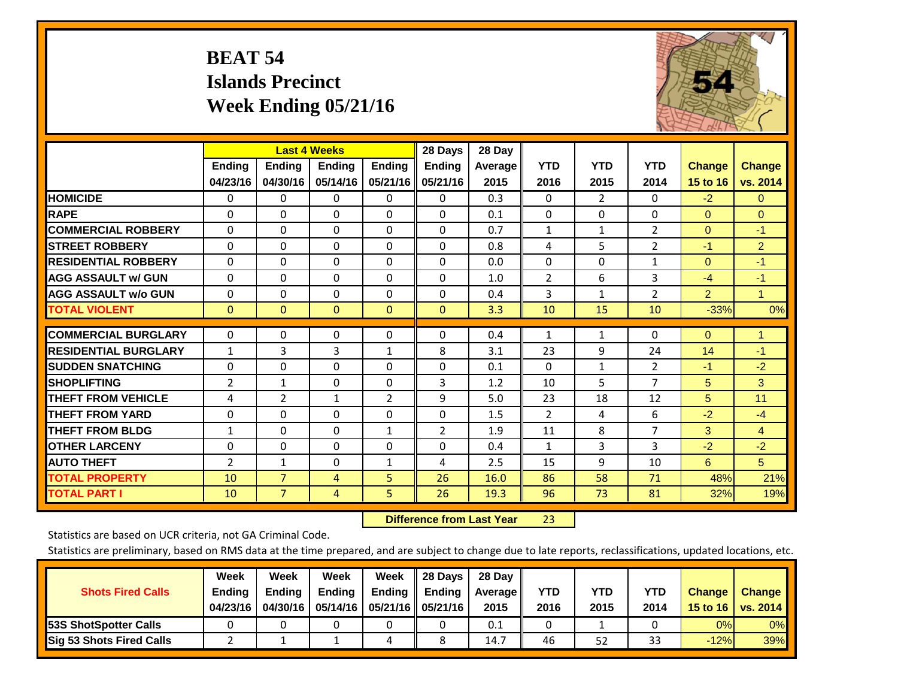## **BEAT 54 Islands Precinct Week Ending 05/21/16**



|                             |                |                | <b>Last 4 Weeks</b> |                | 28 Days       | 28 Day         |                |                |                |                |                |
|-----------------------------|----------------|----------------|---------------------|----------------|---------------|----------------|----------------|----------------|----------------|----------------|----------------|
|                             | Ending         | Ending         | <b>Endina</b>       | <b>Ending</b>  | <b>Ending</b> | <b>Average</b> | <b>YTD</b>     | <b>YTD</b>     | <b>YTD</b>     | <b>Change</b>  | <b>Change</b>  |
|                             | 04/23/16       | 04/30/16       | 05/14/16            | 05/21/16       | 05/21/16      | 2015           | 2016           | 2015           | 2014           | 15 to 16       | vs. 2014       |
| <b>HOMICIDE</b>             | 0              | 0              | 0                   | 0              | 0             | 0.3            | $\Omega$       | $\overline{2}$ | 0              | $-2$           | $\overline{0}$ |
| <b>RAPE</b>                 | $\Omega$       | 0              | $\mathbf{0}$        | $\Omega$       | $\Omega$      | 0.1            | $\mathbf{0}$   | 0              | $\Omega$       | $\Omega$       | $\Omega$       |
| <b>COMMERCIAL ROBBERY</b>   | $\Omega$       | $\Omega$       | $\Omega$            | $\Omega$       | $\Omega$      | 0.7            | $\mathbf{1}$   | $\mathbf{1}$   | 2              | $\Omega$       | $-1$           |
| <b>STREET ROBBERY</b>       | $\Omega$       | $\Omega$       | $\Omega$            | $\Omega$       | $\Omega$      | 0.8            | 4              | 5              | $\overline{2}$ | $-1$           | $\overline{2}$ |
| <b>RESIDENTIAL ROBBERY</b>  | $\Omega$       | $\Omega$       | $\mathbf{0}$        | $\Omega$       | $\Omega$      | 0.0            | $\mathbf{0}$   | 0              | $\mathbf{1}$   | $\Omega$       | $-1$           |
| <b>AGG ASSAULT w/ GUN</b>   | $\Omega$       | 0              | $\Omega$            | $\Omega$       | $\Omega$      | 1.0            | $\overline{2}$ | 6              | 3              | $-4$           | $-1$           |
| <b>AGG ASSAULT w/o GUN</b>  | $\Omega$       | 0              | $\mathbf{0}$        | $\Omega$       | 0             | 0.4            | 3              | $\mathbf{1}$   | 2              | $\overline{2}$ | $\mathbf{1}$   |
| <b>TOTAL VIOLENT</b>        | $\mathbf 0$    | $\overline{0}$ | $\mathbf{0}$        | $\mathbf{0}$   | $\Omega$      | 3.3            | 10             | 15             | 10             | $-33%$         | 0%             |
| <b>COMMERCIAL BURGLARY</b>  | 0              | 0              | $\mathbf 0$         | 0              | $\Omega$      | 0.4            | 1              | 1              | 0              | $\mathbf{0}$   | $\mathbf{1}$   |
| <b>RESIDENTIAL BURGLARY</b> | $\mathbf{1}$   | 3              | 3                   | $\mathbf{1}$   | 8             | 3.1            | 23             | 9              | 24             | 14             | $-1$           |
| <b>SUDDEN SNATCHING</b>     | $\Omega$       | $\Omega$       | $\Omega$            | $\Omega$       | $\Omega$      | 0.1            | $\Omega$       | 1              | $\overline{2}$ | $-1$           | $-2$           |
| <b>SHOPLIFTING</b>          | $\overline{2}$ | $\mathbf{1}$   | $\Omega$            | $\Omega$       | 3             | 1.2            | 10             | 5              | $\overline{7}$ | 5              | 3              |
| <b>THEFT FROM VEHICLE</b>   | 4              | 2              | 1                   | $\overline{2}$ | 9             | 5.0            | 23             | 18             | 12             | 5              | 11             |
| <b>THEFT FROM YARD</b>      | $\mathbf 0$    | $\mathbf 0$    | $\mathbf 0$         | $\Omega$       | $\mathbf 0$   | 1.5            | $\overline{2}$ | 4              | 6              | $-2$           | $-4$           |
| <b>THEFT FROM BLDG</b>      | $\mathbf{1}$   | 0              | $\Omega$            | $\mathbf{1}$   | 2             | 1.9            | 11             | 8              | $\overline{7}$ | 3              | $\overline{4}$ |
| <b>OTHER LARCENY</b>        | $\Omega$       | $\Omega$       | $\Omega$            | $\Omega$       | $\Omega$      | 0.4            | 1              | 3              | 3              | $-2$           | $-2$           |
| <b>AUTO THEFT</b>           | $\overline{2}$ | $\mathbf{1}$   | $\Omega$            | 1              | 4             | 2.5            | 15             | 9              | 10             | 6              | 5              |
| <b>TOTAL PROPERTY</b>       | 10             | $\overline{7}$ | 4                   | 5              | 26            | 16.0           | 86             | 58             | 71             | 48%            | 21%            |
| <b>TOTAL PART I</b>         | 10             | $\overline{7}$ | $\overline{4}$      | 5              | 26            | 19.3           | 96             | 73             | 81             | 32%            | 19%            |

 **Difference from Last Year**r 23

Statistics are based on UCR criteria, not GA Criminal Code.

| <b>Shots Fired Calls</b>        | Week<br><b>Ending</b><br>04/23/16 | Week<br><b>Endina</b><br>04/30/16 | Week<br><b>Ending</b><br>05/14/16 | Week<br>Ending $\parallel$ | II 28 Davs<br>$\parallel$ Ending<br>05/21/16   05/21/16 | 28 Dav<br>Average   <br>2015 | <b>YTD</b><br>2016 | YTD<br>2015 | <b>YTD</b><br>2014 | <b>Change</b><br>15 to 16 | <b>Change</b><br>vs. 2014 |
|---------------------------------|-----------------------------------|-----------------------------------|-----------------------------------|----------------------------|---------------------------------------------------------|------------------------------|--------------------|-------------|--------------------|---------------------------|---------------------------|
| <b>53S ShotSpotter Calls</b>    |                                   |                                   |                                   |                            |                                                         | 0.1                          |                    |             |                    | 0%                        | 0%                        |
| <b>Sig 53 Shots Fired Calls</b> |                                   |                                   |                                   | 4                          |                                                         | 14.7                         | 46                 | 52          | 33                 | $-12%$                    | 39%                       |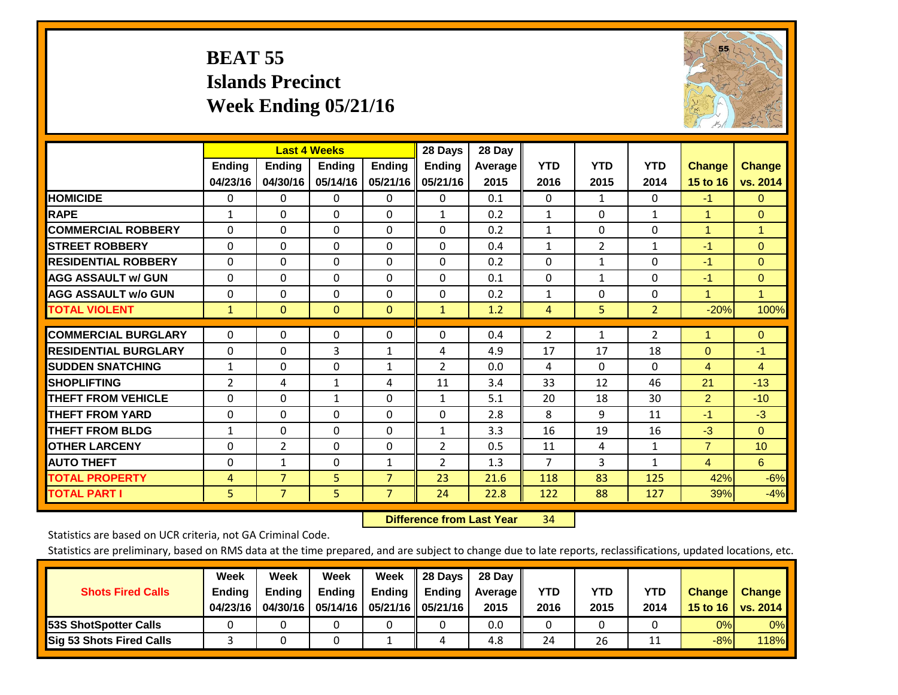## **BEAT 55 Islands Precinct Week Ending 05/21/16**



|                             |                | <b>Last 4 Weeks</b> |                |                | 28 Days        | 28 Day  |                |                |                |                |                      |
|-----------------------------|----------------|---------------------|----------------|----------------|----------------|---------|----------------|----------------|----------------|----------------|----------------------|
|                             | <b>Ending</b>  | Ending              | <b>Ending</b>  | <b>Ending</b>  | <b>Ending</b>  | Average | <b>YTD</b>     | <b>YTD</b>     | <b>YTD</b>     | <b>Change</b>  | <b>Change</b>        |
|                             | 04/23/16       | 04/30/16            | 05/14/16       | 05/21/16       | 05/21/16       | 2015    | 2016           | 2015           | 2014           | 15 to 16       | vs. 2014             |
| <b>HOMICIDE</b>             | 0              | $\Omega$            | $\Omega$       | $\Omega$       | 0              | 0.1     | $\mathbf{0}$   | 1              | 0              | $-1$           | $\Omega$             |
| <b>RAPE</b>                 | $\mathbf{1}$   | $\Omega$            | $\Omega$       | 0              | $\mathbf{1}$   | 0.2     | 1              | $\Omega$       | 1              | 1              | $\Omega$             |
| <b>COMMERCIAL ROBBERY</b>   | $\Omega$       | $\Omega$            | $\Omega$       | $\Omega$       | $\Omega$       | 0.2     | 1              | $\Omega$       | $\Omega$       | $\overline{1}$ | $\blacktriangleleft$ |
| <b>STREET ROBBERY</b>       | $\Omega$       | $\Omega$            | $\Omega$       | $\Omega$       | $\Omega$       | 0.4     | $\mathbf{1}$   | $\overline{2}$ | $\mathbf{1}$   | $-1$           | $\Omega$             |
| <b>RESIDENTIAL ROBBERY</b>  | $\Omega$       | $\Omega$            | $\Omega$       | $\Omega$       | $\Omega$       | 0.2     | $\Omega$       | 1              | 0              | $-1$           | $\Omega$             |
| <b>AGG ASSAULT w/ GUN</b>   | $\Omega$       | $\Omega$            | $\mathbf{0}$   | $\Omega$       | 0              | 0.1     | $\mathbf{0}$   | 1              | 0              | $-1$           | $\mathbf{0}$         |
| <b>AGG ASSAULT w/o GUN</b>  | $\Omega$       | $\Omega$            | $\mathbf{0}$   | $\Omega$       | $\Omega$       | 0.2     | $\mathbf{1}$   | $\mathbf{0}$   | 0              | $\overline{1}$ | $\mathbf{1}$         |
| <b>TOTAL VIOLENT</b>        | $\mathbf{1}$   | $\mathbf{0}$        | $\overline{0}$ | $\mathbf{0}$   | $\mathbf{1}$   | 1.2     | $\overline{4}$ | 5              | $\overline{2}$ | $-20%$         | 100%                 |
|                             |                |                     |                |                |                |         |                |                |                |                |                      |
| <b>COMMERCIAL BURGLARY</b>  | $\Omega$       | $\Omega$            | $\mathbf 0$    | 0              | 0              | 0.4     | $\overline{2}$ | $\mathbf{1}$   | 2              | 1              | $\overline{0}$       |
| <b>RESIDENTIAL BURGLARY</b> | $\Omega$       | $\Omega$            | 3              | $\mathbf{1}$   | 4              | 4.9     | 17             | 17             | 18             | $\Omega$       | $-1$                 |
| <b>ISUDDEN SNATCHING</b>    | $\mathbf{1}$   | 0                   | $\Omega$       | 1              | $\overline{2}$ | 0.0     | 4              | $\Omega$       | 0              | 4              | 4                    |
| <b>ISHOPLIFTING</b>         | $\overline{2}$ | 4                   | 1              | 4              | 11             | 3.4     | 33             | 12             | 46             | 21             | $-13$                |
| <b>THEFT FROM VEHICLE</b>   | $\Omega$       | $\Omega$            | $\mathbf{1}$   | $\Omega$       | $\mathbf{1}$   | 5.1     | 20             | 18             | 30             | $\overline{2}$ | $-10$                |
| <b>THEFT FROM YARD</b>      | $\mathbf 0$    | $\Omega$            | $\Omega$       | $\Omega$       | $\Omega$       | 2.8     | 8              | 9              | 11             | $-1$           | $-3$                 |
| <b>THEFT FROM BLDG</b>      | 1              | 0                   | $\Omega$       | $\Omega$       | $\mathbf{1}$   | 3.3     | 16             | 19             | 16             | $-3$           | $\Omega$             |
| <b>OTHER LARCENY</b>        | $\Omega$       | $\overline{2}$      | $\mathbf{0}$   | 0              | $\overline{2}$ | 0.5     | 11             | 4              | $\mathbf{1}$   | $\overline{7}$ | 10 <sup>°</sup>      |
| <b>AUTO THEFT</b>           | $\mathbf 0$    | $\mathbf{1}$        | 0              | 1              | $\overline{2}$ | 1.3     | $\overline{7}$ | 3              | $\mathbf{1}$   | $\overline{4}$ | 6                    |
| <b>TOTAL PROPERTY</b>       | $\overline{4}$ | $\overline{7}$      | 5              | $\overline{7}$ | 23             | 21.6    | 118            | 83             | 125            | 42%            | $-6%$                |
| <b>TOTAL PART I</b>         | 5              | $\overline{7}$      | 5              | $\overline{7}$ | 24             | 22.8    | 122            | 88             | 127            | 39%            | $-4%$                |

 **Difference from Last Year**r 34

Statistics are based on UCR criteria, not GA Criminal Code.

| <b>Shots Fired Calls</b>        | Week<br><b>Ending</b><br>04/23/16 | Week<br><b>Endina</b><br>04/30/16 | Week<br><b>Ending</b> | Week<br>Ending<br>05/14/16   05/21/16   05/21/16 | 28 Days<br><b>Ending</b> | 28 Day<br>Average II<br>2015 | YTD<br>2016 | YTD<br>2015 | YTD<br>2014 | <b>Change</b><br>15 to 16 $\vert$ | <b>Change</b><br>vs. 2014 |
|---------------------------------|-----------------------------------|-----------------------------------|-----------------------|--------------------------------------------------|--------------------------|------------------------------|-------------|-------------|-------------|-----------------------------------|---------------------------|
| <b>153S ShotSpotter Calls</b>   |                                   |                                   |                       |                                                  |                          | 0.0                          |             |             |             | 0%                                | 0%                        |
| <b>Sig 53 Shots Fired Calls</b> |                                   |                                   |                       |                                                  |                          | 4.8                          | 24          | 26          |             | $-8%$                             | <b>118%</b>               |